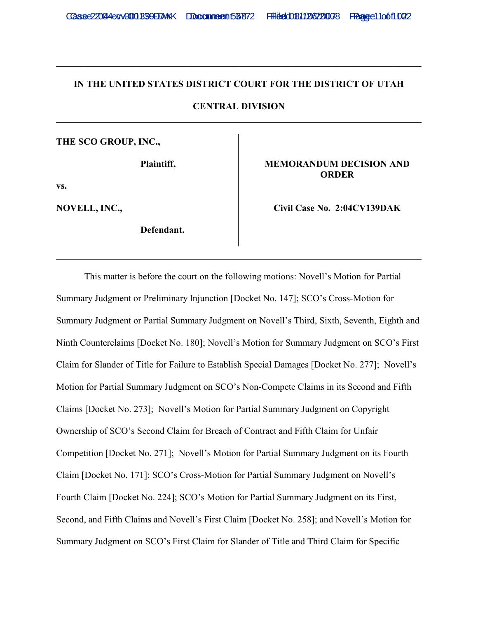## **IN THE UNITED STATES DISTRICT COURT FOR THE DISTRICT OF UTAH**

\_\_\_\_\_\_\_\_\_\_\_\_\_\_\_\_\_\_\_\_\_\_\_\_\_\_\_\_\_\_\_\_\_\_\_\_\_\_\_\_\_\_\_\_\_\_\_\_\_\_\_\_\_\_\_\_\_\_\_\_\_\_\_\_\_\_\_\_\_\_\_\_\_\_\_\_\_\_

**CENTRAL DIVISION**

# **THE SCO GROUP, INC.,**

**Plaintiff,**

**vs.**

**NOVELL, INC.,**

**Defendant.** 

## **MEMORANDUM DECISION AND ORDER**

**Civil Case No. 2:04CV139DAK**

This matter is before the court on the following motions: Novell's Motion for Partial Summary Judgment or Preliminary Injunction [Docket No. 147]; SCO's Cross-Motion for Summary Judgment or Partial Summary Judgment on Novell's Third, Sixth, Seventh, Eighth and Ninth Counterclaims [Docket No. 180]; Novell's Motion for Summary Judgment on SCO's First Claim for Slander of Title for Failure to Establish Special Damages [Docket No. 277]; Novell's Motion for Partial Summary Judgment on SCO's Non-Compete Claims in its Second and Fifth Claims [Docket No. 273]; Novell's Motion for Partial Summary Judgment on Copyright Ownership of SCO's Second Claim for Breach of Contract and Fifth Claim for Unfair Competition [Docket No. 271]; Novell's Motion for Partial Summary Judgment on its Fourth Claim [Docket No. 171]; SCO's Cross-Motion for Partial Summary Judgment on Novell's Fourth Claim [Docket No. 224]; SCO's Motion for Partial Summary Judgment on its First, Second, and Fifth Claims and Novell's First Claim [Docket No. 258]; and Novell's Motion for Summary Judgment on SCO's First Claim for Slander of Title and Third Claim for Specific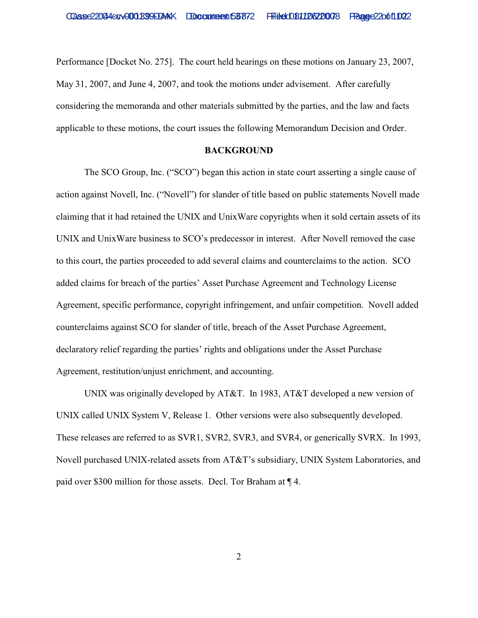Performance [Docket No. 275]. The court held hearings on these motions on January 23, 2007, May 31, 2007, and June 4, 2007, and took the motions under advisement. After carefully considering the memoranda and other materials submitted by the parties, and the law and facts applicable to these motions, the court issues the following Memorandum Decision and Order.

#### **BACKGROUND**

The SCO Group, Inc. ("SCO") began this action in state court asserting a single cause of action against Novell, Inc. ("Novell") for slander of title based on public statements Novell made claiming that it had retained the UNIX and UnixWare copyrights when it sold certain assets of its UNIX and UnixWare business to SCO's predecessor in interest. After Novell removed the case to this court, the parties proceeded to add several claims and counterclaims to the action. SCO added claims for breach of the parties' Asset Purchase Agreement and Technology License Agreement, specific performance, copyright infringement, and unfair competition. Novell added counterclaims against SCO for slander of title, breach of the Asset Purchase Agreement, declaratory relief regarding the parties' rights and obligations under the Asset Purchase Agreement, restitution/unjust enrichment, and accounting.

UNIX was originally developed by AT&T. In 1983, AT&T developed a new version of UNIX called UNIX System V, Release 1. Other versions were also subsequently developed. These releases are referred to as SVR1, SVR2, SVR3, and SVR4, or generically SVRX. In 1993, Novell purchased UNIX-related assets from AT&T's subsidiary, UNIX System Laboratories, and paid over \$300 million for those assets. Decl. Tor Braham at ¶ 4.

2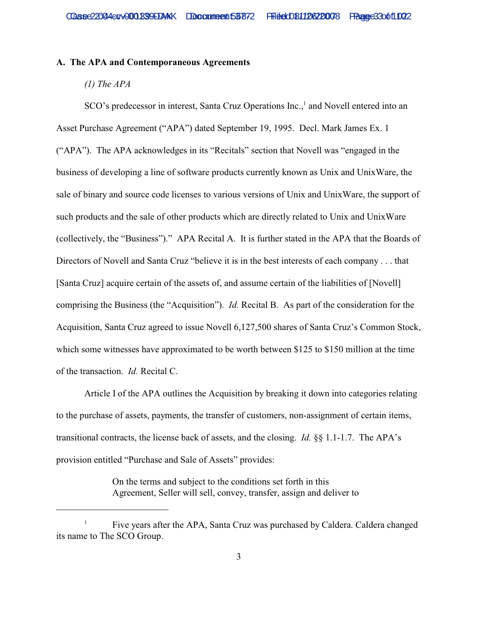### **A. The APA and Contemporaneous Agreements**

## *(1) The APA*

SCO's predecessor in interest, Santa Cruz Operations Inc.,<sup>1</sup> and Novell entered into an Asset Purchase Agreement ("APA") dated September 19, 1995. Decl. Mark James Ex. 1 ("APA"). The APA acknowledges in its "Recitals" section that Novell was "engaged in the business of developing a line of software products currently known as Unix and UnixWare, the sale of binary and source code licenses to various versions of Unix and UnixWare, the support of such products and the sale of other products which are directly related to Unix and UnixWare (collectively, the "Business")." APA Recital A. It is further stated in the APA that the Boards of Directors of Novell and Santa Cruz "believe it is in the best interests of each company . . . that [Santa Cruz] acquire certain of the assets of, and assume certain of the liabilities of [Novell] comprising the Business (the "Acquisition"). *Id.* Recital B. As part of the consideration for the Acquisition, Santa Cruz agreed to issue Novell 6,127,500 shares of Santa Cruz's Common Stock, which some witnesses have approximated to be worth between \$125 to \$150 million at the time of the transaction. *Id.* Recital C.

Article I of the APA outlines the Acquisition by breaking it down into categories relating to the purchase of assets, payments, the transfer of customers, non-assignment of certain items, transitional contracts, the license back of assets, and the closing. *Id.* §§ 1.1-1.7. The APA's provision entitled "Purchase and Sale of Assets" provides:

> On the terms and subject to the conditions set forth in this Agreement, Seller will sell, convey, transfer, assign and deliver to

Five years after the APA, Santa Cruz was purchased by Caldera. Caldera changed <sup>1</sup> its name to The SCO Group.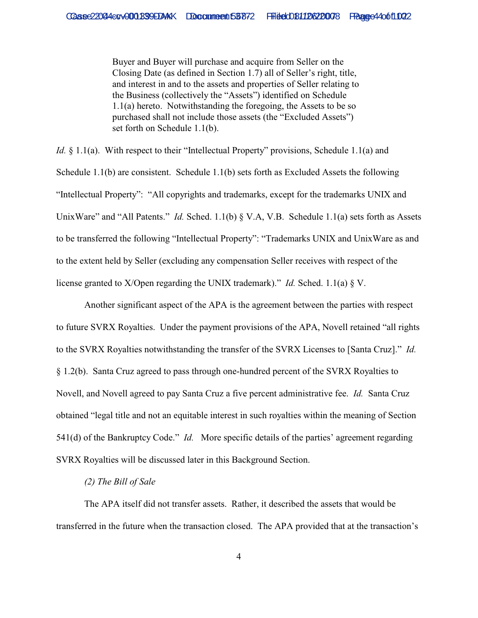Buyer and Buyer will purchase and acquire from Seller on the Closing Date (as defined in Section 1.7) all of Seller's right, title, and interest in and to the assets and properties of Seller relating to the Business (collectively the "Assets") identified on Schedule 1.1(a) hereto. Notwithstanding the foregoing, the Assets to be so purchased shall not include those assets (the "Excluded Assets") set forth on Schedule 1.1(b).

*Id.* § 1.1(a). With respect to their "Intellectual Property" provisions, Schedule 1.1(a) and Schedule 1.1(b) are consistent. Schedule 1.1(b) sets forth as Excluded Assets the following "Intellectual Property": "All copyrights and trademarks, except for the trademarks UNIX and UnixWare" and "All Patents." *Id.* Sched. 1.1(b) § V.A, V.B. Schedule 1.1(a) sets forth as Assets to be transferred the following "Intellectual Property": "Trademarks UNIX and UnixWare as and to the extent held by Seller (excluding any compensation Seller receives with respect of the license granted to X/Open regarding the UNIX trademark)." *Id.* Sched. 1.1(a) § V.

Another significant aspect of the APA is the agreement between the parties with respect to future SVRX Royalties. Under the payment provisions of the APA, Novell retained "all rights to the SVRX Royalties notwithstanding the transfer of the SVRX Licenses to [Santa Cruz]." *Id.* § 1.2(b). Santa Cruz agreed to pass through one-hundred percent of the SVRX Royalties to Novell, and Novell agreed to pay Santa Cruz a five percent administrative fee. *Id.* Santa Cruz obtained "legal title and not an equitable interest in such royalties within the meaning of Section 541(d) of the Bankruptcy Code." *Id.* More specific details of the parties' agreement regarding SVRX Royalties will be discussed later in this Background Section.

### *(2) The Bill of Sale*

The APA itself did not transfer assets. Rather, it described the assets that would be transferred in the future when the transaction closed. The APA provided that at the transaction's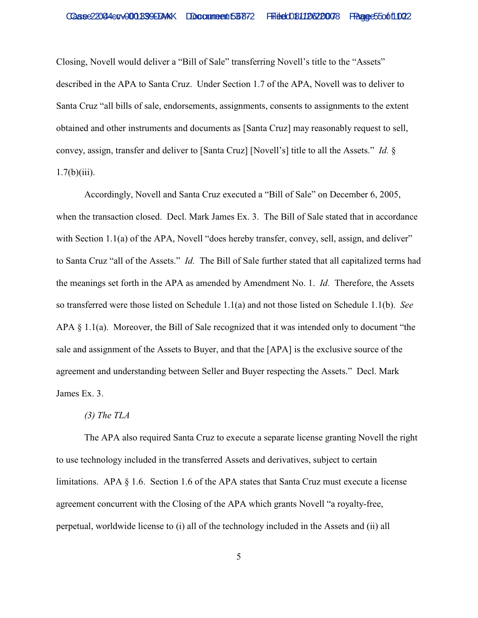Closing, Novell would deliver a "Bill of Sale" transferring Novell's title to the "Assets" described in the APA to Santa Cruz. Under Section 1.7 of the APA, Novell was to deliver to Santa Cruz "all bills of sale, endorsements, assignments, consents to assignments to the extent obtained and other instruments and documents as [Santa Cruz] may reasonably request to sell, convey, assign, transfer and deliver to [Santa Cruz] [Novell's] title to all the Assets." *Id.* §  $1.7(b)(iii)$ .

Accordingly, Novell and Santa Cruz executed a "Bill of Sale" on December 6, 2005, when the transaction closed. Decl. Mark James Ex. 3. The Bill of Sale stated that in accordance with Section 1.1(a) of the APA, Novell "does hereby transfer, convey, sell, assign, and deliver" to Santa Cruz "all of the Assets." *Id.* The Bill of Sale further stated that all capitalized terms had the meanings set forth in the APA as amended by Amendment No. 1. *Id.* Therefore, the Assets so transferred were those listed on Schedule 1.1(a) and not those listed on Schedule 1.1(b). *See* APA § 1.1(a). Moreover, the Bill of Sale recognized that it was intended only to document "the sale and assignment of the Assets to Buyer, and that the [APA] is the exclusive source of the agreement and understanding between Seller and Buyer respecting the Assets." Decl. Mark James Ex. 3.

#### *(3) The TLA*

The APA also required Santa Cruz to execute a separate license granting Novell the right to use technology included in the transferred Assets and derivatives, subject to certain limitations. APA § 1.6. Section 1.6 of the APA states that Santa Cruz must execute a license agreement concurrent with the Closing of the APA which grants Novell "a royalty-free, perpetual, worldwide license to (i) all of the technology included in the Assets and (ii) all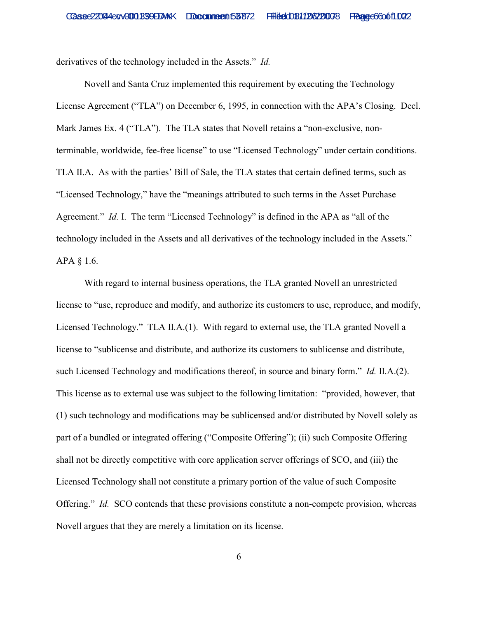derivatives of the technology included in the Assets." *Id.*

Novell and Santa Cruz implemented this requirement by executing the Technology License Agreement ("TLA") on December 6, 1995, in connection with the APA's Closing. Decl. Mark James Ex. 4 ("TLA"). The TLA states that Novell retains a "non-exclusive, nonterminable, worldwide, fee-free license" to use "Licensed Technology" under certain conditions. TLA II.A. As with the parties' Bill of Sale, the TLA states that certain defined terms, such as "Licensed Technology," have the "meanings attributed to such terms in the Asset Purchase Agreement." *Id.* I. The term "Licensed Technology" is defined in the APA as "all of the technology included in the Assets and all derivatives of the technology included in the Assets." APA § 1.6.

With regard to internal business operations, the TLA granted Novell an unrestricted license to "use, reproduce and modify, and authorize its customers to use, reproduce, and modify, Licensed Technology." TLA II.A.(1). With regard to external use, the TLA granted Novell a license to "sublicense and distribute, and authorize its customers to sublicense and distribute, such Licensed Technology and modifications thereof, in source and binary form." *Id.* II.A.(2). This license as to external use was subject to the following limitation: "provided, however, that (1) such technology and modifications may be sublicensed and/or distributed by Novell solely as part of a bundled or integrated offering ("Composite Offering"); (ii) such Composite Offering shall not be directly competitive with core application server offerings of SCO, and (iii) the Licensed Technology shall not constitute a primary portion of the value of such Composite Offering." *Id.* SCO contends that these provisions constitute a non-compete provision, whereas Novell argues that they are merely a limitation on its license.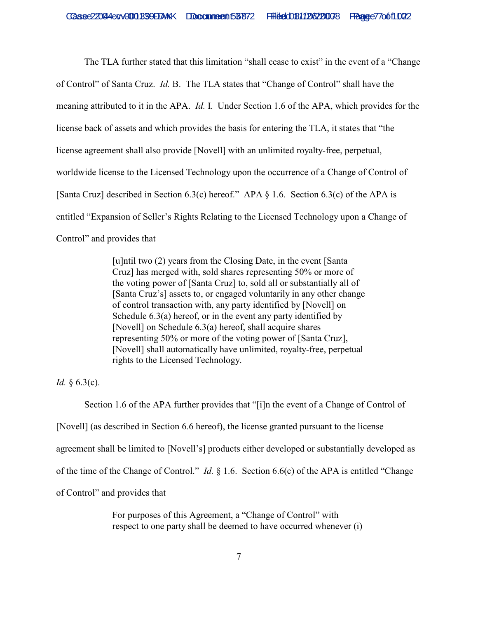The TLA further stated that this limitation "shall cease to exist" in the event of a "Change of Control" of Santa Cruz. *Id.* B. The TLA states that "Change of Control" shall have the meaning attributed to it in the APA. *Id.* I. Under Section 1.6 of the APA, which provides for the license back of assets and which provides the basis for entering the TLA, it states that "the license agreement shall also provide [Novell] with an unlimited royalty-free, perpetual, worldwide license to the Licensed Technology upon the occurrence of a Change of Control of [Santa Cruz] described in Section 6.3(c) hereof." APA § 1.6. Section 6.3(c) of the APA is entitled "Expansion of Seller's Rights Relating to the Licensed Technology upon a Change of Control" and provides that

> [u]ntil two (2) years from the Closing Date, in the event [Santa Cruz] has merged with, sold shares representing 50% or more of the voting power of [Santa Cruz] to, sold all or substantially all of [Santa Cruz's] assets to, or engaged voluntarily in any other change of control transaction with, any party identified by [Novell] on Schedule 6.3(a) hereof, or in the event any party identified by [Novell] on Schedule 6.3(a) hereof, shall acquire shares representing 50% or more of the voting power of [Santa Cruz], [Novell] shall automatically have unlimited, royalty-free, perpetual rights to the Licensed Technology.

*Id.* § 6.3(c).

Section 1.6 of the APA further provides that "[i]n the event of a Change of Control of [Novell] (as described in Section 6.6 hereof), the license granted pursuant to the license agreement shall be limited to [Novell's] products either developed or substantially developed as of the time of the Change of Control." *Id.* § 1.6. Section 6.6(c) of the APA is entitled "Change of Control" and provides that

> For purposes of this Agreement, a "Change of Control" with respect to one party shall be deemed to have occurred whenever (i)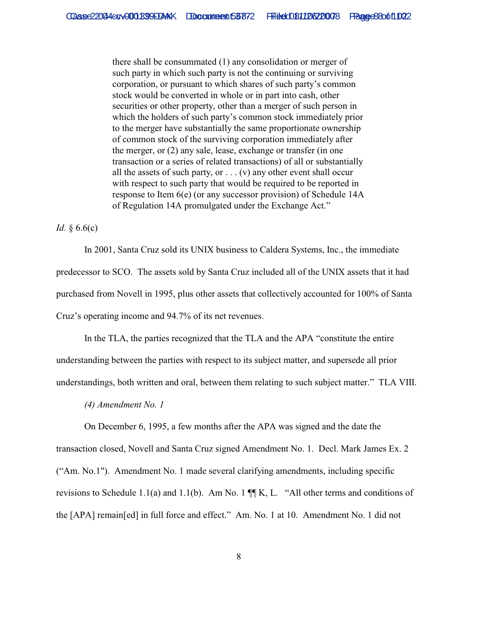there shall be consummated (1) any consolidation or merger of such party in which such party is not the continuing or surviving corporation, or pursuant to which shares of such party's common stock would be converted in whole or in part into cash, other securities or other property, other than a merger of such person in which the holders of such party's common stock immediately prior to the merger have substantially the same proportionate ownership of common stock of the surviving corporation immediately after the merger, or (2) any sale, lease, exchange or transfer (in one transaction or a series of related transactions) of all or substantially all the assets of such party, or  $\dots$  (v) any other event shall occur with respect to such party that would be required to be reported in response to Item 6(e) (or any successor provision) of Schedule 14A of Regulation 14A promulgated under the Exchange Act."

*Id.* § 6.6(c)

In 2001, Santa Cruz sold its UNIX business to Caldera Systems, Inc., the immediate predecessor to SCO. The assets sold by Santa Cruz included all of the UNIX assets that it had purchased from Novell in 1995, plus other assets that collectively accounted for 100% of Santa Cruz's operating income and 94.7% of its net revenues.

In the TLA, the parties recognized that the TLA and the APA "constitute the entire understanding between the parties with respect to its subject matter, and supersede all prior understandings, both written and oral, between them relating to such subject matter." TLA VIII.

*(4) Amendment No. 1*

On December 6, 1995, a few months after the APA was signed and the date the transaction closed, Novell and Santa Cruz signed Amendment No. 1. Decl. Mark James Ex. 2 ("Am. No.1"). Amendment No. 1 made several clarifying amendments, including specific revisions to Schedule 1.1(a) and 1.1(b). Am No. 1 ¶¶ K, L. "All other terms and conditions of the [APA] remain[ed] in full force and effect." Am. No. 1 at 10. Amendment No. 1 did not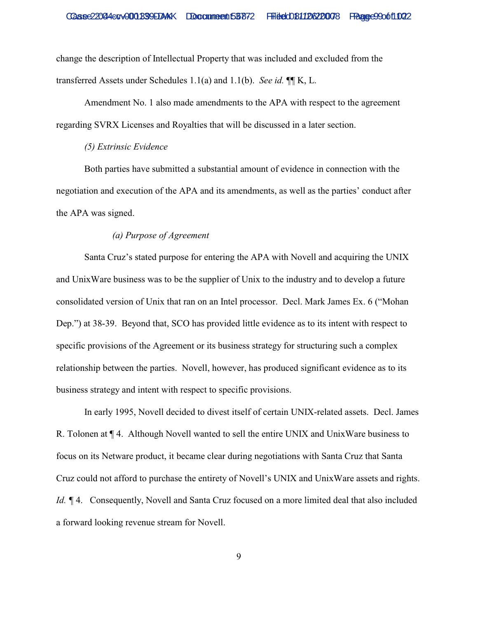change the description of Intellectual Property that was included and excluded from the transferred Assets under Schedules 1.1(a) and 1.1(b). *See id.* ¶¶ K, L.

Amendment No. 1 also made amendments to the APA with respect to the agreement regarding SVRX Licenses and Royalties that will be discussed in a later section.

## *(5) Extrinsic Evidence*

Both parties have submitted a substantial amount of evidence in connection with the negotiation and execution of the APA and its amendments, as well as the parties' conduct after the APA was signed.

## *(a) Purpose of Agreement*

Santa Cruz's stated purpose for entering the APA with Novell and acquiring the UNIX and UnixWare business was to be the supplier of Unix to the industry and to develop a future consolidated version of Unix that ran on an Intel processor. Decl. Mark James Ex. 6 ("Mohan Dep.") at 38-39. Beyond that, SCO has provided little evidence as to its intent with respect to specific provisions of the Agreement or its business strategy for structuring such a complex relationship between the parties. Novell, however, has produced significant evidence as to its business strategy and intent with respect to specific provisions.

In early 1995, Novell decided to divest itself of certain UNIX-related assets. Decl. James R. Tolonen at ¶ 4. Although Novell wanted to sell the entire UNIX and UnixWare business to focus on its Netware product, it became clear during negotiations with Santa Cruz that Santa Cruz could not afford to purchase the entirety of Novell's UNIX and UnixWare assets and rights. *Id.* ¶ 4. Consequently, Novell and Santa Cruz focused on a more limited deal that also included a forward looking revenue stream for Novell.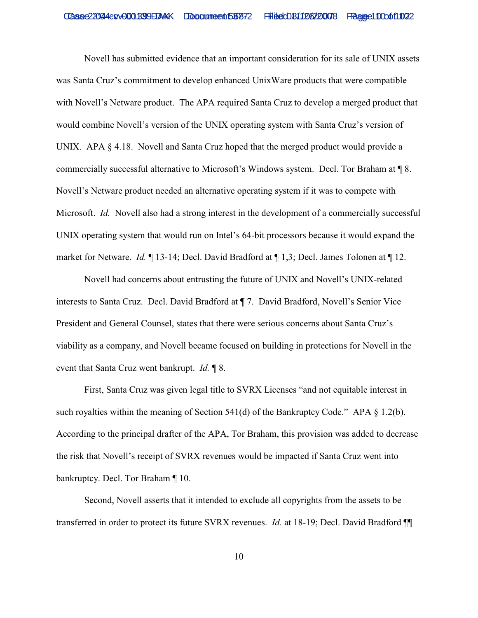Novell has submitted evidence that an important consideration for its sale of UNIX assets was Santa Cruz's commitment to develop enhanced UnixWare products that were compatible with Novell's Netware product. The APA required Santa Cruz to develop a merged product that would combine Novell's version of the UNIX operating system with Santa Cruz's version of UNIX. APA  $\S 4.18$ . Novell and Santa Cruz hoped that the merged product would provide a commercially successful alternative to Microsoft's Windows system. Decl. Tor Braham at ¶ 8. Novell's Netware product needed an alternative operating system if it was to compete with Microsoft. *Id.* Novell also had a strong interest in the development of a commercially successful UNIX operating system that would run on Intel's 64-bit processors because it would expand the market for Netware. *Id.* ¶ 13-14; Decl. David Bradford at ¶ 1,3; Decl. James Tolonen at ¶ 12.

Novell had concerns about entrusting the future of UNIX and Novell's UNIX-related interests to Santa Cruz. Decl. David Bradford at ¶ 7. David Bradford, Novell's Senior Vice President and General Counsel, states that there were serious concerns about Santa Cruz's viability as a company, and Novell became focused on building in protections for Novell in the event that Santa Cruz went bankrupt. *Id.* ¶ 8.

First, Santa Cruz was given legal title to SVRX Licenses "and not equitable interest in such royalties within the meaning of Section 541(d) of the Bankruptcy Code." APA  $\S$  1.2(b). According to the principal drafter of the APA, Tor Braham, this provision was added to decrease the risk that Novell's receipt of SVRX revenues would be impacted if Santa Cruz went into bankruptcy. Decl. Tor Braham ¶ 10.

Second, Novell asserts that it intended to exclude all copyrights from the assets to be transferred in order to protect its future SVRX revenues. *Id.* at 18-19; Decl. David Bradford ¶¶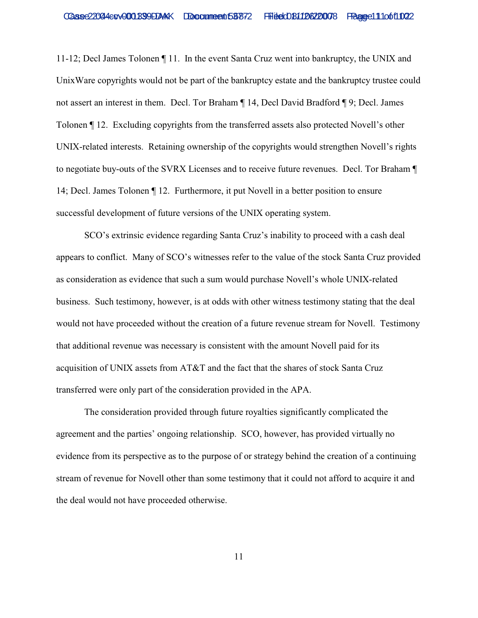11-12; Decl James Tolonen ¶ 11. In the event Santa Cruz went into bankruptcy, the UNIX and UnixWare copyrights would not be part of the bankruptcy estate and the bankruptcy trustee could not assert an interest in them. Decl. Tor Braham ¶ 14, Decl David Bradford ¶ 9; Decl. James Tolonen ¶ 12. Excluding copyrights from the transferred assets also protected Novell's other UNIX-related interests. Retaining ownership of the copyrights would strengthen Novell's rights to negotiate buy-outs of the SVRX Licenses and to receive future revenues. Decl. Tor Braham ¶ 14; Decl. James Tolonen ¶ 12. Furthermore, it put Novell in a better position to ensure successful development of future versions of the UNIX operating system.

SCO's extrinsic evidence regarding Santa Cruz's inability to proceed with a cash deal appears to conflict. Many of SCO's witnesses refer to the value of the stock Santa Cruz provided as consideration as evidence that such a sum would purchase Novell's whole UNIX-related business. Such testimony, however, is at odds with other witness testimony stating that the deal would not have proceeded without the creation of a future revenue stream for Novell. Testimony that additional revenue was necessary is consistent with the amount Novell paid for its acquisition of UNIX assets from AT&T and the fact that the shares of stock Santa Cruz transferred were only part of the consideration provided in the APA.

The consideration provided through future royalties significantly complicated the agreement and the parties' ongoing relationship. SCO, however, has provided virtually no evidence from its perspective as to the purpose of or strategy behind the creation of a continuing stream of revenue for Novell other than some testimony that it could not afford to acquire it and the deal would not have proceeded otherwise.

11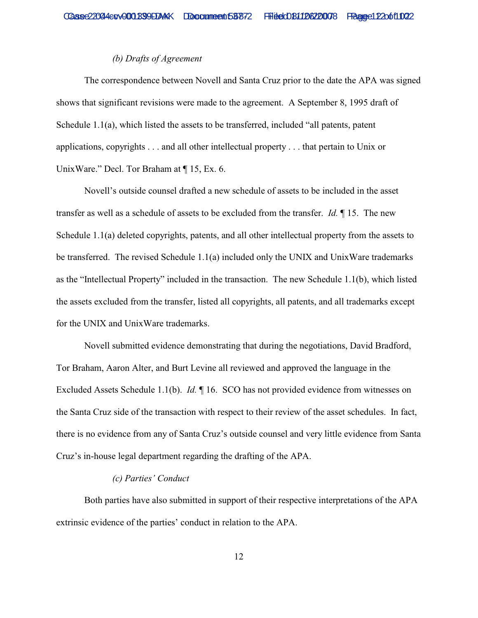## *(b) Drafts of Agreement*

The correspondence between Novell and Santa Cruz prior to the date the APA was signed shows that significant revisions were made to the agreement. A September 8, 1995 draft of Schedule 1.1(a), which listed the assets to be transferred, included "all patents, patent applications, copyrights . . . and all other intellectual property . . . that pertain to Unix or UnixWare." Decl. Tor Braham at ¶ 15, Ex. 6.

Novell's outside counsel drafted a new schedule of assets to be included in the asset transfer as well as a schedule of assets to be excluded from the transfer. *Id.* ¶ 15. The new Schedule 1.1(a) deleted copyrights, patents, and all other intellectual property from the assets to be transferred. The revised Schedule 1.1(a) included only the UNIX and UnixWare trademarks as the "Intellectual Property" included in the transaction. The new Schedule 1.1(b), which listed the assets excluded from the transfer, listed all copyrights, all patents, and all trademarks except for the UNIX and UnixWare trademarks.

Novell submitted evidence demonstrating that during the negotiations, David Bradford, Tor Braham, Aaron Alter, and Burt Levine all reviewed and approved the language in the Excluded Assets Schedule 1.1(b). *Id.* ¶ 16. SCO has not provided evidence from witnesses on the Santa Cruz side of the transaction with respect to their review of the asset schedules. In fact, there is no evidence from any of Santa Cruz's outside counsel and very little evidence from Santa Cruz's in-house legal department regarding the drafting of the APA.

### *(c) Parties' Conduct*

Both parties have also submitted in support of their respective interpretations of the APA extrinsic evidence of the parties' conduct in relation to the APA.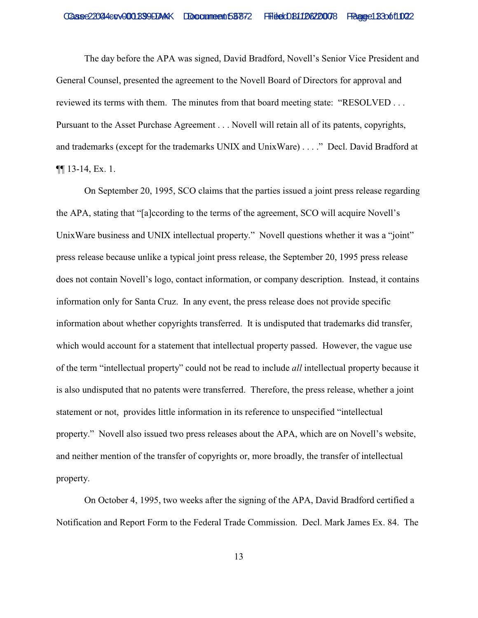The day before the APA was signed, David Bradford, Novell's Senior Vice President and General Counsel, presented the agreement to the Novell Board of Directors for approval and reviewed its terms with them. The minutes from that board meeting state: "RESOLVED . . . Pursuant to the Asset Purchase Agreement . . . Novell will retain all of its patents, copyrights, and trademarks (except for the trademarks UNIX and UnixWare) . . . ." Decl. David Bradford at ¶¶ 13-14, Ex. 1.

On September 20, 1995, SCO claims that the parties issued a joint press release regarding the APA, stating that "[a]ccording to the terms of the agreement, SCO will acquire Novell's UnixWare business and UNIX intellectual property." Novell questions whether it was a "joint" press release because unlike a typical joint press release, the September 20, 1995 press release does not contain Novell's logo, contact information, or company description. Instead, it contains information only for Santa Cruz. In any event, the press release does not provide specific information about whether copyrights transferred. It is undisputed that trademarks did transfer, which would account for a statement that intellectual property passed. However, the vague use of the term "intellectual property" could not be read to include *all* intellectual property because it is also undisputed that no patents were transferred. Therefore, the press release, whether a joint statement or not, provides little information in its reference to unspecified "intellectual property." Novell also issued two press releases about the APA, which are on Novell's website, and neither mention of the transfer of copyrights or, more broadly, the transfer of intellectual property.

On October 4, 1995, two weeks after the signing of the APA, David Bradford certified a Notification and Report Form to the Federal Trade Commission. Decl. Mark James Ex. 84. The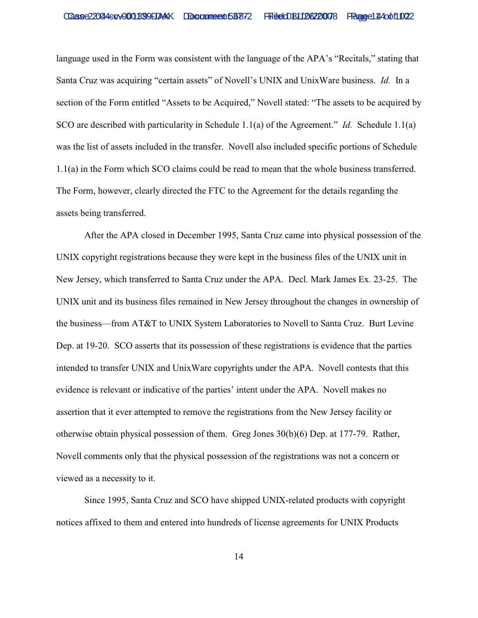language used in the Form was consistent with the language of the APA's "Recitals," stating that Santa Cruz was acquiring "certain assets" of Novell's UNIX and UnixWare business. *Id.* In a section of the Form entitled "Assets to be Acquired," Novell stated: "The assets to be acquired by SCO are described with particularity in Schedule 1.1(a) of the Agreement." *Id.* Schedule 1.1(a) was the list of assets included in the transfer. Novell also included specific portions of Schedule 1.1(a) in the Form which SCO claims could be read to mean that the whole business transferred. The Form, however, clearly directed the FTC to the Agreement for the details regarding the assets being transferred.

After the APA closed in December 1995, Santa Cruz came into physical possession of the UNIX copyright registrations because they were kept in the business files of the UNIX unit in New Jersey, which transferred to Santa Cruz under the APA. Decl. Mark James Ex. 23-25. The UNIX unit and its business files remained in New Jersey throughout the changes in ownership of the business—from AT&T to UNIX System Laboratories to Novell to Santa Cruz. Burt Levine Dep. at 19-20. SCO asserts that its possession of these registrations is evidence that the parties intended to transfer UNIX and UnixWare copyrights under the APA. Novell contests that this evidence is relevant or indicative of the parties' intent under the APA. Novell makes no assertion that it ever attempted to remove the registrations from the New Jersey facility or otherwise obtain physical possession of them. Greg Jones 30(b)(6) Dep. at 177-79. Rather, Novell comments only that the physical possession of the registrations was not a concern or viewed as a necessity to it.

Since 1995, Santa Cruz and SCO have shipped UNIX-related products with copyright notices affixed to them and entered into hundreds of license agreements for UNIX Products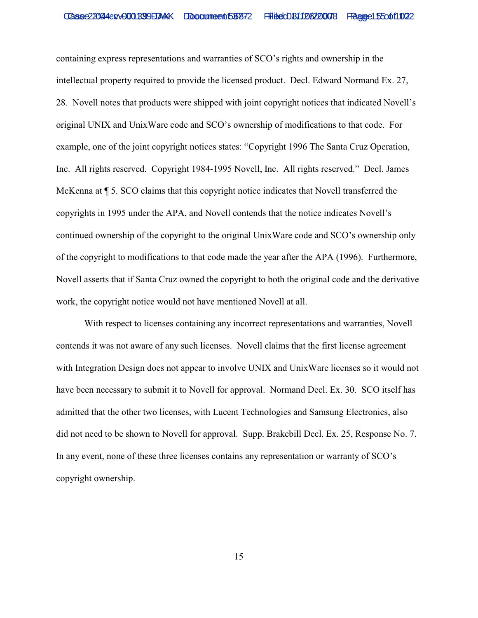containing express representations and warranties of SCO's rights and ownership in the intellectual property required to provide the licensed product. Decl. Edward Normand Ex. 27, 28. Novell notes that products were shipped with joint copyright notices that indicated Novell's original UNIX and UnixWare code and SCO's ownership of modifications to that code. For example, one of the joint copyright notices states: "Copyright 1996 The Santa Cruz Operation, Inc. All rights reserved. Copyright 1984-1995 Novell, Inc. All rights reserved." Decl. James McKenna at ¶ 5. SCO claims that this copyright notice indicates that Novell transferred the copyrights in 1995 under the APA, and Novell contends that the notice indicates Novell's continued ownership of the copyright to the original UnixWare code and SCO's ownership only of the copyright to modifications to that code made the year after the APA (1996). Furthermore, Novell asserts that if Santa Cruz owned the copyright to both the original code and the derivative work, the copyright notice would not have mentioned Novell at all.

With respect to licenses containing any incorrect representations and warranties, Novell contends it was not aware of any such licenses. Novell claims that the first license agreement with Integration Design does not appear to involve UNIX and UnixWare licenses so it would not have been necessary to submit it to Novell for approval. Normand Decl. Ex. 30. SCO itself has admitted that the other two licenses, with Lucent Technologies and Samsung Electronics, also did not need to be shown to Novell for approval. Supp. Brakebill Decl. Ex. 25, Response No. 7. In any event, none of these three licenses contains any representation or warranty of SCO's copyright ownership.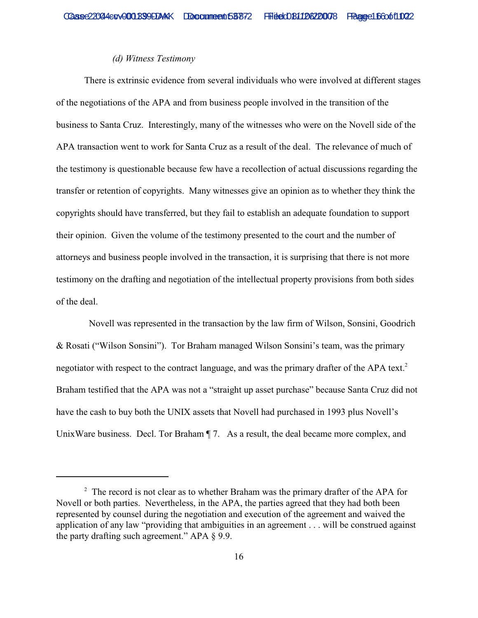## *(d) Witness Testimony*

There is extrinsic evidence from several individuals who were involved at different stages of the negotiations of the APA and from business people involved in the transition of the business to Santa Cruz. Interestingly, many of the witnesses who were on the Novell side of the APA transaction went to work for Santa Cruz as a result of the deal. The relevance of much of the testimony is questionable because few have a recollection of actual discussions regarding the transfer or retention of copyrights. Many witnesses give an opinion as to whether they think the copyrights should have transferred, but they fail to establish an adequate foundation to support their opinion. Given the volume of the testimony presented to the court and the number of attorneys and business people involved in the transaction, it is surprising that there is not more testimony on the drafting and negotiation of the intellectual property provisions from both sides of the deal.

 Novell was represented in the transaction by the law firm of Wilson, Sonsini, Goodrich & Rosati ("Wilson Sonsini"). Tor Braham managed Wilson Sonsini's team, was the primary negotiator with respect to the contract language, and was the primary drafter of the APA text.<sup>2</sup> Braham testified that the APA was not a "straight up asset purchase" because Santa Cruz did not have the cash to buy both the UNIX assets that Novell had purchased in 1993 plus Novell's UnixWare business. Decl. Tor Braham  $\P$  7. As a result, the deal became more complex, and

 $2$  The record is not clear as to whether Braham was the primary drafter of the APA for Novell or both parties. Nevertheless, in the APA, the parties agreed that they had both been represented by counsel during the negotiation and execution of the agreement and waived the application of any law "providing that ambiguities in an agreement . . . will be construed against the party drafting such agreement." APA § 9.9.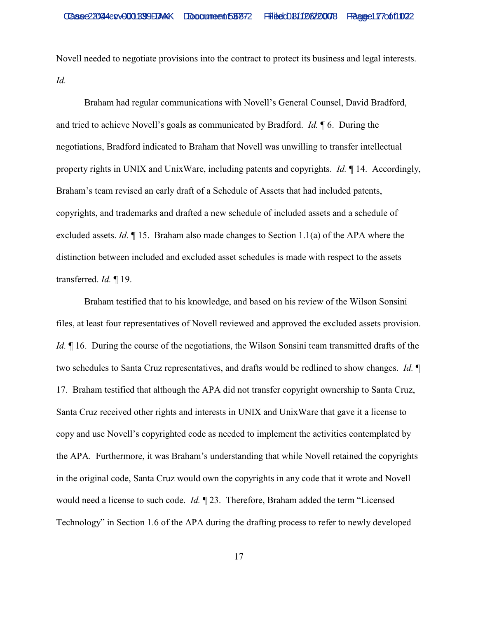Novell needed to negotiate provisions into the contract to protect its business and legal interests. *Id.* 

Braham had regular communications with Novell's General Counsel, David Bradford, and tried to achieve Novell's goals as communicated by Bradford. *Id.* ¶ 6. During the negotiations, Bradford indicated to Braham that Novell was unwilling to transfer intellectual property rights in UNIX and UnixWare, including patents and copyrights. *Id.* ¶ 14. Accordingly, Braham's team revised an early draft of a Schedule of Assets that had included patents, copyrights, and trademarks and drafted a new schedule of included assets and a schedule of excluded assets. *Id.* ¶ 15. Braham also made changes to Section 1.1(a) of the APA where the distinction between included and excluded asset schedules is made with respect to the assets transferred. *Id.* ¶ 19.

Braham testified that to his knowledge, and based on his review of the Wilson Sonsini files, at least four representatives of Novell reviewed and approved the excluded assets provision. *Id.*  $\parallel$  16. During the course of the negotiations, the Wilson Sonsini team transmitted drafts of the two schedules to Santa Cruz representatives, and drafts would be redlined to show changes. *Id.* ¶ 17. Braham testified that although the APA did not transfer copyright ownership to Santa Cruz, Santa Cruz received other rights and interests in UNIX and UnixWare that gave it a license to copy and use Novell's copyrighted code as needed to implement the activities contemplated by the APA. Furthermore, it was Braham's understanding that while Novell retained the copyrights in the original code, Santa Cruz would own the copyrights in any code that it wrote and Novell would need a license to such code. *Id.* ¶ 23. Therefore, Braham added the term "Licensed Technology" in Section 1.6 of the APA during the drafting process to refer to newly developed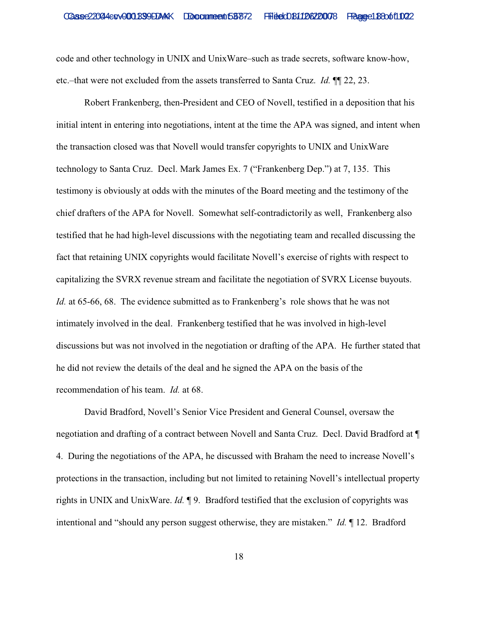code and other technology in UNIX and UnixWare–such as trade secrets, software know-how, etc.–that were not excluded from the assets transferred to Santa Cruz. *Id.* ¶¶ 22, 23.

Robert Frankenberg, then-President and CEO of Novell, testified in a deposition that his initial intent in entering into negotiations, intent at the time the APA was signed, and intent when the transaction closed was that Novell would transfer copyrights to UNIX and UnixWare technology to Santa Cruz. Decl. Mark James Ex. 7 ("Frankenberg Dep.") at 7, 135. This testimony is obviously at odds with the minutes of the Board meeting and the testimony of the chief drafters of the APA for Novell. Somewhat self-contradictorily as well, Frankenberg also testified that he had high-level discussions with the negotiating team and recalled discussing the fact that retaining UNIX copyrights would facilitate Novell's exercise of rights with respect to capitalizing the SVRX revenue stream and facilitate the negotiation of SVRX License buyouts. *Id.* at 65-66, 68. The evidence submitted as to Frankenberg's role shows that he was not intimately involved in the deal. Frankenberg testified that he was involved in high-level discussions but was not involved in the negotiation or drafting of the APA. He further stated that he did not review the details of the deal and he signed the APA on the basis of the recommendation of his team. *Id.* at 68.

David Bradford, Novell's Senior Vice President and General Counsel, oversaw the negotiation and drafting of a contract between Novell and Santa Cruz. Decl. David Bradford at ¶ 4. During the negotiations of the APA, he discussed with Braham the need to increase Novell's protections in the transaction, including but not limited to retaining Novell's intellectual property rights in UNIX and UnixWare. *Id.* ¶ 9. Bradford testified that the exclusion of copyrights was intentional and "should any person suggest otherwise, they are mistaken." *Id.* ¶ 12. Bradford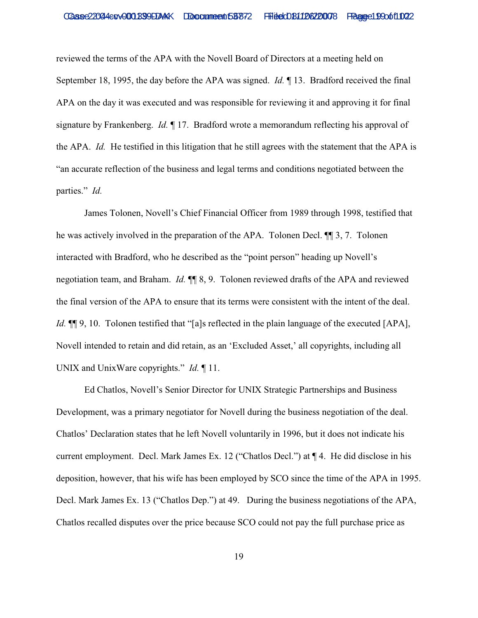reviewed the terms of the APA with the Novell Board of Directors at a meeting held on September 18, 1995, the day before the APA was signed. *Id.* ¶ 13. Bradford received the final APA on the day it was executed and was responsible for reviewing it and approving it for final signature by Frankenberg. *Id.* ¶ 17. Bradford wrote a memorandum reflecting his approval of the APA. *Id.* He testified in this litigation that he still agrees with the statement that the APA is "an accurate reflection of the business and legal terms and conditions negotiated between the parties." *Id.* 

James Tolonen, Novell's Chief Financial Officer from 1989 through 1998, testified that he was actively involved in the preparation of the APA. Tolonen Decl. ¶¶ 3, 7. Tolonen interacted with Bradford, who he described as the "point person" heading up Novell's negotiation team, and Braham. *Id.* ¶¶ 8, 9. Tolonen reviewed drafts of the APA and reviewed the final version of the APA to ensure that its terms were consistent with the intent of the deal. *Id.*  $\P$ [9, 10. Tolonen testified that "[a]s reflected in the plain language of the executed [APA], Novell intended to retain and did retain, as an 'Excluded Asset,' all copyrights, including all UNIX and UnixWare copyrights." *Id.* ¶ 11.

Ed Chatlos, Novell's Senior Director for UNIX Strategic Partnerships and Business Development, was a primary negotiator for Novell during the business negotiation of the deal. Chatlos' Declaration states that he left Novell voluntarily in 1996, but it does not indicate his current employment. Decl. Mark James Ex. 12 ("Chatlos Decl.") at ¶ 4. He did disclose in his deposition, however, that his wife has been employed by SCO since the time of the APA in 1995. Decl. Mark James Ex. 13 ("Chatlos Dep.") at 49. During the business negotiations of the APA, Chatlos recalled disputes over the price because SCO could not pay the full purchase price as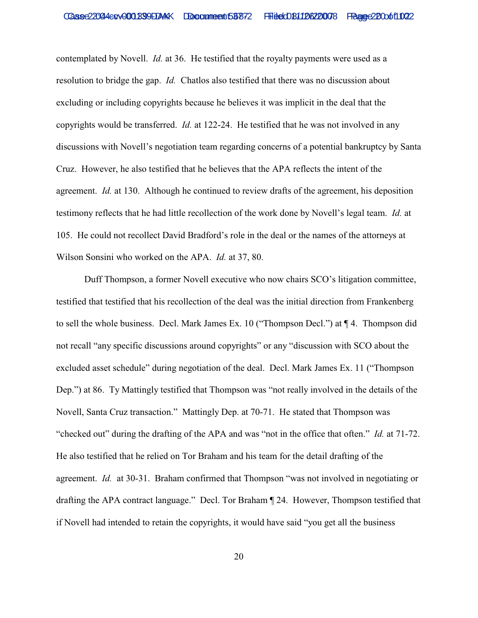contemplated by Novell. *Id.* at 36. He testified that the royalty payments were used as a resolution to bridge the gap. *Id.* Chatlos also testified that there was no discussion about excluding or including copyrights because he believes it was implicit in the deal that the copyrights would be transferred. *Id.* at 122-24. He testified that he was not involved in any discussions with Novell's negotiation team regarding concerns of a potential bankruptcy by Santa Cruz. However, he also testified that he believes that the APA reflects the intent of the agreement. *Id.* at 130. Although he continued to review drafts of the agreement, his deposition testimony reflects that he had little recollection of the work done by Novell's legal team. *Id.* at 105. He could not recollect David Bradford's role in the deal or the names of the attorneys at Wilson Sonsini who worked on the APA. *Id.* at 37, 80.

Duff Thompson, a former Novell executive who now chairs SCO's litigation committee, testified that testified that his recollection of the deal was the initial direction from Frankenberg to sell the whole business. Decl. Mark James Ex. 10 ("Thompson Decl.") at ¶ 4. Thompson did not recall "any specific discussions around copyrights" or any "discussion with SCO about the excluded asset schedule" during negotiation of the deal. Decl. Mark James Ex. 11 ("Thompson Dep.") at 86. Ty Mattingly testified that Thompson was "not really involved in the details of the Novell, Santa Cruz transaction." Mattingly Dep. at 70-71. He stated that Thompson was "checked out" during the drafting of the APA and was "not in the office that often." *Id.* at 71-72. He also testified that he relied on Tor Braham and his team for the detail drafting of the agreement. *Id.* at 30-31. Braham confirmed that Thompson "was not involved in negotiating or drafting the APA contract language." Decl. Tor Braham ¶ 24. However, Thompson testified that if Novell had intended to retain the copyrights, it would have said "you get all the business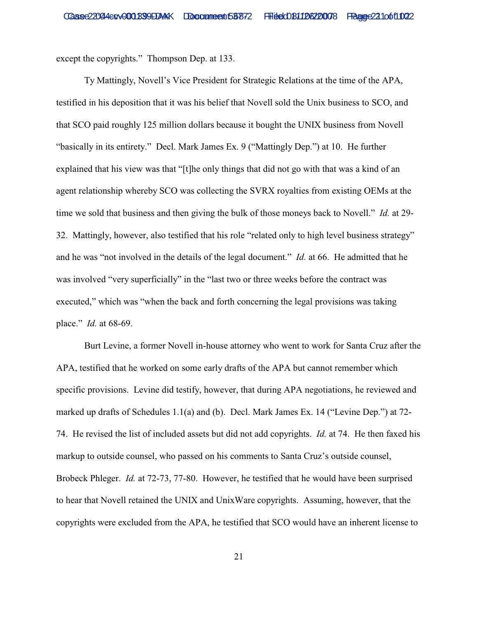except the copyrights." Thompson Dep. at 133.

Ty Mattingly, Novell's Vice President for Strategic Relations at the time of the APA, testified in his deposition that it was his belief that Novell sold the Unix business to SCO, and that SCO paid roughly 125 million dollars because it bought the UNIX business from Novell "basically in its entirety." Decl. Mark James Ex. 9 ("Mattingly Dep.") at 10. He further explained that his view was that "[t]he only things that did not go with that was a kind of an agent relationship whereby SCO was collecting the SVRX royalties from existing OEMs at the time we sold that business and then giving the bulk of those moneys back to Novell." *Id.* at 29- 32. Mattingly, however, also testified that his role "related only to high level business strategy" and he was "not involved in the details of the legal document." *Id.* at 66. He admitted that he was involved "very superficially" in the "last two or three weeks before the contract was executed," which was "when the back and forth concerning the legal provisions was taking place." *Id.* at 68-69.

Burt Levine, a former Novell in-house attorney who went to work for Santa Cruz after the APA, testified that he worked on some early drafts of the APA but cannot remember which specific provisions. Levine did testify, however, that during APA negotiations, he reviewed and marked up drafts of Schedules 1.1(a) and (b). Decl. Mark James Ex. 14 ("Levine Dep.") at 72- 74. He revised the list of included assets but did not add copyrights. *Id.* at 74. He then faxed his markup to outside counsel, who passed on his comments to Santa Cruz's outside counsel, Brobeck Phleger. *Id.* at 72-73, 77-80. However, he testified that he would have been surprised to hear that Novell retained the UNIX and UnixWare copyrights. Assuming, however, that the copyrights were excluded from the APA, he testified that SCO would have an inherent license to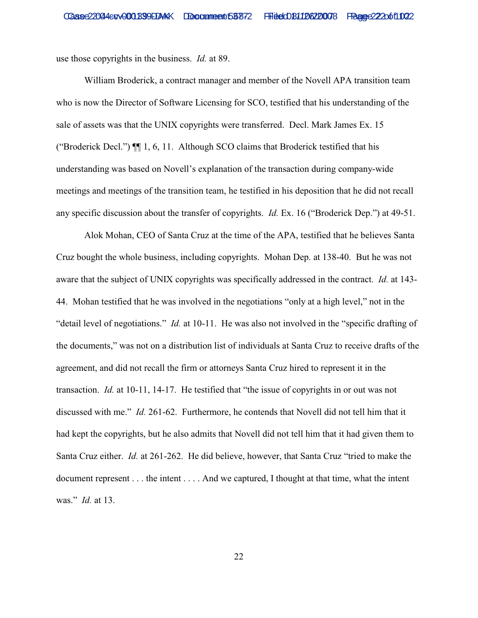use those copyrights in the business. *Id.* at 89.

William Broderick, a contract manager and member of the Novell APA transition team who is now the Director of Software Licensing for SCO, testified that his understanding of the sale of assets was that the UNIX copyrights were transferred. Decl. Mark James Ex. 15 ("Broderick Decl.") ¶¶ 1, 6, 11. Although SCO claims that Broderick testified that his understanding was based on Novell's explanation of the transaction during company-wide meetings and meetings of the transition team, he testified in his deposition that he did not recall any specific discussion about the transfer of copyrights. *Id.* Ex. 16 ("Broderick Dep.") at 49-51.

 Alok Mohan, CEO of Santa Cruz at the time of the APA, testified that he believes Santa Cruz bought the whole business, including copyrights. Mohan Dep. at 138-40. But he was not aware that the subject of UNIX copyrights was specifically addressed in the contract. *Id.* at 143- 44. Mohan testified that he was involved in the negotiations "only at a high level," not in the "detail level of negotiations." *Id.* at 10-11. He was also not involved in the "specific drafting of the documents," was not on a distribution list of individuals at Santa Cruz to receive drafts of the agreement, and did not recall the firm or attorneys Santa Cruz hired to represent it in the transaction. *Id.* at 10-11, 14-17. He testified that "the issue of copyrights in or out was not discussed with me." *Id.* 261-62. Furthermore, he contends that Novell did not tell him that it had kept the copyrights, but he also admits that Novell did not tell him that it had given them to Santa Cruz either. *Id.* at 261-262. He did believe, however, that Santa Cruz "tried to make the document represent . . . the intent . . . . And we captured, I thought at that time, what the intent was." *Id.* at 13.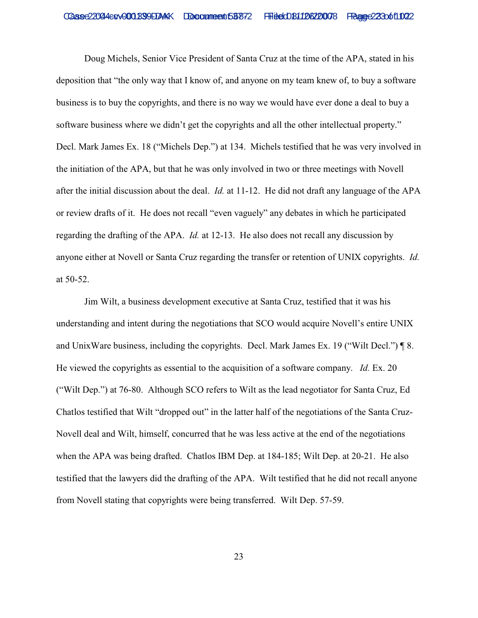Doug Michels, Senior Vice President of Santa Cruz at the time of the APA, stated in his deposition that "the only way that I know of, and anyone on my team knew of, to buy a software business is to buy the copyrights, and there is no way we would have ever done a deal to buy a software business where we didn't get the copyrights and all the other intellectual property." Decl. Mark James Ex. 18 ("Michels Dep.") at 134. Michels testified that he was very involved in the initiation of the APA, but that he was only involved in two or three meetings with Novell after the initial discussion about the deal. *Id.* at 11-12. He did not draft any language of the APA or review drafts of it. He does not recall "even vaguely" any debates in which he participated regarding the drafting of the APA. *Id.* at 12-13. He also does not recall any discussion by anyone either at Novell or Santa Cruz regarding the transfer or retention of UNIX copyrights. *Id.* at 50-52.

Jim Wilt, a business development executive at Santa Cruz, testified that it was his understanding and intent during the negotiations that SCO would acquire Novell's entire UNIX and UnixWare business, including the copyrights. Decl. Mark James Ex. 19 ("Wilt Decl.") ¶ 8. He viewed the copyrights as essential to the acquisition of a software company. *Id.* Ex. 20 ("Wilt Dep.") at 76-80. Although SCO refers to Wilt as the lead negotiator for Santa Cruz, Ed Chatlos testified that Wilt "dropped out" in the latter half of the negotiations of the Santa Cruz-Novell deal and Wilt, himself, concurred that he was less active at the end of the negotiations when the APA was being drafted. Chatlos IBM Dep. at 184-185; Wilt Dep. at 20-21. He also testified that the lawyers did the drafting of the APA. Wilt testified that he did not recall anyone from Novell stating that copyrights were being transferred. Wilt Dep. 57-59.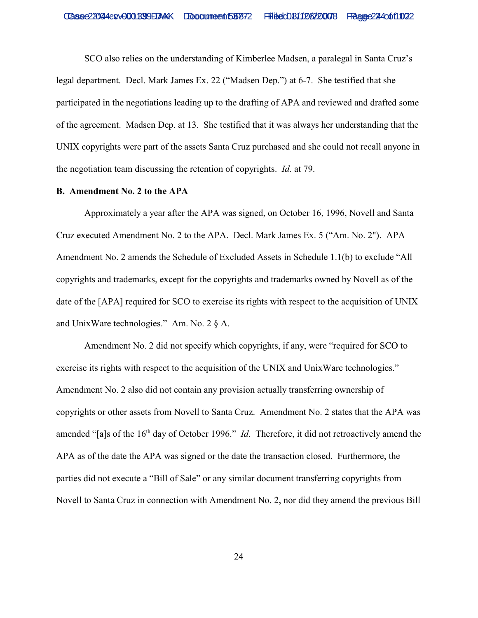SCO also relies on the understanding of Kimberlee Madsen, a paralegal in Santa Cruz's legal department. Decl. Mark James Ex. 22 ("Madsen Dep.") at 6-7. She testified that she participated in the negotiations leading up to the drafting of APA and reviewed and drafted some of the agreement. Madsen Dep. at 13. She testified that it was always her understanding that the UNIX copyrights were part of the assets Santa Cruz purchased and she could not recall anyone in the negotiation team discussing the retention of copyrights. *Id.* at 79.

### **B. Amendment No. 2 to the APA**

Approximately a year after the APA was signed, on October 16, 1996, Novell and Santa Cruz executed Amendment No. 2 to the APA. Decl. Mark James Ex. 5 ("Am. No. 2"). APA Amendment No. 2 amends the Schedule of Excluded Assets in Schedule 1.1(b) to exclude "All copyrights and trademarks, except for the copyrights and trademarks owned by Novell as of the date of the [APA] required for SCO to exercise its rights with respect to the acquisition of UNIX and UnixWare technologies." Am. No. 2 § A.

Amendment No. 2 did not specify which copyrights, if any, were "required for SCO to exercise its rights with respect to the acquisition of the UNIX and UnixWare technologies." Amendment No. 2 also did not contain any provision actually transferring ownership of copyrights or other assets from Novell to Santa Cruz. Amendment No. 2 states that the APA was amended "[a]s of the 16<sup>th</sup> day of October 1996." *Id.* Therefore, it did not retroactively amend the APA as of the date the APA was signed or the date the transaction closed. Furthermore, the parties did not execute a "Bill of Sale" or any similar document transferring copyrights from Novell to Santa Cruz in connection with Amendment No. 2, nor did they amend the previous Bill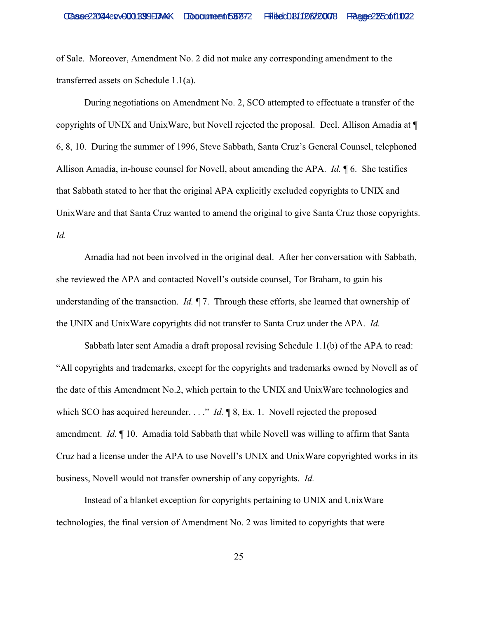of Sale. Moreover, Amendment No. 2 did not make any corresponding amendment to the transferred assets on Schedule 1.1(a).

During negotiations on Amendment No. 2, SCO attempted to effectuate a transfer of the copyrights of UNIX and UnixWare, but Novell rejected the proposal. Decl. Allison Amadia at ¶ 6, 8, 10. During the summer of 1996, Steve Sabbath, Santa Cruz's General Counsel, telephoned Allison Amadia, in-house counsel for Novell, about amending the APA. *Id.* ¶ 6. She testifies that Sabbath stated to her that the original APA explicitly excluded copyrights to UNIX and UnixWare and that Santa Cruz wanted to amend the original to give Santa Cruz those copyrights. *Id.*

Amadia had not been involved in the original deal. After her conversation with Sabbath, she reviewed the APA and contacted Novell's outside counsel, Tor Braham, to gain his understanding of the transaction. *Id.* ¶ 7. Through these efforts, she learned that ownership of the UNIX and UnixWare copyrights did not transfer to Santa Cruz under the APA. *Id.*

Sabbath later sent Amadia a draft proposal revising Schedule 1.1(b) of the APA to read: "All copyrights and trademarks, except for the copyrights and trademarks owned by Novell as of the date of this Amendment No.2, which pertain to the UNIX and UnixWare technologies and which SCO has acquired hereunder. . . ." *Id.* ¶ 8, Ex. 1. Novell rejected the proposed amendment. *Id.* ¶ 10. Amadia told Sabbath that while Novell was willing to affirm that Santa Cruz had a license under the APA to use Novell's UNIX and UnixWare copyrighted works in its business, Novell would not transfer ownership of any copyrights. *Id.*

Instead of a blanket exception for copyrights pertaining to UNIX and UnixWare technologies, the final version of Amendment No. 2 was limited to copyrights that were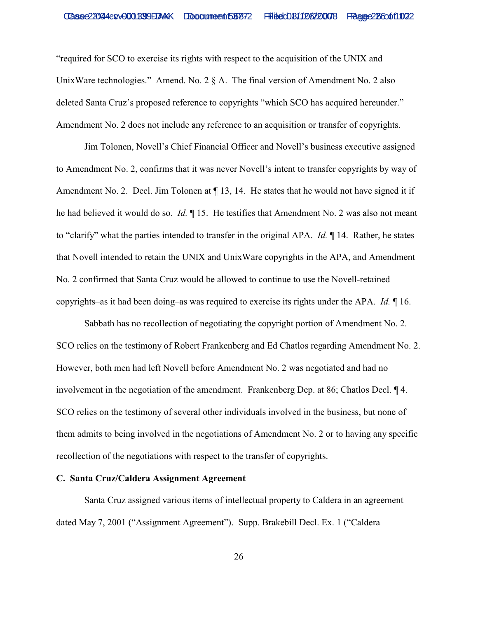"required for SCO to exercise its rights with respect to the acquisition of the UNIX and UnixWare technologies." Amend. No. 2 § A. The final version of Amendment No. 2 also deleted Santa Cruz's proposed reference to copyrights "which SCO has acquired hereunder." Amendment No. 2 does not include any reference to an acquisition or transfer of copyrights.

Jim Tolonen, Novell's Chief Financial Officer and Novell's business executive assigned to Amendment No. 2, confirms that it was never Novell's intent to transfer copyrights by way of Amendment No. 2. Decl. Jim Tolonen at  $\P$  13, 14. He states that he would not have signed it if he had believed it would do so. *Id.* ¶ 15. He testifies that Amendment No. 2 was also not meant to "clarify" what the parties intended to transfer in the original APA. *Id.* ¶ 14. Rather, he states that Novell intended to retain the UNIX and UnixWare copyrights in the APA, and Amendment No. 2 confirmed that Santa Cruz would be allowed to continue to use the Novell-retained copyrights–as it had been doing–as was required to exercise its rights under the APA. *Id.* ¶ 16.

Sabbath has no recollection of negotiating the copyright portion of Amendment No. 2. SCO relies on the testimony of Robert Frankenberg and Ed Chatlos regarding Amendment No. 2. However, both men had left Novell before Amendment No. 2 was negotiated and had no involvement in the negotiation of the amendment. Frankenberg Dep. at 86; Chatlos Decl. ¶ 4. SCO relies on the testimony of several other individuals involved in the business, but none of them admits to being involved in the negotiations of Amendment No. 2 or to having any specific recollection of the negotiations with respect to the transfer of copyrights.

## **C. Santa Cruz/Caldera Assignment Agreement**

Santa Cruz assigned various items of intellectual property to Caldera in an agreement dated May 7, 2001 ("Assignment Agreement"). Supp. Brakebill Decl. Ex. 1 ("Caldera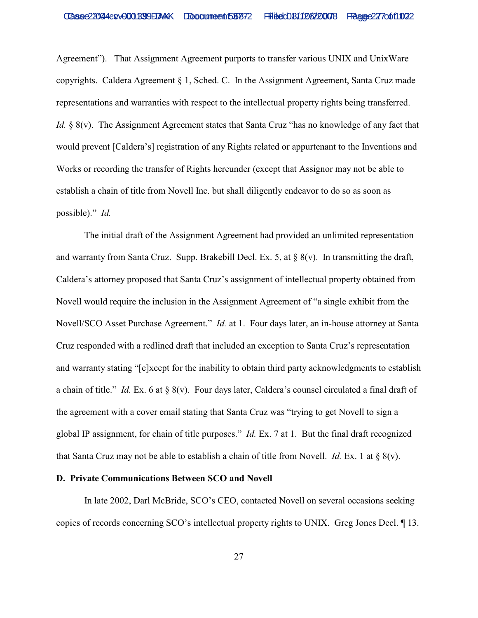Agreement"). That Assignment Agreement purports to transfer various UNIX and UnixWare copyrights. Caldera Agreement § 1, Sched. C. In the Assignment Agreement, Santa Cruz made representations and warranties with respect to the intellectual property rights being transferred. *Id.* § 8(v). The Assignment Agreement states that Santa Cruz "has no knowledge of any fact that would prevent [Caldera's] registration of any Rights related or appurtenant to the Inventions and Works or recording the transfer of Rights hereunder (except that Assignor may not be able to establish a chain of title from Novell Inc. but shall diligently endeavor to do so as soon as possible)." *Id.*

The initial draft of the Assignment Agreement had provided an unlimited representation and warranty from Santa Cruz. Supp. Brakebill Decl. Ex. 5, at  $\S$  8(v). In transmitting the draft, Caldera's attorney proposed that Santa Cruz's assignment of intellectual property obtained from Novell would require the inclusion in the Assignment Agreement of "a single exhibit from the Novell/SCO Asset Purchase Agreement." *Id.* at 1. Four days later, an in-house attorney at Santa Cruz responded with a redlined draft that included an exception to Santa Cruz's representation and warranty stating "[e]xcept for the inability to obtain third party acknowledgments to establish a chain of title." *Id.* Ex. 6 at § 8(v). Four days later, Caldera's counsel circulated a final draft of the agreement with a cover email stating that Santa Cruz was "trying to get Novell to sign a global IP assignment, for chain of title purposes." *Id.* Ex. 7 at 1. But the final draft recognized that Santa Cruz may not be able to establish a chain of title from Novell. *Id.* Ex. 1 at § 8(v).

## **D. Private Communications Between SCO and Novell**

In late 2002, Darl McBride, SCO's CEO, contacted Novell on several occasions seeking copies of records concerning SCO's intellectual property rights to UNIX. Greg Jones Decl. ¶ 13.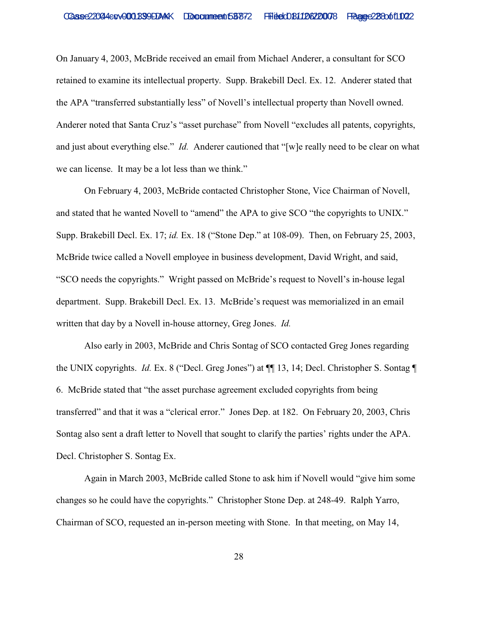On January 4, 2003, McBride received an email from Michael Anderer, a consultant for SCO retained to examine its intellectual property. Supp. Brakebill Decl. Ex. 12. Anderer stated that the APA "transferred substantially less" of Novell's intellectual property than Novell owned. Anderer noted that Santa Cruz's "asset purchase" from Novell "excludes all patents, copyrights, and just about everything else." *Id.* Anderer cautioned that "[w]e really need to be clear on what we can license. It may be a lot less than we think."

On February 4, 2003, McBride contacted Christopher Stone, Vice Chairman of Novell, and stated that he wanted Novell to "amend" the APA to give SCO "the copyrights to UNIX." Supp. Brakebill Decl. Ex. 17; *id.* Ex. 18 ("Stone Dep." at 108-09). Then, on February 25, 2003, McBride twice called a Novell employee in business development, David Wright, and said, "SCO needs the copyrights." Wright passed on McBride's request to Novell's in-house legal department. Supp. Brakebill Decl. Ex. 13. McBride's request was memorialized in an email written that day by a Novell in-house attorney, Greg Jones. *Id.*

Also early in 2003, McBride and Chris Sontag of SCO contacted Greg Jones regarding the UNIX copyrights. *Id.* Ex. 8 ("Decl. Greg Jones") at ¶¶ 13, 14; Decl. Christopher S. Sontag ¶ 6. McBride stated that "the asset purchase agreement excluded copyrights from being transferred" and that it was a "clerical error." Jones Dep. at 182. On February 20, 2003, Chris Sontag also sent a draft letter to Novell that sought to clarify the parties' rights under the APA. Decl. Christopher S. Sontag Ex.

Again in March 2003, McBride called Stone to ask him if Novell would "give him some changes so he could have the copyrights." Christopher Stone Dep. at 248-49. Ralph Yarro, Chairman of SCO, requested an in-person meeting with Stone. In that meeting, on May 14,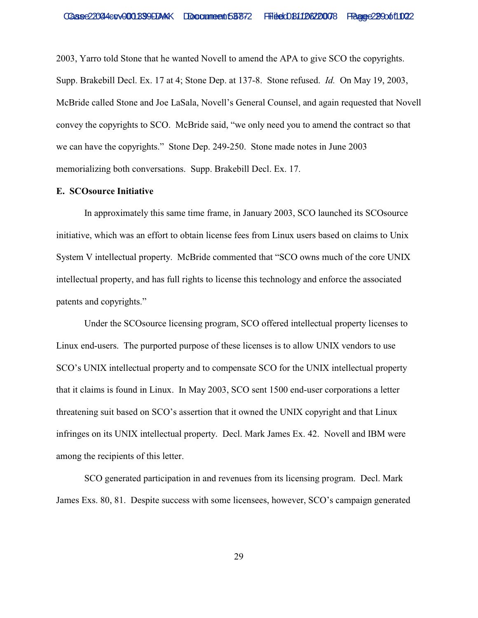2003, Yarro told Stone that he wanted Novell to amend the APA to give SCO the copyrights. Supp. Brakebill Decl. Ex. 17 at 4; Stone Dep. at 137-8. Stone refused. *Id.* On May 19, 2003, McBride called Stone and Joe LaSala, Novell's General Counsel, and again requested that Novell convey the copyrights to SCO. McBride said, "we only need you to amend the contract so that we can have the copyrights." Stone Dep. 249-250. Stone made notes in June 2003 memorializing both conversations. Supp. Brakebill Decl. Ex. 17.

## **E. SCOsource Initiative**

In approximately this same time frame, in January 2003, SCO launched its SCOsource initiative, which was an effort to obtain license fees from Linux users based on claims to Unix System V intellectual property. McBride commented that "SCO owns much of the core UNIX intellectual property, and has full rights to license this technology and enforce the associated patents and copyrights."

Under the SCOsource licensing program, SCO offered intellectual property licenses to Linux end-users. The purported purpose of these licenses is to allow UNIX vendors to use SCO's UNIX intellectual property and to compensate SCO for the UNIX intellectual property that it claims is found in Linux. In May 2003, SCO sent 1500 end-user corporations a letter threatening suit based on SCO's assertion that it owned the UNIX copyright and that Linux infringes on its UNIX intellectual property. Decl. Mark James Ex. 42. Novell and IBM were among the recipients of this letter.

SCO generated participation in and revenues from its licensing program. Decl. Mark James Exs. 80, 81. Despite success with some licensees, however, SCO's campaign generated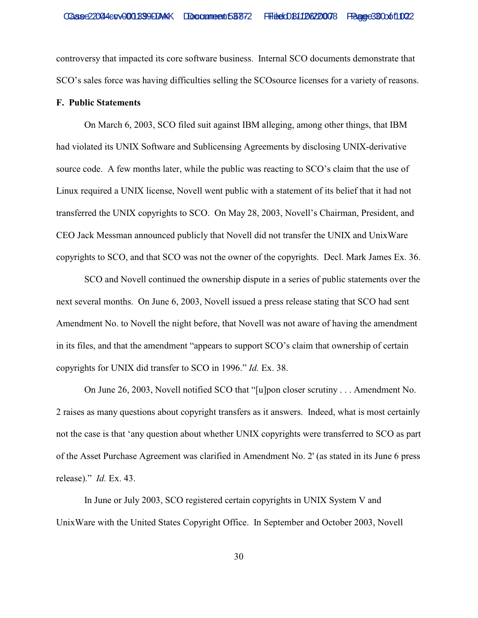controversy that impacted its core software business. Internal SCO documents demonstrate that SCO's sales force was having difficulties selling the SCOsource licenses for a variety of reasons.

# **F. Public Statements**

On March 6, 2003, SCO filed suit against IBM alleging, among other things, that IBM had violated its UNIX Software and Sublicensing Agreements by disclosing UNIX-derivative source code. A few months later, while the public was reacting to SCO's claim that the use of Linux required a UNIX license, Novell went public with a statement of its belief that it had not transferred the UNIX copyrights to SCO. On May 28, 2003, Novell's Chairman, President, and CEO Jack Messman announced publicly that Novell did not transfer the UNIX and UnixWare copyrights to SCO, and that SCO was not the owner of the copyrights. Decl. Mark James Ex. 36.

SCO and Novell continued the ownership dispute in a series of public statements over the next several months. On June 6, 2003, Novell issued a press release stating that SCO had sent Amendment No. to Novell the night before, that Novell was not aware of having the amendment in its files, and that the amendment "appears to support SCO's claim that ownership of certain copyrights for UNIX did transfer to SCO in 1996." *Id.* Ex. 38.

On June 26, 2003, Novell notified SCO that "[u]pon closer scrutiny . . . Amendment No. 2 raises as many questions about copyright transfers as it answers. Indeed, what is most certainly not the case is that 'any question about whether UNIX copyrights were transferred to SCO as part of the Asset Purchase Agreement was clarified in Amendment No. 2' (as stated in its June 6 press release)." *Id.* Ex. 43.

In June or July 2003, SCO registered certain copyrights in UNIX System V and UnixWare with the United States Copyright Office. In September and October 2003, Novell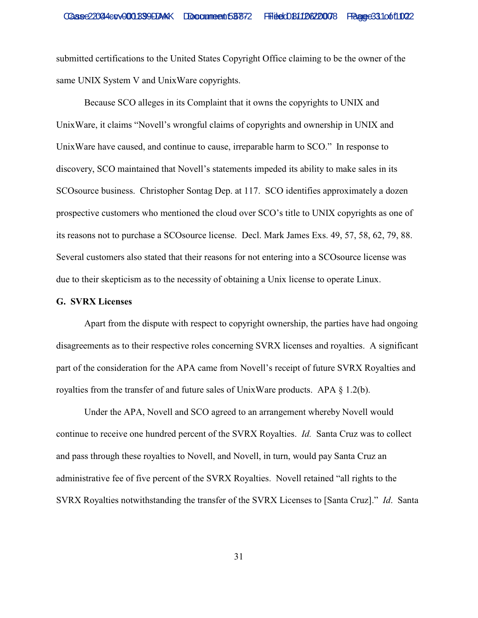submitted certifications to the United States Copyright Office claiming to be the owner of the same UNIX System V and UnixWare copyrights.

Because SCO alleges in its Complaint that it owns the copyrights to UNIX and UnixWare, it claims "Novell's wrongful claims of copyrights and ownership in UNIX and UnixWare have caused, and continue to cause, irreparable harm to SCO." In response to discovery, SCO maintained that Novell's statements impeded its ability to make sales in its SCOsource business. Christopher Sontag Dep. at 117. SCO identifies approximately a dozen prospective customers who mentioned the cloud over SCO's title to UNIX copyrights as one of its reasons not to purchase a SCOsource license. Decl. Mark James Exs. 49, 57, 58, 62, 79, 88. Several customers also stated that their reasons for not entering into a SCOsource license was due to their skepticism as to the necessity of obtaining a Unix license to operate Linux.

## **G. SVRX Licenses**

Apart from the dispute with respect to copyright ownership, the parties have had ongoing disagreements as to their respective roles concerning SVRX licenses and royalties. A significant part of the consideration for the APA came from Novell's receipt of future SVRX Royalties and royalties from the transfer of and future sales of UnixWare products. APA  $\S$  1.2(b).

Under the APA, Novell and SCO agreed to an arrangement whereby Novell would continue to receive one hundred percent of the SVRX Royalties. *Id.* Santa Cruz was to collect and pass through these royalties to Novell, and Novell, in turn, would pay Santa Cruz an administrative fee of five percent of the SVRX Royalties. Novell retained "all rights to the SVRX Royalties notwithstanding the transfer of the SVRX Licenses to [Santa Cruz]." *Id*. Santa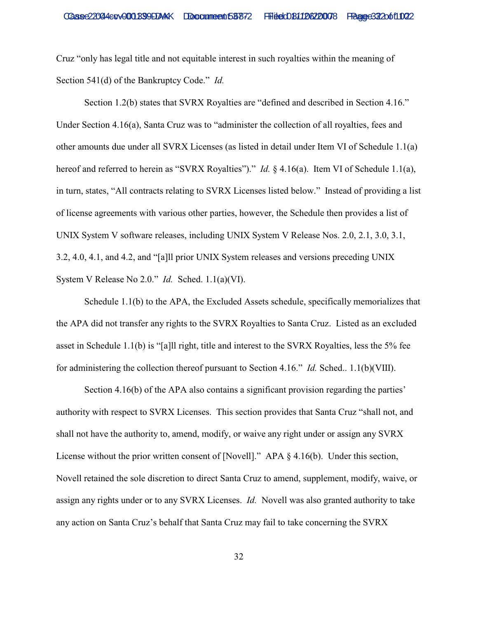Cruz "only has legal title and not equitable interest in such royalties within the meaning of Section 541(d) of the Bankruptcy Code." *Id.*

Section 1.2(b) states that SVRX Royalties are "defined and described in Section 4.16." Under Section 4.16(a), Santa Cruz was to "administer the collection of all royalties, fees and other amounts due under all SVRX Licenses (as listed in detail under Item VI of Schedule 1.1(a) hereof and referred to herein as "SVRX Royalties")." *Id.* § 4.16(a). Item VI of Schedule 1.1(a), in turn, states, "All contracts relating to SVRX Licenses listed below." Instead of providing a list of license agreements with various other parties, however, the Schedule then provides a list of UNIX System V software releases, including UNIX System V Release Nos. 2.0, 2.1, 3.0, 3.1, 3.2, 4.0, 4.1, and 4.2, and "[a]ll prior UNIX System releases and versions preceding UNIX System V Release No 2.0." *Id.* Sched. 1.1(a)(VI).

Schedule 1.1(b) to the APA, the Excluded Assets schedule, specifically memorializes that the APA did not transfer any rights to the SVRX Royalties to Santa Cruz. Listed as an excluded asset in Schedule 1.1(b) is "[a]ll right, title and interest to the SVRX Royalties, less the 5% fee for administering the collection thereof pursuant to Section 4.16." *Id.* Sched.. 1.1(b)(VIII).

Section 4.16(b) of the APA also contains a significant provision regarding the parties' authority with respect to SVRX Licenses. This section provides that Santa Cruz "shall not, and shall not have the authority to, amend, modify, or waive any right under or assign any SVRX License without the prior written consent of [Novell]." APA § 4.16(b). Under this section, Novell retained the sole discretion to direct Santa Cruz to amend, supplement, modify, waive, or assign any rights under or to any SVRX Licenses. *Id.* Novell was also granted authority to take any action on Santa Cruz's behalf that Santa Cruz may fail to take concerning the SVRX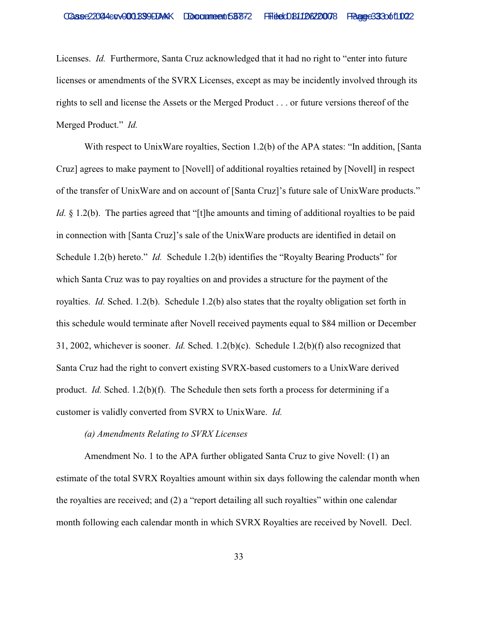Licenses. *Id.* Furthermore, Santa Cruz acknowledged that it had no right to "enter into future licenses or amendments of the SVRX Licenses, except as may be incidently involved through its rights to sell and license the Assets or the Merged Product . . . or future versions thereof of the Merged Product." *Id.* 

With respect to UnixWare royalties, Section 1.2(b) of the APA states: "In addition, [Santa] Cruz] agrees to make payment to [Novell] of additional royalties retained by [Novell] in respect of the transfer of UnixWare and on account of [Santa Cruz]'s future sale of UnixWare products." *Id.* § 1.2(b). The parties agreed that "[t]he amounts and timing of additional royalties to be paid in connection with [Santa Cruz]'s sale of the UnixWare products are identified in detail on Schedule 1.2(b) hereto." *Id.* Schedule 1.2(b) identifies the "Royalty Bearing Products" for which Santa Cruz was to pay royalties on and provides a structure for the payment of the royalties. *Id.* Sched. 1.2(b). Schedule 1.2(b) also states that the royalty obligation set forth in this schedule would terminate after Novell received payments equal to \$84 million or December 31, 2002, whichever is sooner. *Id.* Sched. 1.2(b)(c). Schedule 1.2(b)(f) also recognized that Santa Cruz had the right to convert existing SVRX-based customers to a UnixWare derived product. *Id.* Sched. 1.2(b)(f). The Schedule then sets forth a process for determining if a customer is validly converted from SVRX to UnixWare. *Id.* 

# *(a) Amendments Relating to SVRX Licenses*

Amendment No. 1 to the APA further obligated Santa Cruz to give Novell: (1) an estimate of the total SVRX Royalties amount within six days following the calendar month when the royalties are received; and (2) a "report detailing all such royalties" within one calendar month following each calendar month in which SVRX Royalties are received by Novell. Decl.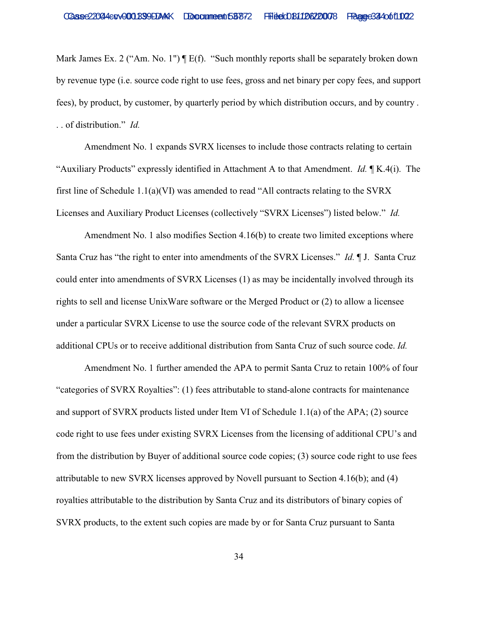Mark James Ex. 2 ("Am. No. 1")  $\P E(f)$ . "Such monthly reports shall be separately broken down by revenue type (i.e. source code right to use fees, gross and net binary per copy fees, and support fees), by product, by customer, by quarterly period by which distribution occurs, and by country . . . of distribution." *Id.*

Amendment No. 1 expands SVRX licenses to include those contracts relating to certain "Auxiliary Products" expressly identified in Attachment A to that Amendment. *Id.* ¶ K.4(i). The first line of Schedule 1.1(a)(VI) was amended to read "All contracts relating to the SVRX Licenses and Auxiliary Product Licenses (collectively "SVRX Licenses") listed below." *Id.* 

Amendment No. 1 also modifies Section 4.16(b) to create two limited exceptions where Santa Cruz has "the right to enter into amendments of the SVRX Licenses." *Id.* ¶ J. Santa Cruz could enter into amendments of SVRX Licenses (1) as may be incidentally involved through its rights to sell and license UnixWare software or the Merged Product or (2) to allow a licensee under a particular SVRX License to use the source code of the relevant SVRX products on additional CPUs or to receive additional distribution from Santa Cruz of such source code. *Id.*

Amendment No. 1 further amended the APA to permit Santa Cruz to retain 100% of four "categories of SVRX Royalties": (1) fees attributable to stand-alone contracts for maintenance and support of SVRX products listed under Item VI of Schedule 1.1(a) of the APA; (2) source code right to use fees under existing SVRX Licenses from the licensing of additional CPU's and from the distribution by Buyer of additional source code copies; (3) source code right to use fees attributable to new SVRX licenses approved by Novell pursuant to Section 4.16(b); and (4) royalties attributable to the distribution by Santa Cruz and its distributors of binary copies of SVRX products, to the extent such copies are made by or for Santa Cruz pursuant to Santa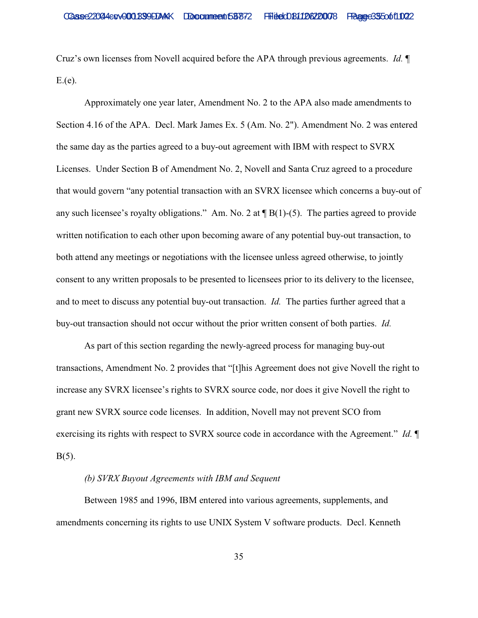Cruz's own licenses from Novell acquired before the APA through previous agreements. *Id.* ¶  $E(e)$ .

Approximately one year later, Amendment No. 2 to the APA also made amendments to Section 4.16 of the APA. Decl. Mark James Ex. 5 (Am. No. 2"). Amendment No. 2 was entered the same day as the parties agreed to a buy-out agreement with IBM with respect to SVRX Licenses. Under Section B of Amendment No. 2, Novell and Santa Cruz agreed to a procedure that would govern "any potential transaction with an SVRX licensee which concerns a buy-out of any such licensee's royalty obligations." Am. No. 2 at  $\P B(1)$ -(5). The parties agreed to provide written notification to each other upon becoming aware of any potential buy-out transaction, to both attend any meetings or negotiations with the licensee unless agreed otherwise, to jointly consent to any written proposals to be presented to licensees prior to its delivery to the licensee, and to meet to discuss any potential buy-out transaction. *Id.* The parties further agreed that a buy-out transaction should not occur without the prior written consent of both parties. *Id.* 

As part of this section regarding the newly-agreed process for managing buy-out transactions, Amendment No. 2 provides that "[t]his Agreement does not give Novell the right to increase any SVRX licensee's rights to SVRX source code, nor does it give Novell the right to grant new SVRX source code licenses. In addition, Novell may not prevent SCO from exercising its rights with respect to SVRX source code in accordance with the Agreement." *Id.* ¶  $B(5)$ .

## *(b) SVRX Buyout Agreements with IBM and Sequent*

Between 1985 and 1996, IBM entered into various agreements, supplements, and amendments concerning its rights to use UNIX System V software products. Decl. Kenneth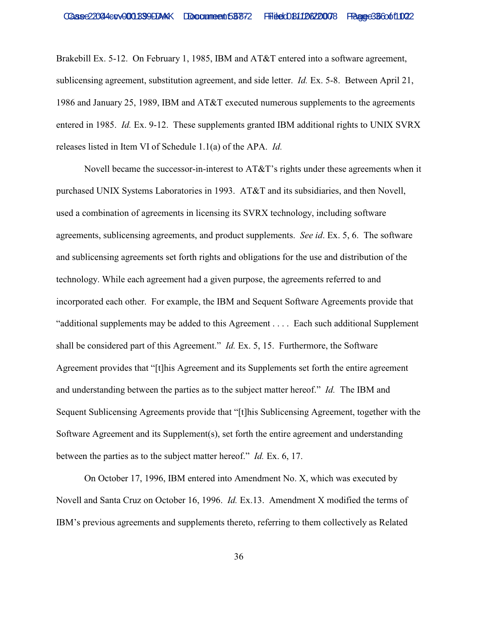Brakebill Ex. 5-12. On February 1, 1985, IBM and AT&T entered into a software agreement, sublicensing agreement, substitution agreement, and side letter. *Id.* Ex. 5-8. Between April 21, 1986 and January 25, 1989, IBM and AT&T executed numerous supplements to the agreements entered in 1985. *Id.* Ex. 9-12. These supplements granted IBM additional rights to UNIX SVRX releases listed in Item VI of Schedule 1.1(a) of the APA. *Id.*

Novell became the successor-in-interest to  $AT&T$ 's rights under these agreements when it purchased UNIX Systems Laboratories in 1993. AT&T and its subsidiaries, and then Novell, used a combination of agreements in licensing its SVRX technology, including software agreements, sublicensing agreements, and product supplements. *See id*. Ex. 5, 6. The software and sublicensing agreements set forth rights and obligations for the use and distribution of the technology. While each agreement had a given purpose, the agreements referred to and incorporated each other. For example, the IBM and Sequent Software Agreements provide that "additional supplements may be added to this Agreement . . . . Each such additional Supplement shall be considered part of this Agreement." *Id.* Ex. 5, 15. Furthermore, the Software Agreement provides that "[t]his Agreement and its Supplements set forth the entire agreement and understanding between the parties as to the subject matter hereof." *Id.* The IBM and Sequent Sublicensing Agreements provide that "[t]his Sublicensing Agreement, together with the Software Agreement and its Supplement(s), set forth the entire agreement and understanding between the parties as to the subject matter hereof." *Id.* Ex. 6, 17.

On October 17, 1996, IBM entered into Amendment No. X, which was executed by Novell and Santa Cruz on October 16, 1996. *Id.* Ex.13. Amendment X modified the terms of IBM's previous agreements and supplements thereto, referring to them collectively as Related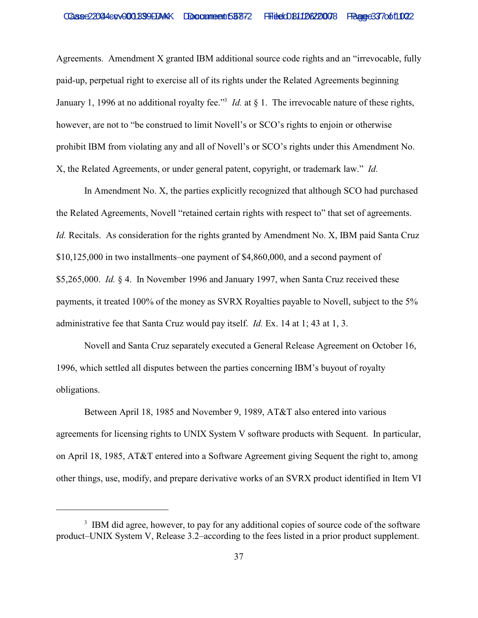Agreements. Amendment X granted IBM additional source code rights and an "irrevocable, fully paid-up, perpetual right to exercise all of its rights under the Related Agreements beginning January 1, 1996 at no additional royalty fee."<sup>3</sup> *Id.* at  $\S$  1. The irrevocable nature of these rights, however, are not to "be construed to limit Novell's or SCO's rights to enjoin or otherwise prohibit IBM from violating any and all of Novell's or SCO's rights under this Amendment No. X, the Related Agreements, or under general patent, copyright, or trademark law." *Id.*

In Amendment No. X, the parties explicitly recognized that although SCO had purchased the Related Agreements, Novell "retained certain rights with respect to" that set of agreements. *Id.* Recitals. As consideration for the rights granted by Amendment No. X, IBM paid Santa Cruz \$10,125,000 in two installments–one payment of \$4,860,000, and a second payment of \$5,265,000. *Id.* § 4. In November 1996 and January 1997, when Santa Cruz received these payments, it treated 100% of the money as SVRX Royalties payable to Novell, subject to the 5% administrative fee that Santa Cruz would pay itself. *Id.* Ex. 14 at 1; 43 at 1, 3.

Novell and Santa Cruz separately executed a General Release Agreement on October 16, 1996, which settled all disputes between the parties concerning IBM's buyout of royalty obligations.

Between April 18, 1985 and November 9, 1989, AT&T also entered into various agreements for licensing rights to UNIX System V software products with Sequent. In particular, on April 18, 1985, AT&T entered into a Software Agreement giving Sequent the right to, among other things, use, modify, and prepare derivative works of an SVRX product identified in Item VI

<sup>&</sup>lt;sup>3</sup> IBM did agree, however, to pay for any additional copies of source code of the software product–UNIX System V, Release 3.2–according to the fees listed in a prior product supplement.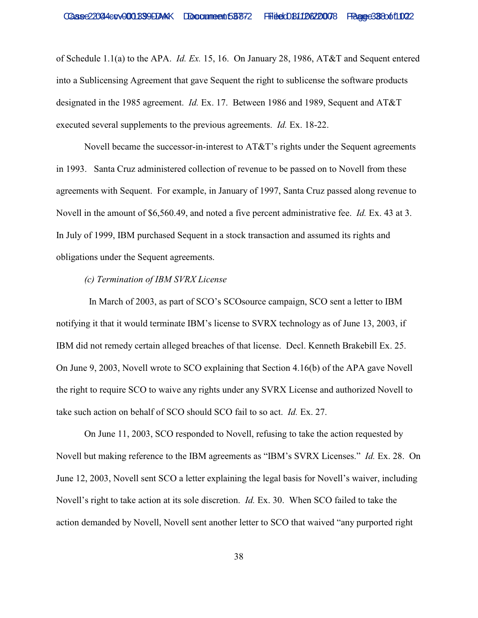of Schedule 1.1(a) to the APA. *Id. Ex.* 15, 16. On January 28, 1986, AT&T and Sequent entered into a Sublicensing Agreement that gave Sequent the right to sublicense the software products designated in the 1985 agreement. *Id.* Ex. 17. Between 1986 and 1989, Sequent and AT&T executed several supplements to the previous agreements. *Id.* Ex. 18-22.

Novell became the successor-in-interest to AT&T's rights under the Sequent agreements in 1993. Santa Cruz administered collection of revenue to be passed on to Novell from these agreements with Sequent. For example, in January of 1997, Santa Cruz passed along revenue to Novell in the amount of \$6,560.49, and noted a five percent administrative fee. *Id.* Ex. 43 at 3. In July of 1999, IBM purchased Sequent in a stock transaction and assumed its rights and obligations under the Sequent agreements.

## *(c) Termination of IBM SVRX License*

 In March of 2003, as part of SCO's SCOsource campaign, SCO sent a letter to IBM notifying it that it would terminate IBM's license to SVRX technology as of June 13, 2003, if IBM did not remedy certain alleged breaches of that license. Decl. Kenneth Brakebill Ex. 25. On June 9, 2003, Novell wrote to SCO explaining that Section 4.16(b) of the APA gave Novell the right to require SCO to waive any rights under any SVRX License and authorized Novell to take such action on behalf of SCO should SCO fail to so act. *Id.* Ex. 27.

On June 11, 2003, SCO responded to Novell, refusing to take the action requested by Novell but making reference to the IBM agreements as "IBM's SVRX Licenses." *Id.* Ex. 28. On June 12, 2003, Novell sent SCO a letter explaining the legal basis for Novell's waiver, including Novell's right to take action at its sole discretion. *Id.* Ex. 30. When SCO failed to take the action demanded by Novell, Novell sent another letter to SCO that waived "any purported right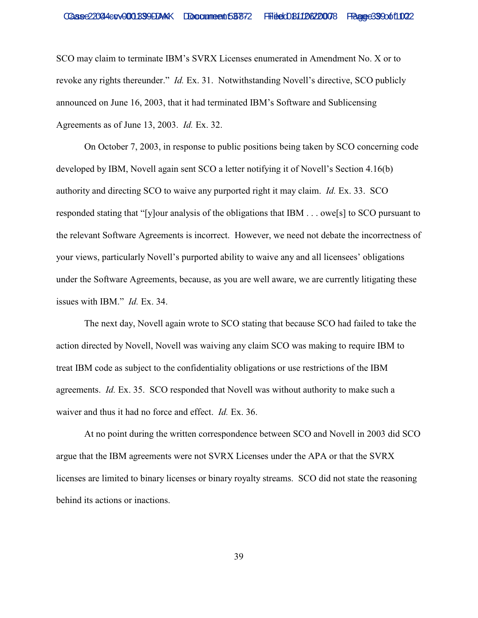SCO may claim to terminate IBM's SVRX Licenses enumerated in Amendment No. X or to revoke any rights thereunder." *Id.* Ex. 31. Notwithstanding Novell's directive, SCO publicly announced on June 16, 2003, that it had terminated IBM's Software and Sublicensing Agreements as of June 13, 2003. *Id.* Ex. 32.

On October 7, 2003, in response to public positions being taken by SCO concerning code developed by IBM, Novell again sent SCO a letter notifying it of Novell's Section 4.16(b) authority and directing SCO to waive any purported right it may claim. *Id.* Ex. 33. SCO responded stating that "[y]our analysis of the obligations that IBM . . . owe[s] to SCO pursuant to the relevant Software Agreements is incorrect. However, we need not debate the incorrectness of your views, particularly Novell's purported ability to waive any and all licensees' obligations under the Software Agreements, because, as you are well aware, we are currently litigating these issues with IBM." *Id.* Ex. 34.

The next day, Novell again wrote to SCO stating that because SCO had failed to take the action directed by Novell, Novell was waiving any claim SCO was making to require IBM to treat IBM code as subject to the confidentiality obligations or use restrictions of the IBM agreements. *Id.* Ex. 35. SCO responded that Novell was without authority to make such a waiver and thus it had no force and effect. *Id.* Ex. 36.

At no point during the written correspondence between SCO and Novell in 2003 did SCO argue that the IBM agreements were not SVRX Licenses under the APA or that the SVRX licenses are limited to binary licenses or binary royalty streams. SCO did not state the reasoning behind its actions or inactions.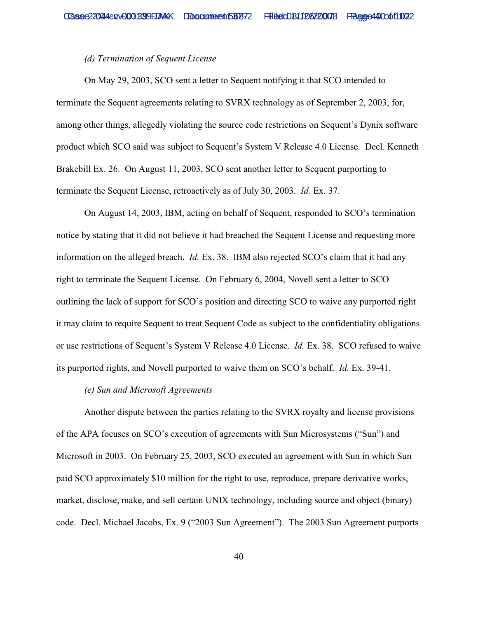## *(d) Termination of Sequent License*

On May 29, 2003, SCO sent a letter to Sequent notifying it that SCO intended to terminate the Sequent agreements relating to SVRX technology as of September 2, 2003, for, among other things, allegedly violating the source code restrictions on Sequent's Dynix software product which SCO said was subject to Sequent's System V Release 4.0 License. Decl. Kenneth Brakebill Ex. 26. On August 11, 2003, SCO sent another letter to Sequent purporting to terminate the Sequent License, retroactively as of July 30, 2003. *Id.* Ex. 37.

On August 14, 2003, IBM, acting on behalf of Sequent, responded to SCO's termination notice by stating that it did not believe it had breached the Sequent License and requesting more information on the alleged breach. *Id.* Ex. 38. IBM also rejected SCO's claim that it had any right to terminate the Sequent License. On February 6, 2004, Novell sent a letter to SCO outlining the lack of support for SCO's position and directing SCO to waive any purported right it may claim to require Sequent to treat Sequent Code as subject to the confidentiality obligations or use restrictions of Sequent's System V Release 4.0 License. *Id.* Ex. 38. SCO refused to waive its purported rights, and Novell purported to waive them on SCO's behalf. *Id.* Ex. 39-41.

#### *(e) Sun and Microsoft Agreements*

Another dispute between the parties relating to the SVRX royalty and license provisions of the APA focuses on SCO's execution of agreements with Sun Microsystems ("Sun") and Microsoft in 2003. On February 25, 2003, SCO executed an agreement with Sun in which Sun paid SCO approximately \$10 million for the right to use, reproduce, prepare derivative works, market, disclose, make, and sell certain UNIX technology, including source and object (binary) code. Decl. Michael Jacobs, Ex. 9 ("2003 Sun Agreement"). The 2003 Sun Agreement purports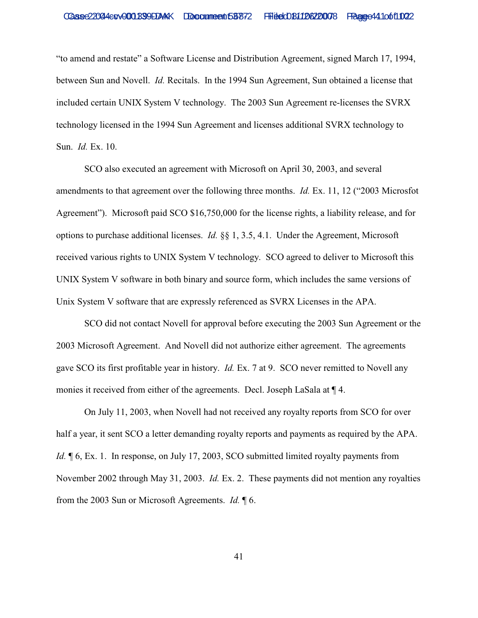"to amend and restate" a Software License and Distribution Agreement, signed March 17, 1994, between Sun and Novell. *Id.* Recitals. In the 1994 Sun Agreement, Sun obtained a license that included certain UNIX System V technology. The 2003 Sun Agreement re-licenses the SVRX technology licensed in the 1994 Sun Agreement and licenses additional SVRX technology to Sun. *Id.* Ex. 10.

SCO also executed an agreement with Microsoft on April 30, 2003, and several amendments to that agreement over the following three months. *Id.* Ex. 11, 12 ("2003 Microsfot Agreement"). Microsoft paid SCO \$16,750,000 for the license rights, a liability release, and for options to purchase additional licenses. *Id.* §§ 1, 3.5, 4.1. Under the Agreement, Microsoft received various rights to UNIX System V technology. SCO agreed to deliver to Microsoft this UNIX System V software in both binary and source form, which includes the same versions of Unix System V software that are expressly referenced as SVRX Licenses in the APA.

SCO did not contact Novell for approval before executing the 2003 Sun Agreement or the 2003 Microsoft Agreement. And Novell did not authorize either agreement. The agreements gave SCO its first profitable year in history. *Id.* Ex. 7 at 9. SCO never remitted to Novell any monies it received from either of the agreements. Decl. Joseph LaSala at ¶ 4.

On July 11, 2003, when Novell had not received any royalty reports from SCO for over half a year, it sent SCO a letter demanding royalty reports and payments as required by the APA. *Id.*  $\phi$  6, Ex. 1. In response, on July 17, 2003, SCO submitted limited royalty payments from November 2002 through May 31, 2003. *Id.* Ex. 2. These payments did not mention any royalties from the 2003 Sun or Microsoft Agreements. *Id.* ¶ 6.

41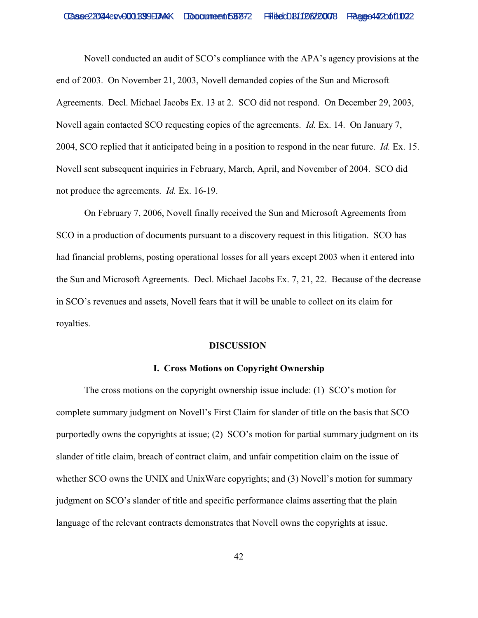Novell conducted an audit of SCO's compliance with the APA's agency provisions at the end of 2003. On November 21, 2003, Novell demanded copies of the Sun and Microsoft Agreements. Decl. Michael Jacobs Ex. 13 at 2. SCO did not respond. On December 29, 2003, Novell again contacted SCO requesting copies of the agreements. *Id.* Ex. 14. On January 7, 2004, SCO replied that it anticipated being in a position to respond in the near future. *Id.* Ex. 15. Novell sent subsequent inquiries in February, March, April, and November of 2004. SCO did not produce the agreements. *Id.* Ex. 16-19.

On February 7, 2006, Novell finally received the Sun and Microsoft Agreements from SCO in a production of documents pursuant to a discovery request in this litigation. SCO has had financial problems, posting operational losses for all years except 2003 when it entered into the Sun and Microsoft Agreements. Decl. Michael Jacobs Ex. 7, 21, 22. Because of the decrease in SCO's revenues and assets, Novell fears that it will be unable to collect on its claim for royalties.

#### **DISCUSSION**

## **I. Cross Motions on Copyright Ownership**

The cross motions on the copyright ownership issue include: (1) SCO's motion for complete summary judgment on Novell's First Claim for slander of title on the basis that SCO purportedly owns the copyrights at issue; (2) SCO's motion for partial summary judgment on its slander of title claim, breach of contract claim, and unfair competition claim on the issue of whether SCO owns the UNIX and UnixWare copyrights; and (3) Novell's motion for summary judgment on SCO's slander of title and specific performance claims asserting that the plain language of the relevant contracts demonstrates that Novell owns the copyrights at issue.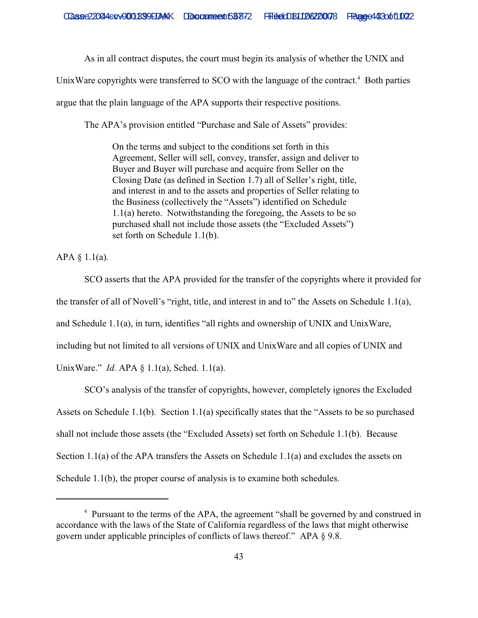As in all contract disputes, the court must begin its analysis of whether the UNIX and

UnixWare copyrights were transferred to SCO with the language of the contract.<sup>4</sup> Both parties

argue that the plain language of the APA supports their respective positions.

The APA's provision entitled "Purchase and Sale of Assets" provides:

On the terms and subject to the conditions set forth in this Agreement, Seller will sell, convey, transfer, assign and deliver to Buyer and Buyer will purchase and acquire from Seller on the Closing Date (as defined in Section 1.7) all of Seller's right, title, and interest in and to the assets and properties of Seller relating to the Business (collectively the "Assets") identified on Schedule 1.1(a) hereto. Notwithstanding the foregoing, the Assets to be so purchased shall not include those assets (the "Excluded Assets") set forth on Schedule 1.1(b).

APA  $§$  1.1(a).

SCO asserts that the APA provided for the transfer of the copyrights where it provided for the transfer of all of Novell's "right, title, and interest in and to" the Assets on Schedule 1.1(a), and Schedule 1.1(a), in turn, identifies "all rights and ownership of UNIX and UnixWare, including but not limited to all versions of UNIX and UnixWare and all copies of UNIX and UnixWare." *Id.* APA § 1.1(a), Sched. 1.1(a).

SCO's analysis of the transfer of copyrights, however, completely ignores the Excluded Assets on Schedule 1.1(b). Section 1.1(a) specifically states that the "Assets to be so purchased shall not include those assets (the "Excluded Assets) set forth on Schedule 1.1(b). Because Section 1.1(a) of the APA transfers the Assets on Schedule 1.1(a) and excludes the assets on Schedule 1.1(b), the proper course of analysis is to examine both schedules.

<sup>&</sup>lt;sup>4</sup> Pursuant to the terms of the APA, the agreement "shall be governed by and construed in accordance with the laws of the State of California regardless of the laws that might otherwise govern under applicable principles of conflicts of laws thereof." APA § 9.8.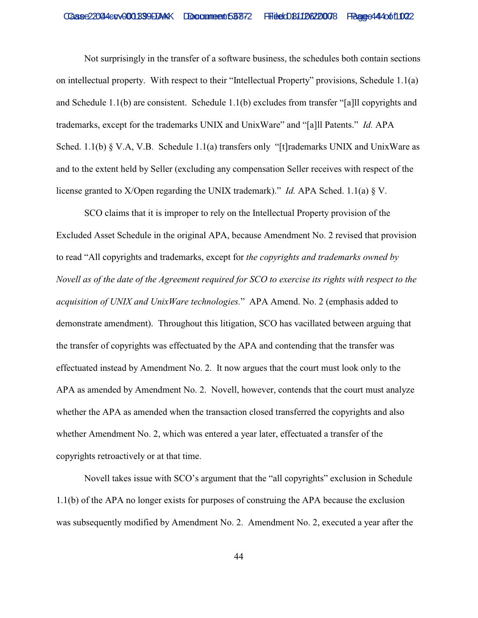Not surprisingly in the transfer of a software business, the schedules both contain sections on intellectual property. With respect to their "Intellectual Property" provisions, Schedule 1.1(a) and Schedule 1.1(b) are consistent. Schedule 1.1(b) excludes from transfer "[a]ll copyrights and trademarks, except for the trademarks UNIX and UnixWare" and "[a]ll Patents." *Id.* APA Sched. 1.1(b) § V.A, V.B. Schedule 1.1(a) transfers only "[t]rademarks UNIX and UnixWare as and to the extent held by Seller (excluding any compensation Seller receives with respect of the license granted to X/Open regarding the UNIX trademark)." *Id.* APA Sched. 1.1(a) § V.

SCO claims that it is improper to rely on the Intellectual Property provision of the Excluded Asset Schedule in the original APA, because Amendment No. 2 revised that provision to read "All copyrights and trademarks, except for *the copyrights and trademarks owned by Novell as of the date of the Agreement required for SCO to exercise its rights with respect to the acquisition of UNIX and UnixWare technologies.*" APA Amend. No. 2 (emphasis added to demonstrate amendment). Throughout this litigation, SCO has vacillated between arguing that the transfer of copyrights was effectuated by the APA and contending that the transfer was effectuated instead by Amendment No. 2. It now argues that the court must look only to the APA as amended by Amendment No. 2. Novell, however, contends that the court must analyze whether the APA as amended when the transaction closed transferred the copyrights and also whether Amendment No. 2, which was entered a year later, effectuated a transfer of the copyrights retroactively or at that time.

Novell takes issue with SCO's argument that the "all copyrights" exclusion in Schedule 1.1(b) of the APA no longer exists for purposes of construing the APA because the exclusion was subsequently modified by Amendment No. 2. Amendment No. 2, executed a year after the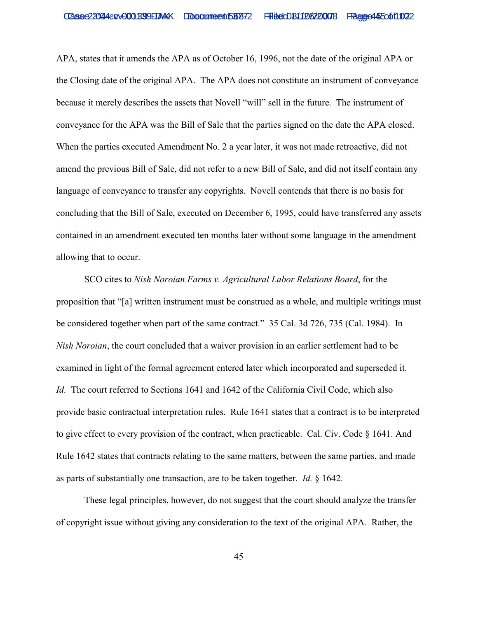APA, states that it amends the APA as of October 16, 1996, not the date of the original APA or the Closing date of the original APA. The APA does not constitute an instrument of conveyance because it merely describes the assets that Novell "will" sell in the future. The instrument of conveyance for the APA was the Bill of Sale that the parties signed on the date the APA closed. When the parties executed Amendment No. 2 a year later, it was not made retroactive, did not amend the previous Bill of Sale, did not refer to a new Bill of Sale, and did not itself contain any language of conveyance to transfer any copyrights. Novell contends that there is no basis for concluding that the Bill of Sale, executed on December 6, 1995, could have transferred any assets contained in an amendment executed ten months later without some language in the amendment allowing that to occur.

SCO cites to *Nish Noroian Farms v. Agricultural Labor Relations Board*, for the proposition that "[a] written instrument must be construed as a whole, and multiple writings must be considered together when part of the same contract." 35 Cal. 3d 726, 735 (Cal. 1984). In *Nish Noroian*, the court concluded that a waiver provision in an earlier settlement had to be examined in light of the formal agreement entered later which incorporated and superseded it. *Id.* The court referred to Sections 1641 and 1642 of the California Civil Code, which also provide basic contractual interpretation rules. Rule 1641 states that a contract is to be interpreted to give effect to every provision of the contract, when practicable. Cal. Civ. Code § 1641. And Rule 1642 states that contracts relating to the same matters, between the same parties, and made as parts of substantially one transaction, are to be taken together. *Id.* § 1642.

These legal principles, however, do not suggest that the court should analyze the transfer of copyright issue without giving any consideration to the text of the original APA. Rather, the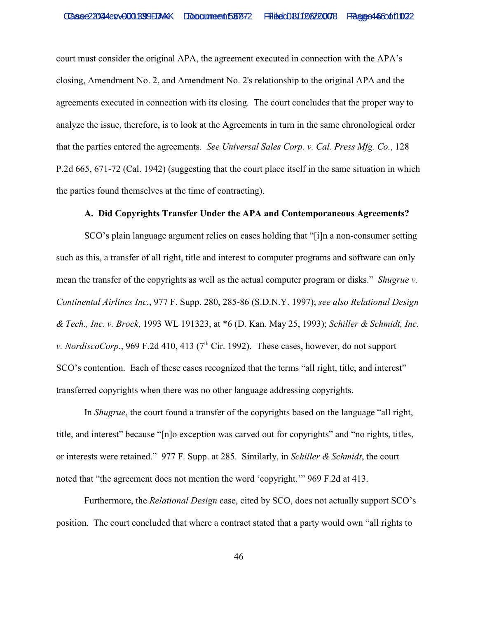court must consider the original APA, the agreement executed in connection with the APA's closing, Amendment No. 2, and Amendment No. 2's relationship to the original APA and the agreements executed in connection with its closing. The court concludes that the proper way to analyze the issue, therefore, is to look at the Agreements in turn in the same chronological order that the parties entered the agreements. *See Universal Sales Corp. v. Cal. Press Mfg. Co.*, 128 P.2d 665, 671-72 (Cal. 1942) (suggesting that the court place itself in the same situation in which the parties found themselves at the time of contracting).

### **A. Did Copyrights Transfer Under the APA and Contemporaneous Agreements?**

SCO's plain language argument relies on cases holding that "[i]n a non-consumer setting such as this, a transfer of all right, title and interest to computer programs and software can only mean the transfer of the copyrights as well as the actual computer program or disks." *Shugrue v. Continental Airlines Inc.*, 977 F. Supp. 280, 285-86 (S.D.N.Y. 1997); *see also Relational Design & Tech., Inc. v. Brock*, 1993 WL 191323, at \*6 (D. Kan. May 25, 1993); *Schiller & Schmidt, Inc. v. NordiscoCorp.*, 969 F.2d 410, 413 ( $7<sup>th</sup>$  Cir. 1992). These cases, however, do not support SCO's contention. Each of these cases recognized that the terms "all right, title, and interest" transferred copyrights when there was no other language addressing copyrights.

In *Shugrue*, the court found a transfer of the copyrights based on the language "all right, title, and interest" because "[n]o exception was carved out for copyrights" and "no rights, titles, or interests were retained." 977 F. Supp. at 285. Similarly, in *Schiller & Schmidt*, the court noted that "the agreement does not mention the word 'copyright.'" 969 F.2d at 413.

Furthermore, the *Relational Design* case, cited by SCO, does not actually support SCO's position. The court concluded that where a contract stated that a party would own "all rights to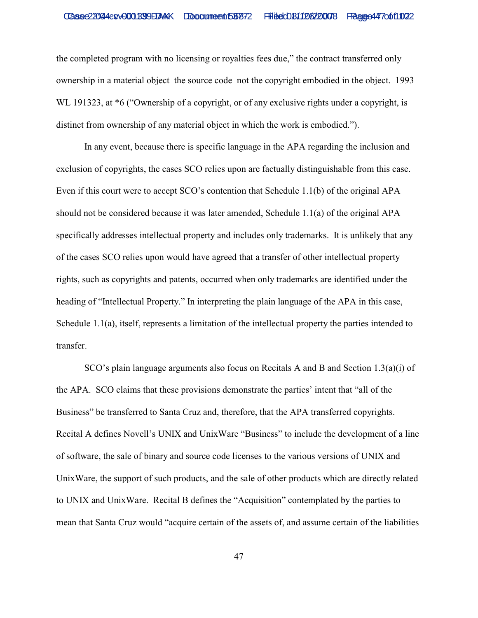the completed program with no licensing or royalties fees due," the contract transferred only ownership in a material object–the source code–not the copyright embodied in the object. 1993 WL 191323, at  $*6$  ("Ownership of a copyright, or of any exclusive rights under a copyright, is distinct from ownership of any material object in which the work is embodied.").

In any event, because there is specific language in the APA regarding the inclusion and exclusion of copyrights, the cases SCO relies upon are factually distinguishable from this case. Even if this court were to accept SCO's contention that Schedule 1.1(b) of the original APA should not be considered because it was later amended, Schedule 1.1(a) of the original APA specifically addresses intellectual property and includes only trademarks. It is unlikely that any of the cases SCO relies upon would have agreed that a transfer of other intellectual property rights, such as copyrights and patents, occurred when only trademarks are identified under the heading of "Intellectual Property." In interpreting the plain language of the APA in this case, Schedule 1.1(a), itself, represents a limitation of the intellectual property the parties intended to transfer.

 SCO's plain language arguments also focus on Recitals A and B and Section 1.3(a)(i) of the APA. SCO claims that these provisions demonstrate the parties' intent that "all of the Business" be transferred to Santa Cruz and, therefore, that the APA transferred copyrights. Recital A defines Novell's UNIX and UnixWare "Business" to include the development of a line of software, the sale of binary and source code licenses to the various versions of UNIX and UnixWare, the support of such products, and the sale of other products which are directly related to UNIX and UnixWare. Recital B defines the "Acquisition" contemplated by the parties to mean that Santa Cruz would "acquire certain of the assets of, and assume certain of the liabilities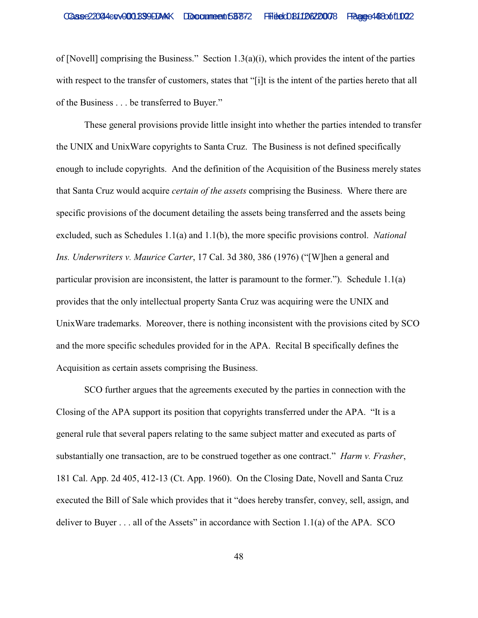of [Novell] comprising the Business." Section  $1.3(a)(i)$ , which provides the intent of the parties with respect to the transfer of customers, states that "[i]t is the intent of the parties hereto that all of the Business . . . be transferred to Buyer."

These general provisions provide little insight into whether the parties intended to transfer the UNIX and UnixWare copyrights to Santa Cruz. The Business is not defined specifically enough to include copyrights. And the definition of the Acquisition of the Business merely states that Santa Cruz would acquire *certain of the assets* comprising the Business. Where there are specific provisions of the document detailing the assets being transferred and the assets being excluded, such as Schedules 1.1(a) and 1.1(b), the more specific provisions control. *National Ins. Underwriters v. Maurice Carter*, 17 Cal. 3d 380, 386 (1976) ("[W]hen a general and particular provision are inconsistent, the latter is paramount to the former."). Schedule 1.1(a) provides that the only intellectual property Santa Cruz was acquiring were the UNIX and UnixWare trademarks. Moreover, there is nothing inconsistent with the provisions cited by SCO and the more specific schedules provided for in the APA. Recital B specifically defines the Acquisition as certain assets comprising the Business.

SCO further argues that the agreements executed by the parties in connection with the Closing of the APA support its position that copyrights transferred under the APA. "It is a general rule that several papers relating to the same subject matter and executed as parts of substantially one transaction, are to be construed together as one contract." *Harm v. Frasher*, 181 Cal. App. 2d 405, 412-13 (Ct. App. 1960). On the Closing Date, Novell and Santa Cruz executed the Bill of Sale which provides that it "does hereby transfer, convey, sell, assign, and deliver to Buyer . . . all of the Assets" in accordance with Section 1.1(a) of the APA. SCO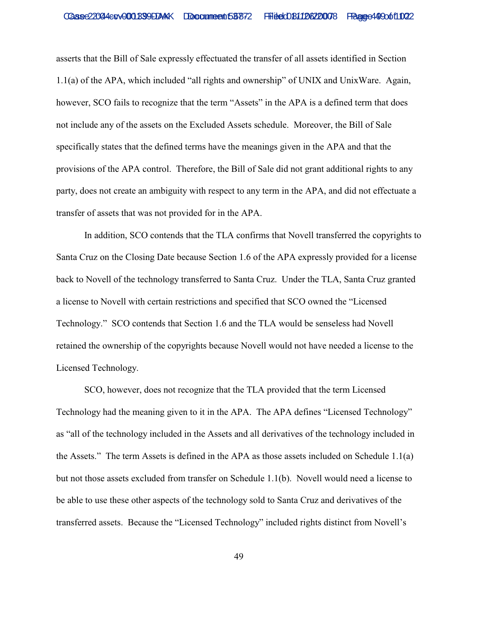asserts that the Bill of Sale expressly effectuated the transfer of all assets identified in Section 1.1(a) of the APA, which included "all rights and ownership" of UNIX and UnixWare. Again, however, SCO fails to recognize that the term "Assets" in the APA is a defined term that does not include any of the assets on the Excluded Assets schedule. Moreover, the Bill of Sale specifically states that the defined terms have the meanings given in the APA and that the provisions of the APA control. Therefore, the Bill of Sale did not grant additional rights to any party, does not create an ambiguity with respect to any term in the APA, and did not effectuate a transfer of assets that was not provided for in the APA.

In addition, SCO contends that the TLA confirms that Novell transferred the copyrights to Santa Cruz on the Closing Date because Section 1.6 of the APA expressly provided for a license back to Novell of the technology transferred to Santa Cruz. Under the TLA, Santa Cruz granted a license to Novell with certain restrictions and specified that SCO owned the "Licensed Technology." SCO contends that Section 1.6 and the TLA would be senseless had Novell retained the ownership of the copyrights because Novell would not have needed a license to the Licensed Technology.

SCO, however, does not recognize that the TLA provided that the term Licensed Technology had the meaning given to it in the APA. The APA defines "Licensed Technology" as "all of the technology included in the Assets and all derivatives of the technology included in the Assets." The term Assets is defined in the APA as those assets included on Schedule 1.1(a) but not those assets excluded from transfer on Schedule 1.1(b). Novell would need a license to be able to use these other aspects of the technology sold to Santa Cruz and derivatives of the transferred assets. Because the "Licensed Technology" included rights distinct from Novell's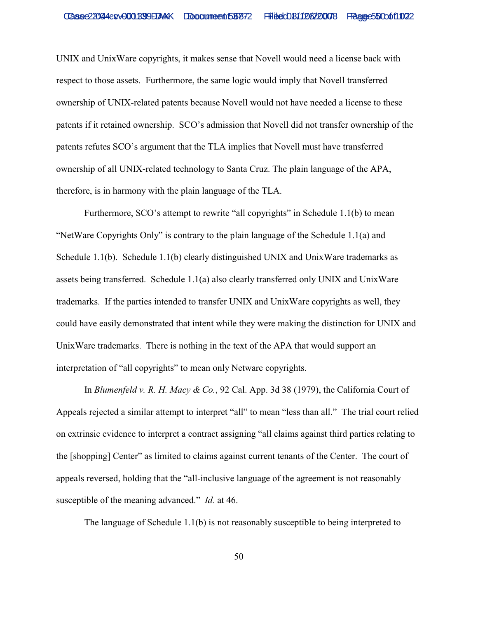UNIX and UnixWare copyrights, it makes sense that Novell would need a license back with respect to those assets. Furthermore, the same logic would imply that Novell transferred ownership of UNIX-related patents because Novell would not have needed a license to these patents if it retained ownership. SCO's admission that Novell did not transfer ownership of the patents refutes SCO's argument that the TLA implies that Novell must have transferred ownership of all UNIX-related technology to Santa Cruz. The plain language of the APA, therefore, is in harmony with the plain language of the TLA.

Furthermore, SCO's attempt to rewrite "all copyrights" in Schedule 1.1(b) to mean "NetWare Copyrights Only" is contrary to the plain language of the Schedule 1.1(a) and Schedule 1.1(b). Schedule 1.1(b) clearly distinguished UNIX and UnixWare trademarks as assets being transferred. Schedule 1.1(a) also clearly transferred only UNIX and UnixWare trademarks. If the parties intended to transfer UNIX and UnixWare copyrights as well, they could have easily demonstrated that intent while they were making the distinction for UNIX and UnixWare trademarks. There is nothing in the text of the APA that would support an interpretation of "all copyrights" to mean only Netware copyrights.

In *Blumenfeld v. R. H. Macy & Co.*, 92 Cal. App. 3d 38 (1979), the California Court of Appeals rejected a similar attempt to interpret "all" to mean "less than all." The trial court relied on extrinsic evidence to interpret a contract assigning "all claims against third parties relating to the [shopping] Center" as limited to claims against current tenants of the Center. The court of appeals reversed, holding that the "all-inclusive language of the agreement is not reasonably susceptible of the meaning advanced." *Id.* at 46.

The language of Schedule 1.1(b) is not reasonably susceptible to being interpreted to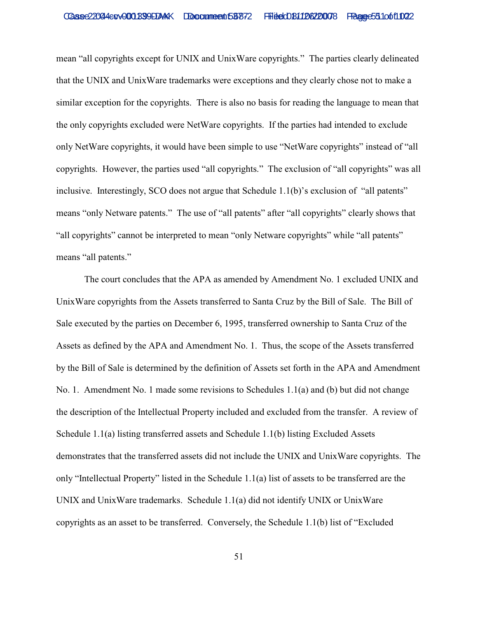mean "all copyrights except for UNIX and UnixWare copyrights." The parties clearly delineated that the UNIX and UnixWare trademarks were exceptions and they clearly chose not to make a similar exception for the copyrights. There is also no basis for reading the language to mean that the only copyrights excluded were NetWare copyrights. If the parties had intended to exclude only NetWare copyrights, it would have been simple to use "NetWare copyrights" instead of "all copyrights. However, the parties used "all copyrights." The exclusion of "all copyrights" was all inclusive. Interestingly, SCO does not argue that Schedule 1.1(b)'s exclusion of "all patents" means "only Netware patents." The use of "all patents" after "all copyrights" clearly shows that "all copyrights" cannot be interpreted to mean "only Netware copyrights" while "all patents" means "all patents."

The court concludes that the APA as amended by Amendment No. 1 excluded UNIX and UnixWare copyrights from the Assets transferred to Santa Cruz by the Bill of Sale. The Bill of Sale executed by the parties on December 6, 1995, transferred ownership to Santa Cruz of the Assets as defined by the APA and Amendment No. 1. Thus, the scope of the Assets transferred by the Bill of Sale is determined by the definition of Assets set forth in the APA and Amendment No. 1. Amendment No. 1 made some revisions to Schedules 1.1(a) and (b) but did not change the description of the Intellectual Property included and excluded from the transfer. A review of Schedule 1.1(a) listing transferred assets and Schedule 1.1(b) listing Excluded Assets demonstrates that the transferred assets did not include the UNIX and UnixWare copyrights. The only "Intellectual Property" listed in the Schedule 1.1(a) list of assets to be transferred are the UNIX and UnixWare trademarks. Schedule 1.1(a) did not identify UNIX or UnixWare copyrights as an asset to be transferred. Conversely, the Schedule 1.1(b) list of "Excluded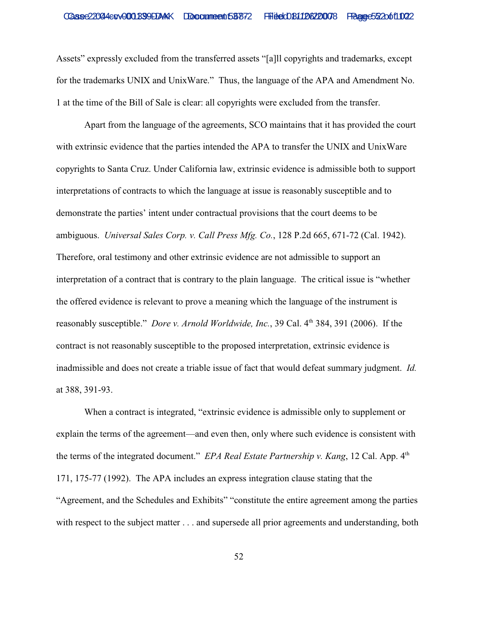Assets" expressly excluded from the transferred assets "[a]ll copyrights and trademarks, except for the trademarks UNIX and UnixWare." Thus, the language of the APA and Amendment No. 1 at the time of the Bill of Sale is clear: all copyrights were excluded from the transfer.

Apart from the language of the agreements, SCO maintains that it has provided the court with extrinsic evidence that the parties intended the APA to transfer the UNIX and UnixWare copyrights to Santa Cruz. Under California law, extrinsic evidence is admissible both to support interpretations of contracts to which the language at issue is reasonably susceptible and to demonstrate the parties' intent under contractual provisions that the court deems to be ambiguous. *Universal Sales Corp. v. Call Press Mfg. Co.*, 128 P.2d 665, 671-72 (Cal. 1942). Therefore, oral testimony and other extrinsic evidence are not admissible to support an interpretation of a contract that is contrary to the plain language. The critical issue is "whether the offered evidence is relevant to prove a meaning which the language of the instrument is reasonably susceptible." *Dore v. Arnold Worldwide, Inc.*, 39 Cal. 4<sup>th</sup> 384, 391 (2006). If the contract is not reasonably susceptible to the proposed interpretation, extrinsic evidence is inadmissible and does not create a triable issue of fact that would defeat summary judgment. *Id.* at 388, 391-93.

When a contract is integrated, "extrinsic evidence is admissible only to supplement or explain the terms of the agreement—and even then, only where such evidence is consistent with the terms of the integrated document." *EPA Real Estate Partnership v. Kang*, 12 Cal. App. 4<sup>th</sup> 171, 175-77 (1992). The APA includes an express integration clause stating that the "Agreement, and the Schedules and Exhibits" "constitute the entire agreement among the parties with respect to the subject matter . . . and supersede all prior agreements and understanding, both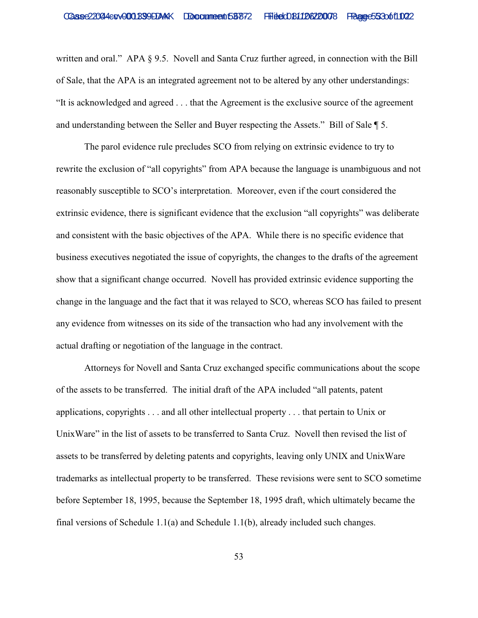written and oral." APA § 9.5. Novell and Santa Cruz further agreed, in connection with the Bill of Sale, that the APA is an integrated agreement not to be altered by any other understandings: "It is acknowledged and agreed . . . that the Agreement is the exclusive source of the agreement and understanding between the Seller and Buyer respecting the Assets." Bill of Sale ¶ 5.

The parol evidence rule precludes SCO from relying on extrinsic evidence to try to rewrite the exclusion of "all copyrights" from APA because the language is unambiguous and not reasonably susceptible to SCO's interpretation. Moreover, even if the court considered the extrinsic evidence, there is significant evidence that the exclusion "all copyrights" was deliberate and consistent with the basic objectives of the APA. While there is no specific evidence that business executives negotiated the issue of copyrights, the changes to the drafts of the agreement show that a significant change occurred. Novell has provided extrinsic evidence supporting the change in the language and the fact that it was relayed to SCO, whereas SCO has failed to present any evidence from witnesses on its side of the transaction who had any involvement with the actual drafting or negotiation of the language in the contract.

Attorneys for Novell and Santa Cruz exchanged specific communications about the scope of the assets to be transferred. The initial draft of the APA included "all patents, patent applications, copyrights . . . and all other intellectual property . . . that pertain to Unix or UnixWare" in the list of assets to be transferred to Santa Cruz. Novell then revised the list of assets to be transferred by deleting patents and copyrights, leaving only UNIX and UnixWare trademarks as intellectual property to be transferred. These revisions were sent to SCO sometime before September 18, 1995, because the September 18, 1995 draft, which ultimately became the final versions of Schedule  $1.1(a)$  and Schedule  $1.1(b)$ , already included such changes.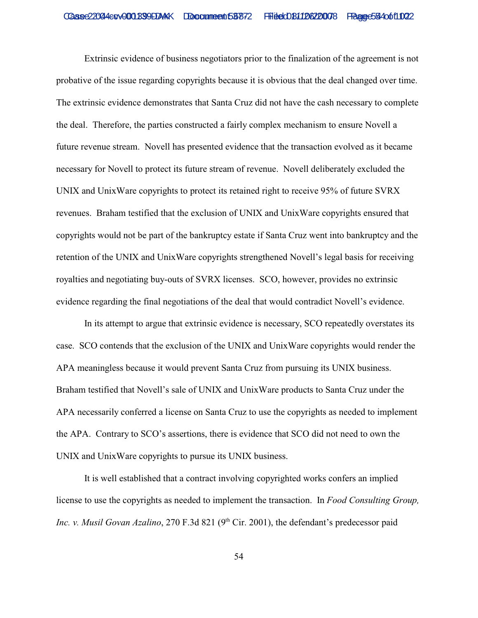Extrinsic evidence of business negotiators prior to the finalization of the agreement is not probative of the issue regarding copyrights because it is obvious that the deal changed over time. The extrinsic evidence demonstrates that Santa Cruz did not have the cash necessary to complete the deal. Therefore, the parties constructed a fairly complex mechanism to ensure Novell a future revenue stream. Novell has presented evidence that the transaction evolved as it became necessary for Novell to protect its future stream of revenue. Novell deliberately excluded the UNIX and UnixWare copyrights to protect its retained right to receive 95% of future SVRX revenues. Braham testified that the exclusion of UNIX and UnixWare copyrights ensured that copyrights would not be part of the bankruptcy estate if Santa Cruz went into bankruptcy and the retention of the UNIX and UnixWare copyrights strengthened Novell's legal basis for receiving royalties and negotiating buy-outs of SVRX licenses. SCO, however, provides no extrinsic evidence regarding the final negotiations of the deal that would contradict Novell's evidence.

In its attempt to argue that extrinsic evidence is necessary, SCO repeatedly overstates its case. SCO contends that the exclusion of the UNIX and UnixWare copyrights would render the APA meaningless because it would prevent Santa Cruz from pursuing its UNIX business. Braham testified that Novell's sale of UNIX and UnixWare products to Santa Cruz under the APA necessarily conferred a license on Santa Cruz to use the copyrights as needed to implement the APA. Contrary to SCO's assertions, there is evidence that SCO did not need to own the UNIX and UnixWare copyrights to pursue its UNIX business.

It is well established that a contract involving copyrighted works confers an implied license to use the copyrights as needed to implement the transaction. In *Food Consulting Group, Inc. v. Musil Govan Azalino*, 270 F.3d 821 (9<sup>th</sup> Cir. 2001), the defendant's predecessor paid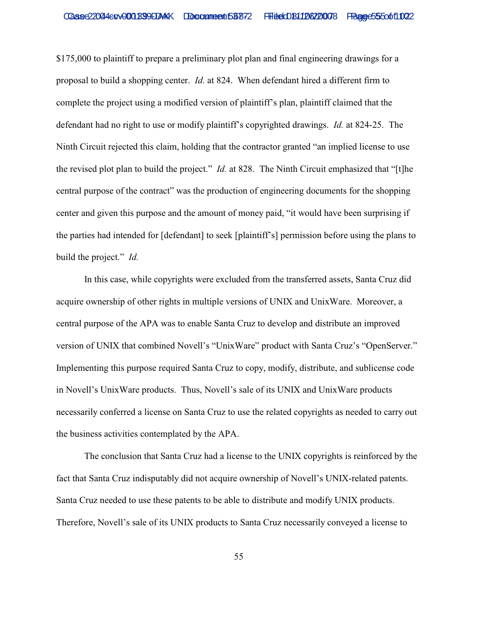\$175,000 to plaintiff to prepare a preliminary plot plan and final engineering drawings for a proposal to build a shopping center. *Id.* at 824. When defendant hired a different firm to complete the project using a modified version of plaintiff's plan, plaintiff claimed that the defendant had no right to use or modify plaintiff's copyrighted drawings. *Id.* at 824-25. The Ninth Circuit rejected this claim, holding that the contractor granted "an implied license to use the revised plot plan to build the project." *Id.* at 828. The Ninth Circuit emphasized that "[t]he central purpose of the contract" was the production of engineering documents for the shopping center and given this purpose and the amount of money paid, "it would have been surprising if the parties had intended for [defendant] to seek [plaintiff's] permission before using the plans to build the project." *Id.*

In this case, while copyrights were excluded from the transferred assets, Santa Cruz did acquire ownership of other rights in multiple versions of UNIX and UnixWare. Moreover, a central purpose of the APA was to enable Santa Cruz to develop and distribute an improved version of UNIX that combined Novell's "UnixWare" product with Santa Cruz's "OpenServer." Implementing this purpose required Santa Cruz to copy, modify, distribute, and sublicense code in Novell's UnixWare products. Thus, Novell's sale of its UNIX and UnixWare products necessarily conferred a license on Santa Cruz to use the related copyrights as needed to carry out the business activities contemplated by the APA.

The conclusion that Santa Cruz had a license to the UNIX copyrights is reinforced by the fact that Santa Cruz indisputably did not acquire ownership of Novell's UNIX-related patents. Santa Cruz needed to use these patents to be able to distribute and modify UNIX products. Therefore, Novell's sale of its UNIX products to Santa Cruz necessarily conveyed a license to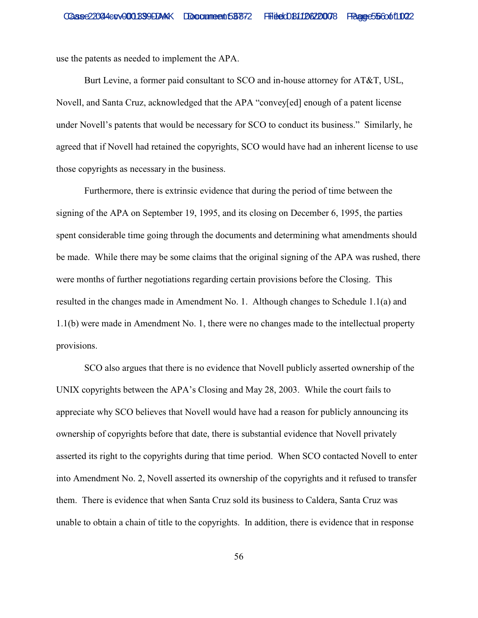use the patents as needed to implement the APA.

Burt Levine, a former paid consultant to SCO and in-house attorney for AT&T, USL, Novell, and Santa Cruz, acknowledged that the APA "convey[ed] enough of a patent license under Novell's patents that would be necessary for SCO to conduct its business." Similarly, he agreed that if Novell had retained the copyrights, SCO would have had an inherent license to use those copyrights as necessary in the business.

Furthermore, there is extrinsic evidence that during the period of time between the signing of the APA on September 19, 1995, and its closing on December 6, 1995, the parties spent considerable time going through the documents and determining what amendments should be made. While there may be some claims that the original signing of the APA was rushed, there were months of further negotiations regarding certain provisions before the Closing. This resulted in the changes made in Amendment No. 1. Although changes to Schedule 1.1(a) and 1.1(b) were made in Amendment No. 1, there were no changes made to the intellectual property provisions.

SCO also argues that there is no evidence that Novell publicly asserted ownership of the UNIX copyrights between the APA's Closing and May 28, 2003. While the court fails to appreciate why SCO believes that Novell would have had a reason for publicly announcing its ownership of copyrights before that date, there is substantial evidence that Novell privately asserted its right to the copyrights during that time period. When SCO contacted Novell to enter into Amendment No. 2, Novell asserted its ownership of the copyrights and it refused to transfer them. There is evidence that when Santa Cruz sold its business to Caldera, Santa Cruz was unable to obtain a chain of title to the copyrights. In addition, there is evidence that in response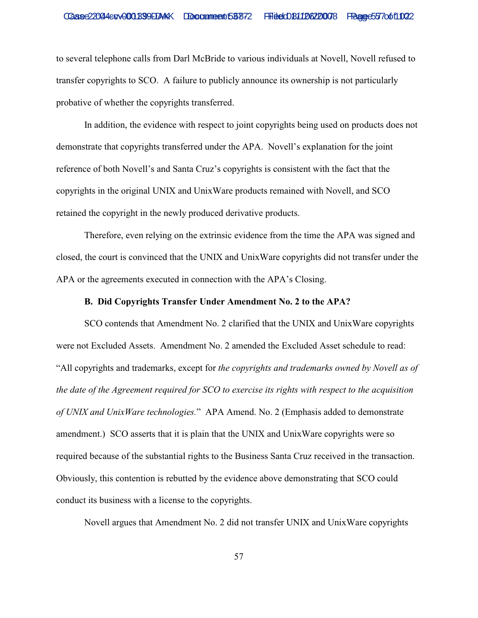to several telephone calls from Darl McBride to various individuals at Novell, Novell refused to transfer copyrights to SCO. A failure to publicly announce its ownership is not particularly probative of whether the copyrights transferred.

In addition, the evidence with respect to joint copyrights being used on products does not demonstrate that copyrights transferred under the APA. Novell's explanation for the joint reference of both Novell's and Santa Cruz's copyrights is consistent with the fact that the copyrights in the original UNIX and UnixWare products remained with Novell, and SCO retained the copyright in the newly produced derivative products.

Therefore, even relying on the extrinsic evidence from the time the APA was signed and closed, the court is convinced that the UNIX and UnixWare copyrights did not transfer under the APA or the agreements executed in connection with the APA's Closing.

# **B. Did Copyrights Transfer Under Amendment No. 2 to the APA?**

SCO contends that Amendment No. 2 clarified that the UNIX and UnixWare copyrights were not Excluded Assets. Amendment No. 2 amended the Excluded Asset schedule to read: "All copyrights and trademarks, except for *the copyrights and trademarks owned by Novell as of the date of the Agreement required for SCO to exercise its rights with respect to the acquisition of UNIX and UnixWare technologies.*" APA Amend. No. 2 (Emphasis added to demonstrate amendment.) SCO asserts that it is plain that the UNIX and UnixWare copyrights were so required because of the substantial rights to the Business Santa Cruz received in the transaction. Obviously, this contention is rebutted by the evidence above demonstrating that SCO could conduct its business with a license to the copyrights.

Novell argues that Amendment No. 2 did not transfer UNIX and UnixWare copyrights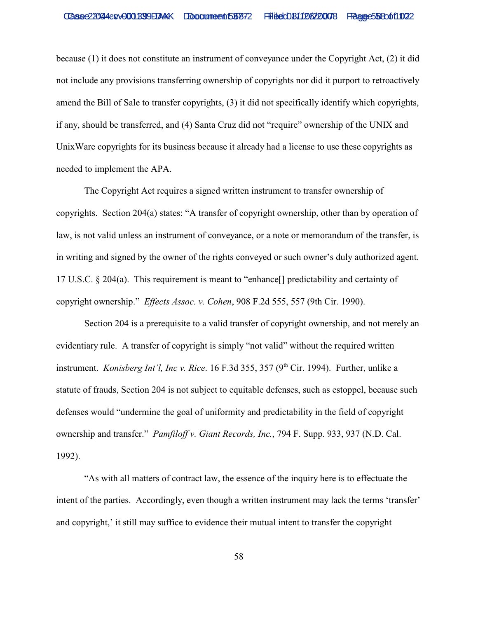because (1) it does not constitute an instrument of conveyance under the Copyright Act, (2) it did not include any provisions transferring ownership of copyrights nor did it purport to retroactively amend the Bill of Sale to transfer copyrights, (3) it did not specifically identify which copyrights, if any, should be transferred, and (4) Santa Cruz did not "require" ownership of the UNIX and UnixWare copyrights for its business because it already had a license to use these copyrights as needed to implement the APA.

The Copyright Act requires a signed written instrument to transfer ownership of copyrights. Section 204(a) states: "A transfer of copyright ownership, other than by operation of law, is not valid unless an instrument of conveyance, or a note or memorandum of the transfer, is in writing and signed by the owner of the rights conveyed or such owner's duly authorized agent. 17 U.S.C. § 204(a). This requirement is meant to "enhance[] predictability and certainty of copyright ownership." *Effects Assoc. v. Cohen*, 908 F.2d 555, 557 (9th Cir. 1990).

Section 204 is a prerequisite to a valid transfer of copyright ownership, and not merely an evidentiary rule. A transfer of copyright is simply "not valid" without the required written instrument. *Konisberg Int'l, Inc v. Rice*. 16 F.3d 355, 357 (9<sup>th</sup> Cir. 1994). Further, unlike a statute of frauds, Section 204 is not subject to equitable defenses, such as estoppel, because such defenses would "undermine the goal of uniformity and predictability in the field of copyright ownership and transfer." *Pamfiloff v. Giant Records, Inc.*, 794 F. Supp. 933, 937 (N.D. Cal. 1992).

"As with all matters of contract law, the essence of the inquiry here is to effectuate the intent of the parties. Accordingly, even though a written instrument may lack the terms 'transfer' and copyright,' it still may suffice to evidence their mutual intent to transfer the copyright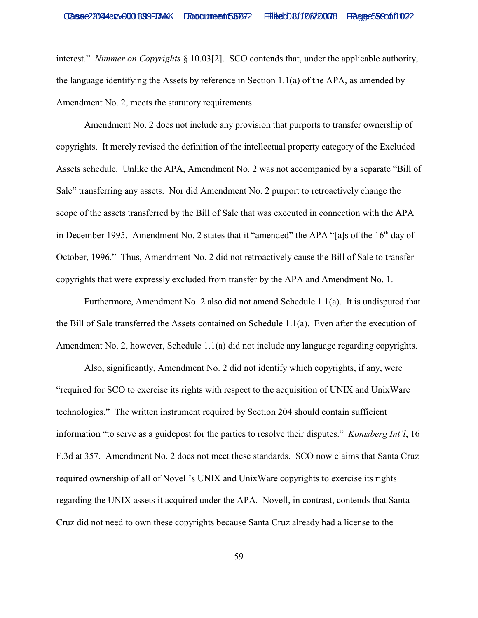interest." *Nimmer on Copyrights* § 10.03[2]. SCO contends that, under the applicable authority, the language identifying the Assets by reference in Section 1.1(a) of the APA, as amended by Amendment No. 2, meets the statutory requirements.

Amendment No. 2 does not include any provision that purports to transfer ownership of copyrights. It merely revised the definition of the intellectual property category of the Excluded Assets schedule. Unlike the APA, Amendment No. 2 was not accompanied by a separate "Bill of Sale" transferring any assets. Nor did Amendment No. 2 purport to retroactively change the scope of the assets transferred by the Bill of Sale that was executed in connection with the APA in December 1995. Amendment No. 2 states that it "amended" the APA "[a]s of the  $16<sup>th</sup>$  day of October, 1996." Thus, Amendment No. 2 did not retroactively cause the Bill of Sale to transfer copyrights that were expressly excluded from transfer by the APA and Amendment No. 1.

Furthermore, Amendment No. 2 also did not amend Schedule 1.1(a). It is undisputed that the Bill of Sale transferred the Assets contained on Schedule 1.1(a). Even after the execution of Amendment No. 2, however, Schedule 1.1(a) did not include any language regarding copyrights.

Also, significantly, Amendment No. 2 did not identify which copyrights, if any, were "required for SCO to exercise its rights with respect to the acquisition of UNIX and UnixWare technologies." The written instrument required by Section 204 should contain sufficient information "to serve as a guidepost for the parties to resolve their disputes." *Konisberg Int'l*, 16 F.3d at 357. Amendment No. 2 does not meet these standards. SCO now claims that Santa Cruz required ownership of all of Novell's UNIX and UnixWare copyrights to exercise its rights regarding the UNIX assets it acquired under the APA. Novell, in contrast, contends that Santa Cruz did not need to own these copyrights because Santa Cruz already had a license to the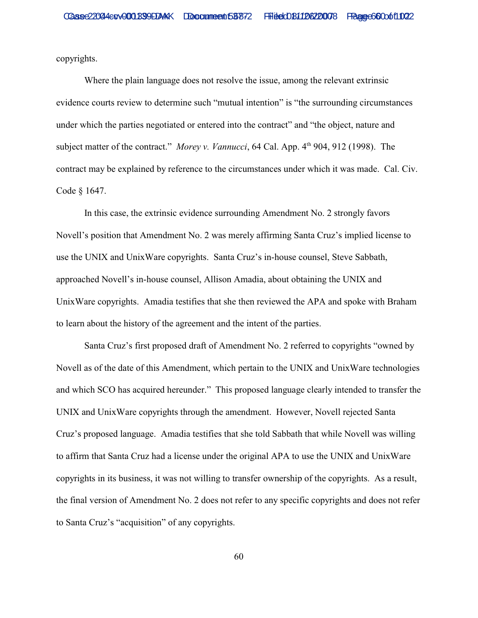copyrights.

Where the plain language does not resolve the issue, among the relevant extrinsic evidence courts review to determine such "mutual intention" is "the surrounding circumstances under which the parties negotiated or entered into the contract" and "the object, nature and subject matter of the contract." *Morey v. Vannucci*, 64 Cal. App. 4<sup>th</sup> 904, 912 (1998). The contract may be explained by reference to the circumstances under which it was made. Cal. Civ. Code § 1647.

In this case, the extrinsic evidence surrounding Amendment No. 2 strongly favors Novell's position that Amendment No. 2 was merely affirming Santa Cruz's implied license to use the UNIX and UnixWare copyrights. Santa Cruz's in-house counsel, Steve Sabbath, approached Novell's in-house counsel, Allison Amadia, about obtaining the UNIX and UnixWare copyrights. Amadia testifies that she then reviewed the APA and spoke with Braham to learn about the history of the agreement and the intent of the parties.

Santa Cruz's first proposed draft of Amendment No. 2 referred to copyrights "owned by Novell as of the date of this Amendment, which pertain to the UNIX and UnixWare technologies and which SCO has acquired hereunder." This proposed language clearly intended to transfer the UNIX and UnixWare copyrights through the amendment. However, Novell rejected Santa Cruz's proposed language. Amadia testifies that she told Sabbath that while Novell was willing to affirm that Santa Cruz had a license under the original APA to use the UNIX and UnixWare copyrights in its business, it was not willing to transfer ownership of the copyrights. As a result, the final version of Amendment No. 2 does not refer to any specific copyrights and does not refer to Santa Cruz's "acquisition" of any copyrights.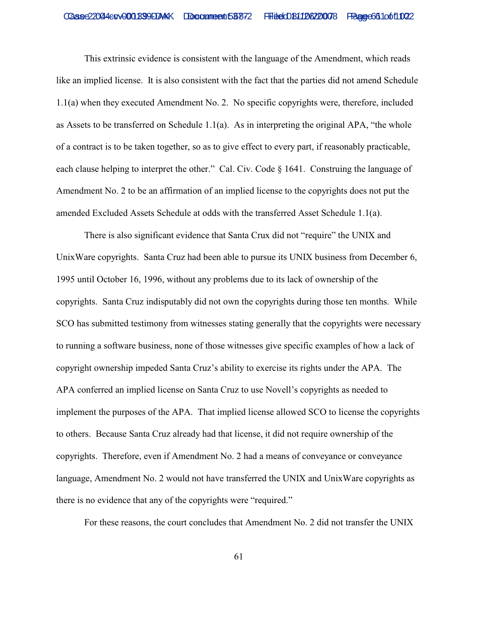This extrinsic evidence is consistent with the language of the Amendment, which reads like an implied license. It is also consistent with the fact that the parties did not amend Schedule 1.1(a) when they executed Amendment No. 2. No specific copyrights were, therefore, included as Assets to be transferred on Schedule 1.1(a). As in interpreting the original APA, "the whole of a contract is to be taken together, so as to give effect to every part, if reasonably practicable, each clause helping to interpret the other." Cal. Civ. Code § 1641. Construing the language of Amendment No. 2 to be an affirmation of an implied license to the copyrights does not put the amended Excluded Assets Schedule at odds with the transferred Asset Schedule 1.1(a).

There is also significant evidence that Santa Crux did not "require" the UNIX and UnixWare copyrights. Santa Cruz had been able to pursue its UNIX business from December 6, 1995 until October 16, 1996, without any problems due to its lack of ownership of the copyrights. Santa Cruz indisputably did not own the copyrights during those ten months. While SCO has submitted testimony from witnesses stating generally that the copyrights were necessary to running a software business, none of those witnesses give specific examples of how a lack of copyright ownership impeded Santa Cruz's ability to exercise its rights under the APA. The APA conferred an implied license on Santa Cruz to use Novell's copyrights as needed to implement the purposes of the APA. That implied license allowed SCO to license the copyrights to others. Because Santa Cruz already had that license, it did not require ownership of the copyrights. Therefore, even if Amendment No. 2 had a means of conveyance or conveyance language, Amendment No. 2 would not have transferred the UNIX and UnixWare copyrights as there is no evidence that any of the copyrights were "required."

For these reasons, the court concludes that Amendment No. 2 did not transfer the UNIX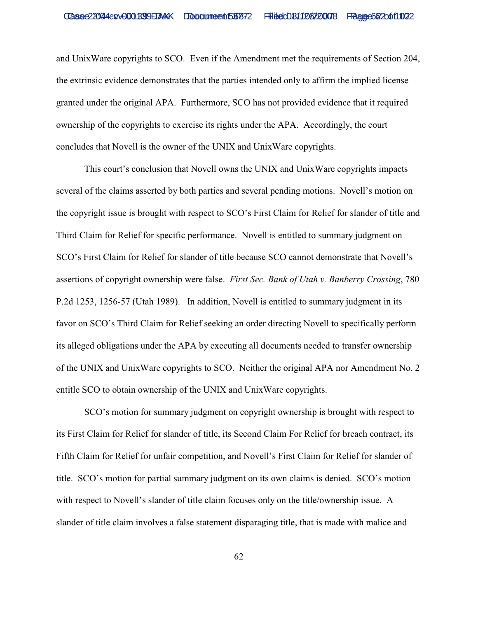and UnixWare copyrights to SCO. Even if the Amendment met the requirements of Section 204, the extrinsic evidence demonstrates that the parties intended only to affirm the implied license granted under the original APA. Furthermore, SCO has not provided evidence that it required ownership of the copyrights to exercise its rights under the APA. Accordingly, the court concludes that Novell is the owner of the UNIX and UnixWare copyrights.

This court's conclusion that Novell owns the UNIX and UnixWare copyrights impacts several of the claims asserted by both parties and several pending motions. Novell's motion on the copyright issue is brought with respect to SCO's First Claim for Relief for slander of title and Third Claim for Relief for specific performance. Novell is entitled to summary judgment on SCO's First Claim for Relief for slander of title because SCO cannot demonstrate that Novell's assertions of copyright ownership were false. *First Sec. Bank of Utah v. Banberry Crossing*, 780 P.2d 1253, 1256-57 (Utah 1989). In addition, Novell is entitled to summary judgment in its favor on SCO's Third Claim for Relief seeking an order directing Novell to specifically perform its alleged obligations under the APA by executing all documents needed to transfer ownership of the UNIX and UnixWare copyrights to SCO. Neither the original APA nor Amendment No. 2 entitle SCO to obtain ownership of the UNIX and UnixWare copyrights.

SCO's motion for summary judgment on copyright ownership is brought with respect to its First Claim for Relief for slander of title, its Second Claim For Relief for breach contract, its Fifth Claim for Relief for unfair competition, and Novell's First Claim for Relief for slander of title. SCO's motion for partial summary judgment on its own claims is denied. SCO's motion with respect to Novell's slander of title claim focuses only on the title/ownership issue. A slander of title claim involves a false statement disparaging title, that is made with malice and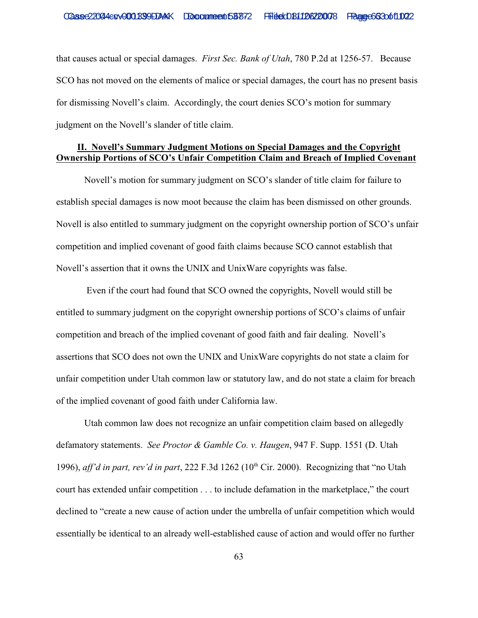that causes actual or special damages. *First Sec. Bank of Utah*, 780 P.2d at 1256-57. Because SCO has not moved on the elements of malice or special damages, the court has no present basis for dismissing Novell's claim. Accordingly, the court denies SCO's motion for summary judgment on the Novell's slander of title claim.

# **II. Novell's Summary Judgment Motions on Special Damages and the Copyright Ownership Portions of SCO's Unfair Competition Claim and Breach of Implied Covenant**

Novell's motion for summary judgment on SCO's slander of title claim for failure to establish special damages is now moot because the claim has been dismissed on other grounds. Novell is also entitled to summary judgment on the copyright ownership portion of SCO's unfair competition and implied covenant of good faith claims because SCO cannot establish that Novell's assertion that it owns the UNIX and UnixWare copyrights was false.

 Even if the court had found that SCO owned the copyrights, Novell would still be entitled to summary judgment on the copyright ownership portions of SCO's claims of unfair competition and breach of the implied covenant of good faith and fair dealing. Novell's assertions that SCO does not own the UNIX and UnixWare copyrights do not state a claim for unfair competition under Utah common law or statutory law, and do not state a claim for breach of the implied covenant of good faith under California law.

Utah common law does not recognize an unfair competition claim based on allegedly defamatory statements. *See Proctor & Gamble Co. v. Haugen*, 947 F. Supp. 1551 (D. Utah 1996), *aff'd in part, rev'd in part*, 222 F.3d 1262 ( $10<sup>th</sup>$  Cir. 2000). Recognizing that "no Utah court has extended unfair competition . . . to include defamation in the marketplace," the court declined to "create a new cause of action under the umbrella of unfair competition which would essentially be identical to an already well-established cause of action and would offer no further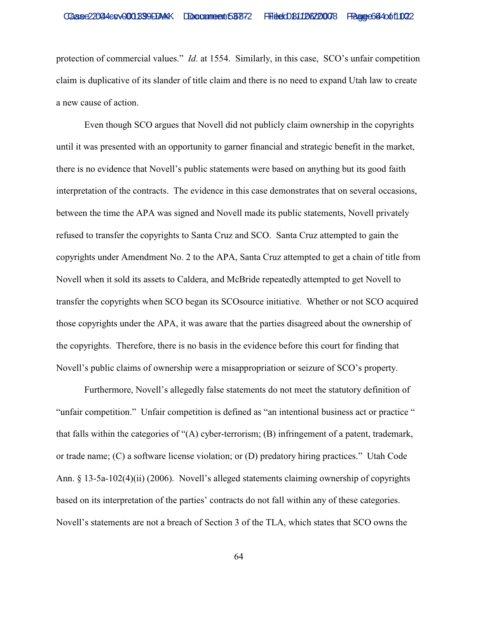protection of commercial values." *Id.* at 1554. Similarly, in this case, SCO's unfair competition claim is duplicative of its slander of title claim and there is no need to expand Utah law to create a new cause of action.

Even though SCO argues that Novell did not publicly claim ownership in the copyrights until it was presented with an opportunity to garner financial and strategic benefit in the market, there is no evidence that Novell's public statements were based on anything but its good faith interpretation of the contracts. The evidence in this case demonstrates that on several occasions, between the time the APA was signed and Novell made its public statements, Novell privately refused to transfer the copyrights to Santa Cruz and SCO. Santa Cruz attempted to gain the copyrights under Amendment No. 2 to the APA, Santa Cruz attempted to get a chain of title from Novell when it sold its assets to Caldera, and McBride repeatedly attempted to get Novell to transfer the copyrights when SCO began its SCOsource initiative. Whether or not SCO acquired those copyrights under the APA, it was aware that the parties disagreed about the ownership of the copyrights. Therefore, there is no basis in the evidence before this court for finding that Novell's public claims of ownership were a misappropriation or seizure of SCO's property.

Furthermore, Novell's allegedly false statements do not meet the statutory definition of "unfair competition." Unfair competition is defined as "an intentional business act or practice " that falls within the categories of "(A) cyber-terrorism; (B) infringement of a patent, trademark, or trade name; (C) a software license violation; or (D) predatory hiring practices." Utah Code Ann. § 13-5a-102(4)(ii) (2006). Novell's alleged statements claiming ownership of copyrights based on its interpretation of the parties' contracts do not fall within any of these categories. Novell's statements are not a breach of Section 3 of the TLA, which states that SCO owns the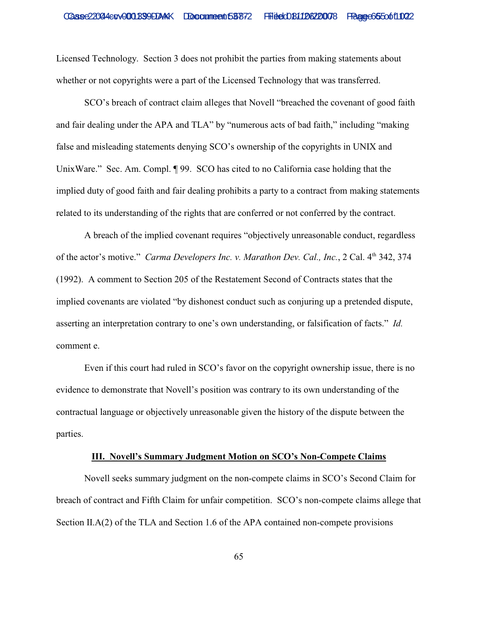Licensed Technology. Section 3 does not prohibit the parties from making statements about whether or not copyrights were a part of the Licensed Technology that was transferred.

SCO's breach of contract claim alleges that Novell "breached the covenant of good faith and fair dealing under the APA and TLA" by "numerous acts of bad faith," including "making false and misleading statements denying SCO's ownership of the copyrights in UNIX and UnixWare." Sec. Am. Compl. ¶ 99. SCO has cited to no California case holding that the implied duty of good faith and fair dealing prohibits a party to a contract from making statements related to its understanding of the rights that are conferred or not conferred by the contract.

A breach of the implied covenant requires "objectively unreasonable conduct, regardless of the actor's motive." *Carma Developers Inc. v. Marathon Dev. Cal., Inc.*, 2 Cal. 4<sup>th</sup> 342, 374 (1992). A comment to Section 205 of the Restatement Second of Contracts states that the implied covenants are violated "by dishonest conduct such as conjuring up a pretended dispute, asserting an interpretation contrary to one's own understanding, or falsification of facts." *Id.* comment e.

Even if this court had ruled in SCO's favor on the copyright ownership issue, there is no evidence to demonstrate that Novell's position was contrary to its own understanding of the contractual language or objectively unreasonable given the history of the dispute between the parties.

### **III. Novell's Summary Judgment Motion on SCO's Non-Compete Claims**

Novell seeks summary judgment on the non-compete claims in SCO's Second Claim for breach of contract and Fifth Claim for unfair competition. SCO's non-compete claims allege that Section II.A(2) of the TLA and Section 1.6 of the APA contained non-compete provisions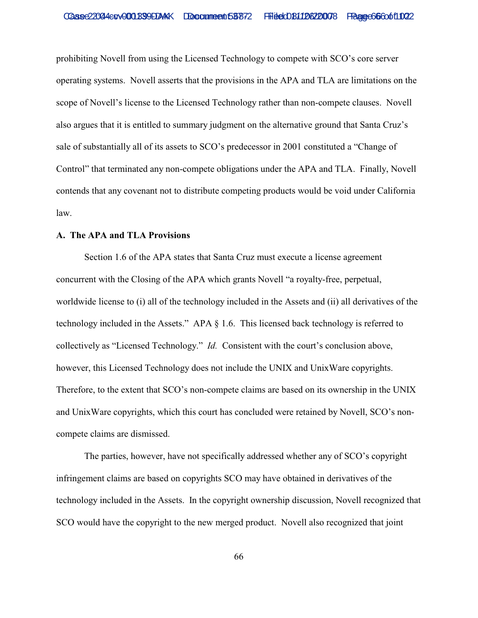prohibiting Novell from using the Licensed Technology to compete with SCO's core server operating systems. Novell asserts that the provisions in the APA and TLA are limitations on the scope of Novell's license to the Licensed Technology rather than non-compete clauses. Novell also argues that it is entitled to summary judgment on the alternative ground that Santa Cruz's sale of substantially all of its assets to SCO's predecessor in 2001 constituted a "Change of Control" that terminated any non-compete obligations under the APA and TLA. Finally, Novell contends that any covenant not to distribute competing products would be void under California law.

### **A. The APA and TLA Provisions**

Section 1.6 of the APA states that Santa Cruz must execute a license agreement concurrent with the Closing of the APA which grants Novell "a royalty-free, perpetual, worldwide license to (i) all of the technology included in the Assets and (ii) all derivatives of the technology included in the Assets." APA § 1.6. This licensed back technology is referred to collectively as "Licensed Technology." *Id.* Consistent with the court's conclusion above, however, this Licensed Technology does not include the UNIX and UnixWare copyrights. Therefore, to the extent that SCO's non-compete claims are based on its ownership in the UNIX and UnixWare copyrights, which this court has concluded were retained by Novell, SCO's noncompete claims are dismissed.

The parties, however, have not specifically addressed whether any of SCO's copyright infringement claims are based on copyrights SCO may have obtained in derivatives of the technology included in the Assets. In the copyright ownership discussion, Novell recognized that SCO would have the copyright to the new merged product. Novell also recognized that joint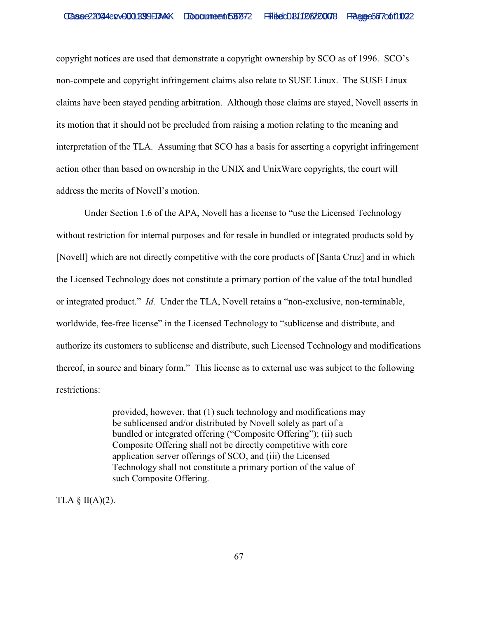copyright notices are used that demonstrate a copyright ownership by SCO as of 1996. SCO's non-compete and copyright infringement claims also relate to SUSE Linux. The SUSE Linux claims have been stayed pending arbitration. Although those claims are stayed, Novell asserts in its motion that it should not be precluded from raising a motion relating to the meaning and interpretation of the TLA. Assuming that SCO has a basis for asserting a copyright infringement action other than based on ownership in the UNIX and UnixWare copyrights, the court will address the merits of Novell's motion.

Under Section 1.6 of the APA, Novell has a license to "use the Licensed Technology without restriction for internal purposes and for resale in bundled or integrated products sold by [Novell] which are not directly competitive with the core products of [Santa Cruz] and in which the Licensed Technology does not constitute a primary portion of the value of the total bundled or integrated product." *Id.* Under the TLA, Novell retains a "non-exclusive, non-terminable, worldwide, fee-free license" in the Licensed Technology to "sublicense and distribute, and authorize its customers to sublicense and distribute, such Licensed Technology and modifications thereof, in source and binary form." This license as to external use was subject to the following restrictions:

> provided, however, that (1) such technology and modifications may be sublicensed and/or distributed by Novell solely as part of a bundled or integrated offering ("Composite Offering"); (ii) such Composite Offering shall not be directly competitive with core application server offerings of SCO, and (iii) the Licensed Technology shall not constitute a primary portion of the value of such Composite Offering.

TLA  $\S$  II(A)(2).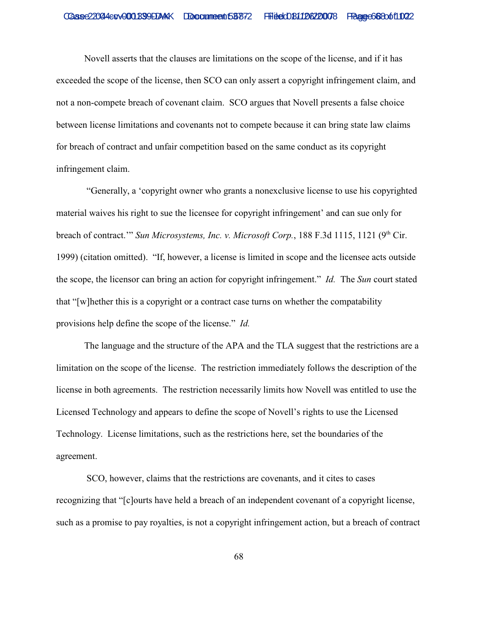Novell asserts that the clauses are limitations on the scope of the license, and if it has exceeded the scope of the license, then SCO can only assert a copyright infringement claim, and not a non-compete breach of covenant claim. SCO argues that Novell presents a false choice between license limitations and covenants not to compete because it can bring state law claims for breach of contract and unfair competition based on the same conduct as its copyright infringement claim.

 "Generally, a 'copyright owner who grants a nonexclusive license to use his copyrighted material waives his right to sue the licensee for copyright infringement' and can sue only for breach of contract." *Sun Microsystems, Inc. v. Microsoft Corp.*, 188 F.3d 1115, 1121 (9<sup>th</sup> Cir. 1999) (citation omitted). "If, however, a license is limited in scope and the licensee acts outside the scope, the licensor can bring an action for copyright infringement." *Id.* The *Sun* court stated that "[w]hether this is a copyright or a contract case turns on whether the compatability provisions help define the scope of the license." *Id.*

The language and the structure of the APA and the TLA suggest that the restrictions are a limitation on the scope of the license. The restriction immediately follows the description of the license in both agreements. The restriction necessarily limits how Novell was entitled to use the Licensed Technology and appears to define the scope of Novell's rights to use the Licensed Technology. License limitations, such as the restrictions here, set the boundaries of the agreement.

 SCO, however, claims that the restrictions are covenants, and it cites to cases recognizing that "[c]ourts have held a breach of an independent covenant of a copyright license, such as a promise to pay royalties, is not a copyright infringement action, but a breach of contract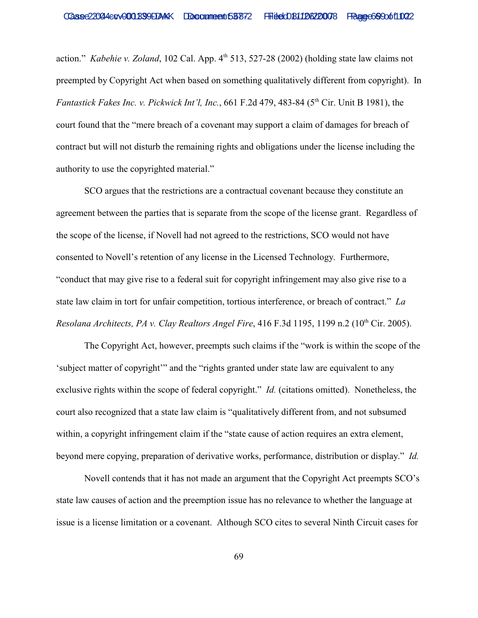action." *Kabehie v. Zoland*, 102 Cal. App. 4<sup>th</sup> 513, 527-28 (2002) (holding state law claims not preempted by Copyright Act when based on something qualitatively different from copyright). In *Fantastick Fakes Inc. v. Pickwick Int'l, Inc.*, 661 F.2d 479, 483-84 (5<sup>th</sup> Cir. Unit B 1981), the court found that the "mere breach of a covenant may support a claim of damages for breach of contract but will not disturb the remaining rights and obligations under the license including the authority to use the copyrighted material."

SCO argues that the restrictions are a contractual covenant because they constitute an agreement between the parties that is separate from the scope of the license grant. Regardless of the scope of the license, if Novell had not agreed to the restrictions, SCO would not have consented to Novell's retention of any license in the Licensed Technology. Furthermore, "conduct that may give rise to a federal suit for copyright infringement may also give rise to a state law claim in tort for unfair competition, tortious interference, or breach of contract." *La Resolana Architects, PA v. Clay Realtors Angel Fire,* 416 F.3d 1195, 1199 n.2 (10<sup>th</sup> Cir. 2005).

The Copyright Act, however, preempts such claims if the "work is within the scope of the 'subject matter of copyright'" and the "rights granted under state law are equivalent to any exclusive rights within the scope of federal copyright." *Id.* (citations omitted). Nonetheless, the court also recognized that a state law claim is "qualitatively different from, and not subsumed within, a copyright infringement claim if the "state cause of action requires an extra element, beyond mere copying, preparation of derivative works, performance, distribution or display." *Id.* 

Novell contends that it has not made an argument that the Copyright Act preempts SCO's state law causes of action and the preemption issue has no relevance to whether the language at issue is a license limitation or a covenant. Although SCO cites to several Ninth Circuit cases for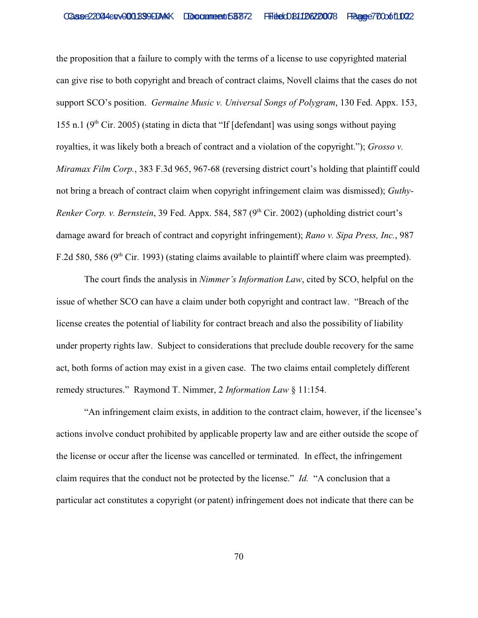the proposition that a failure to comply with the terms of a license to use copyrighted material can give rise to both copyright and breach of contract claims, Novell claims that the cases do not support SCO's position. *Germaine Music v. Universal Songs of Polygram*, 130 Fed. Appx. 153, 155 n.1 ( $9<sup>th</sup>$  Cir. 2005) (stating in dicta that "If [defendant] was using songs without paying royalties, it was likely both a breach of contract and a violation of the copyright."); *Grosso v. Miramax Film Corp.*, 383 F.3d 965, 967-68 (reversing district court's holding that plaintiff could not bring a breach of contract claim when copyright infringement claim was dismissed); *Guthy-Renker Corp. v. Bernstein*, 39 Fed. Appx. 584, 587 (9<sup>th</sup> Cir. 2002) (upholding district court's damage award for breach of contract and copyright infringement); *Rano v. Sipa Press, Inc.*, 987 F.2d 580, 586 ( $9<sup>th</sup>$  Cir. 1993) (stating claims available to plaintiff where claim was preempted).

The court finds the analysis in *Nimmer's Information Law*, cited by SCO, helpful on the issue of whether SCO can have a claim under both copyright and contract law. "Breach of the license creates the potential of liability for contract breach and also the possibility of liability under property rights law. Subject to considerations that preclude double recovery for the same act, both forms of action may exist in a given case. The two claims entail completely different remedy structures." Raymond T. Nimmer, 2 *Information Law* § 11:154.

"An infringement claim exists, in addition to the contract claim, however, if the licensee's actions involve conduct prohibited by applicable property law and are either outside the scope of the license or occur after the license was cancelled or terminated. In effect, the infringement claim requires that the conduct not be protected by the license." *Id.* "A conclusion that a particular act constitutes a copyright (or patent) infringement does not indicate that there can be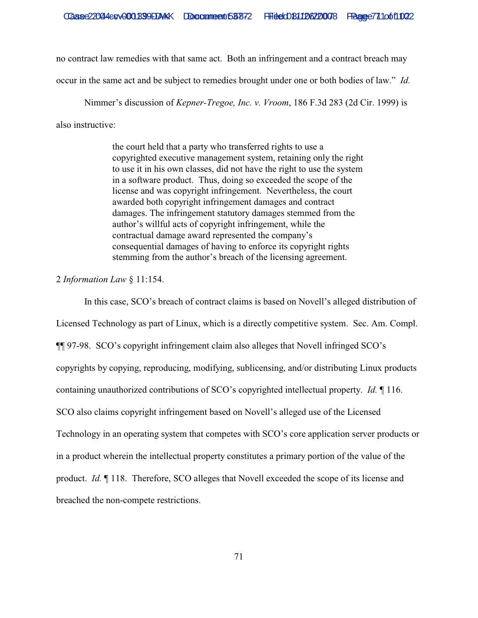no contract law remedies with that same act. Both an infringement and a contract breach may

occur in the same act and be subject to remedies brought under one or both bodies of law." *Id.* 

Nimmer's discussion of *Kepner-Tregoe, Inc. v. Vroom*, 186 F.3d 283 (2d Cir. 1999) is also instructive:

> the court held that a party who transferred rights to use a copyrighted executive management system, retaining only the right to use it in his own classes, did not have the right to use the system in a software product. Thus, doing so exceeded the scope of the license and was copyright infringement. Nevertheless, the court awarded both copyright infringement damages and contract damages. The infringement statutory damages stemmed from the author's willful acts of copyright infringement, while the contractual damage award represented the company's consequential damages of having to enforce its copyright rights stemming from the author's breach of the licensing agreement.

2 *Information Law* § 11:154.

In this case, SCO's breach of contract claims is based on Novell's alleged distribution of Licensed Technology as part of Linux, which is a directly competitive system. Sec. Am. Compl. ¶¶ 97-98. SCO's copyright infringement claim also alleges that Novell infringed SCO's copyrights by copying, reproducing, modifying, sublicensing, and/or distributing Linux products containing unauthorized contributions of SCO's copyrighted intellectual property. *Id.* ¶ 116. SCO also claims copyright infringement based on Novell's alleged use of the Licensed Technology in an operating system that competes with SCO's core application server products or in a product wherein the intellectual property constitutes a primary portion of the value of the product. *Id.* ¶ 118. Therefore, SCO alleges that Novell exceeded the scope of its license and breached the non-compete restrictions.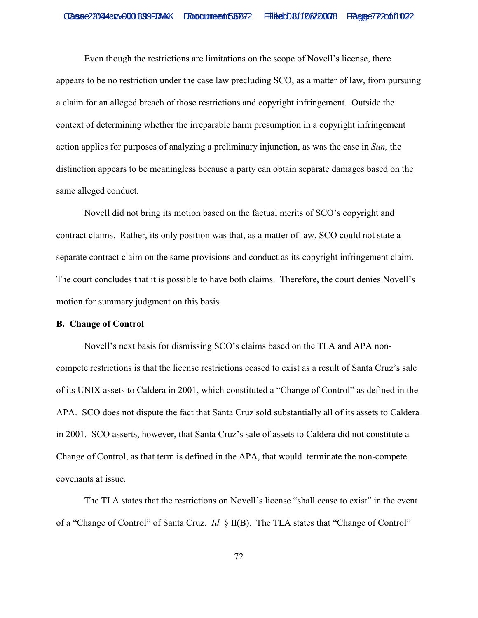Even though the restrictions are limitations on the scope of Novell's license, there appears to be no restriction under the case law precluding SCO, as a matter of law, from pursuing a claim for an alleged breach of those restrictions and copyright infringement. Outside the context of determining whether the irreparable harm presumption in a copyright infringement action applies for purposes of analyzing a preliminary injunction, as was the case in *Sun,* the distinction appears to be meaningless because a party can obtain separate damages based on the same alleged conduct.

Novell did not bring its motion based on the factual merits of SCO's copyright and contract claims. Rather, its only position was that, as a matter of law, SCO could not state a separate contract claim on the same provisions and conduct as its copyright infringement claim. The court concludes that it is possible to have both claims. Therefore, the court denies Novell's motion for summary judgment on this basis.

#### **B. Change of Control**

Novell's next basis for dismissing SCO's claims based on the TLA and APA noncompete restrictions is that the license restrictions ceased to exist as a result of Santa Cruz's sale of its UNIX assets to Caldera in 2001, which constituted a "Change of Control" as defined in the APA. SCO does not dispute the fact that Santa Cruz sold substantially all of its assets to Caldera in 2001. SCO asserts, however, that Santa Cruz's sale of assets to Caldera did not constitute a Change of Control, as that term is defined in the APA, that would terminate the non-compete covenants at issue.

The TLA states that the restrictions on Novell's license "shall cease to exist" in the event of a "Change of Control" of Santa Cruz. *Id.* § II(B). The TLA states that "Change of Control"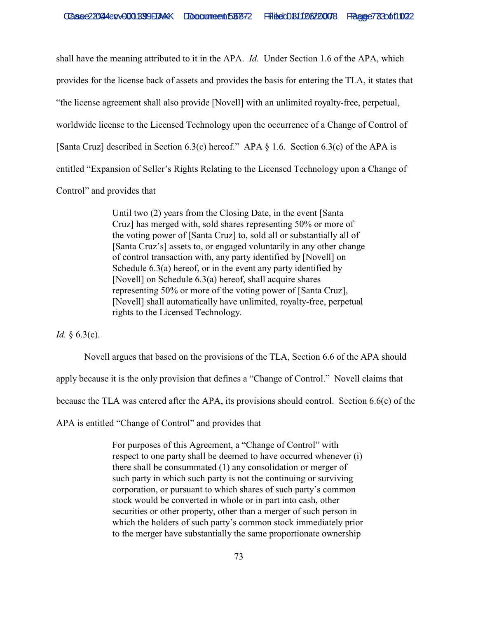shall have the meaning attributed to it in the APA. *Id.* Under Section 1.6 of the APA, which provides for the license back of assets and provides the basis for entering the TLA, it states that "the license agreement shall also provide [Novell] with an unlimited royalty-free, perpetual, worldwide license to the Licensed Technology upon the occurrence of a Change of Control of [Santa Cruz] described in Section 6.3(c) hereof." APA § 1.6. Section 6.3(c) of the APA is entitled "Expansion of Seller's Rights Relating to the Licensed Technology upon a Change of Control" and provides that

> Until two (2) years from the Closing Date, in the event [Santa Cruz] has merged with, sold shares representing 50% or more of the voting power of [Santa Cruz] to, sold all or substantially all of [Santa Cruz's] assets to, or engaged voluntarily in any other change of control transaction with, any party identified by [Novell] on Schedule 6.3(a) hereof, or in the event any party identified by [Novell] on Schedule 6.3(a) hereof, shall acquire shares representing 50% or more of the voting power of [Santa Cruz], [Novell] shall automatically have unlimited, royalty-free, perpetual rights to the Licensed Technology.

*Id.* § 6.3(c).

Novell argues that based on the provisions of the TLA, Section 6.6 of the APA should

apply because it is the only provision that defines a "Change of Control." Novell claims that

because the TLA was entered after the APA, its provisions should control. Section 6.6(c) of the

APA is entitled "Change of Control" and provides that

For purposes of this Agreement, a "Change of Control" with respect to one party shall be deemed to have occurred whenever (i) there shall be consummated (1) any consolidation or merger of such party in which such party is not the continuing or surviving corporation, or pursuant to which shares of such party's common stock would be converted in whole or in part into cash, other securities or other property, other than a merger of such person in which the holders of such party's common stock immediately prior to the merger have substantially the same proportionate ownership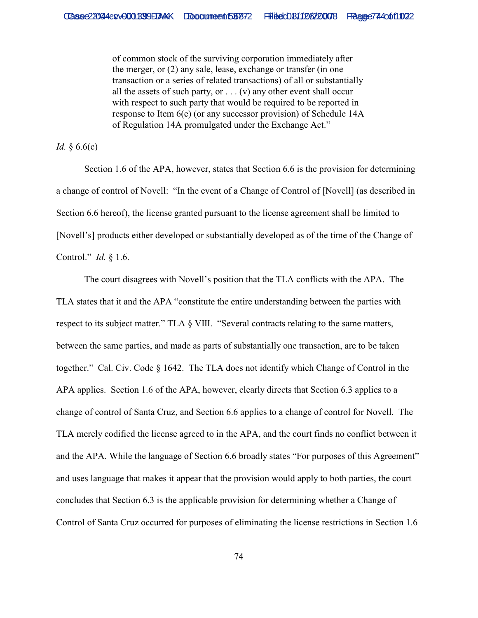of common stock of the surviving corporation immediately after the merger, or (2) any sale, lease, exchange or transfer (in one transaction or a series of related transactions) of all or substantially all the assets of such party, or  $\dots$  (v) any other event shall occur with respect to such party that would be required to be reported in response to Item 6(e) (or any successor provision) of Schedule 14A of Regulation 14A promulgated under the Exchange Act."

*Id.* § 6.6(c)

Section 1.6 of the APA, however, states that Section 6.6 is the provision for determining a change of control of Novell: "In the event of a Change of Control of [Novell] (as described in Section 6.6 hereof), the license granted pursuant to the license agreement shall be limited to [Novell's] products either developed or substantially developed as of the time of the Change of Control." *Id.* § 1.6.

The court disagrees with Novell's position that the TLA conflicts with the APA. The TLA states that it and the APA "constitute the entire understanding between the parties with respect to its subject matter." TLA § VIII. "Several contracts relating to the same matters, between the same parties, and made as parts of substantially one transaction, are to be taken together." Cal. Civ. Code § 1642. The TLA does not identify which Change of Control in the APA applies. Section 1.6 of the APA, however, clearly directs that Section 6.3 applies to a change of control of Santa Cruz, and Section 6.6 applies to a change of control for Novell. The TLA merely codified the license agreed to in the APA, and the court finds no conflict between it and the APA. While the language of Section 6.6 broadly states "For purposes of this Agreement" and uses language that makes it appear that the provision would apply to both parties, the court concludes that Section 6.3 is the applicable provision for determining whether a Change of Control of Santa Cruz occurred for purposes of eliminating the license restrictions in Section 1.6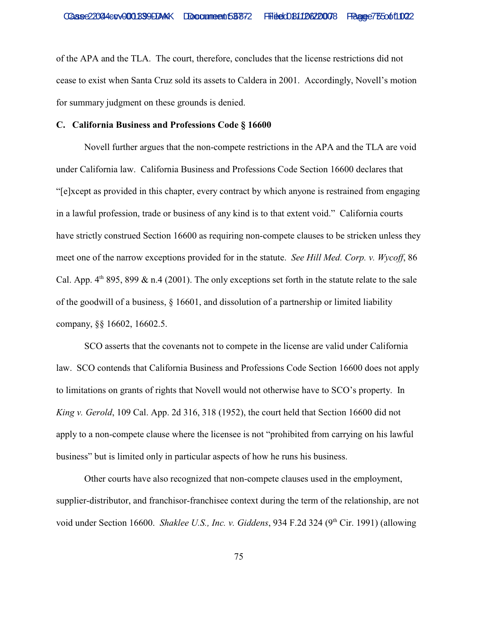of the APA and the TLA. The court, therefore, concludes that the license restrictions did not cease to exist when Santa Cruz sold its assets to Caldera in 2001. Accordingly, Novell's motion for summary judgment on these grounds is denied.

# **C. California Business and Professions Code § 16600**

Novell further argues that the non-compete restrictions in the APA and the TLA are void under California law. California Business and Professions Code Section 16600 declares that "[e]xcept as provided in this chapter, every contract by which anyone is restrained from engaging in a lawful profession, trade or business of any kind is to that extent void." California courts have strictly construed Section 16600 as requiring non-compete clauses to be stricken unless they meet one of the narrow exceptions provided for in the statute. *See Hill Med. Corp. v. Wycoff*, 86 Cal. App.  $4<sup>th</sup>$  895, 899 & n.4 (2001). The only exceptions set forth in the statute relate to the sale of the goodwill of a business, § 16601, and dissolution of a partnership or limited liability company, §§ 16602, 16602.5.

SCO asserts that the covenants not to compete in the license are valid under California law. SCO contends that California Business and Professions Code Section 16600 does not apply to limitations on grants of rights that Novell would not otherwise have to SCO's property. In *King v. Gerold*, 109 Cal. App. 2d 316, 318 (1952), the court held that Section 16600 did not apply to a non-compete clause where the licensee is not "prohibited from carrying on his lawful business" but is limited only in particular aspects of how he runs his business.

Other courts have also recognized that non-compete clauses used in the employment, supplier-distributor, and franchisor-franchisee context during the term of the relationship, are not void under Section 16600. *Shaklee U.S., Inc. v. Giddens*, 934 F.2d 324 (9<sup>th</sup> Cir. 1991) (allowing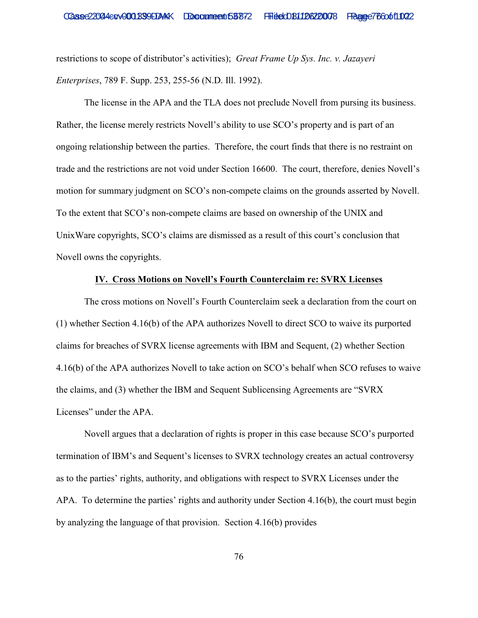restrictions to scope of distributor's activities); *Great Frame Up Sys. Inc. v. Jazayeri Enterprises*, 789 F. Supp. 253, 255-56 (N.D. Ill. 1992).

The license in the APA and the TLA does not preclude Novell from pursing its business. Rather, the license merely restricts Novell's ability to use SCO's property and is part of an ongoing relationship between the parties. Therefore, the court finds that there is no restraint on trade and the restrictions are not void under Section 16600. The court, therefore, denies Novell's motion for summary judgment on SCO's non-compete claims on the grounds asserted by Novell. To the extent that SCO's non-compete claims are based on ownership of the UNIX and UnixWare copyrights, SCO's claims are dismissed as a result of this court's conclusion that Novell owns the copyrights.

# **IV. Cross Motions on Novell's Fourth Counterclaim re: SVRX Licenses**

The cross motions on Novell's Fourth Counterclaim seek a declaration from the court on (1) whether Section 4.16(b) of the APA authorizes Novell to direct SCO to waive its purported claims for breaches of SVRX license agreements with IBM and Sequent, (2) whether Section 4.16(b) of the APA authorizes Novell to take action on SCO's behalf when SCO refuses to waive the claims, and (3) whether the IBM and Sequent Sublicensing Agreements are "SVRX Licenses" under the APA.

Novell argues that a declaration of rights is proper in this case because SCO's purported termination of IBM's and Sequent's licenses to SVRX technology creates an actual controversy as to the parties' rights, authority, and obligations with respect to SVRX Licenses under the APA. To determine the parties' rights and authority under Section 4.16(b), the court must begin by analyzing the language of that provision. Section 4.16(b) provides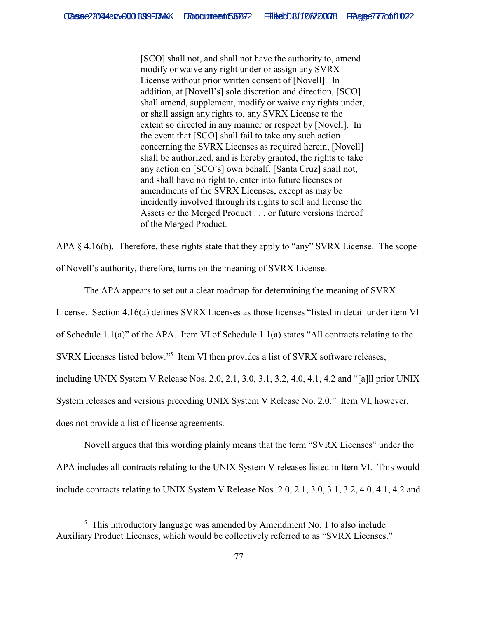[SCO] shall not, and shall not have the authority to, amend modify or waive any right under or assign any SVRX License without prior written consent of [Novell]. In addition, at [Novell's] sole discretion and direction, [SCO] shall amend, supplement, modify or waive any rights under, or shall assign any rights to, any SVRX License to the extent so directed in any manner or respect by [Novell]. In the event that [SCO] shall fail to take any such action concerning the SVRX Licenses as required herein, [Novell] shall be authorized, and is hereby granted, the rights to take any action on [SCO's] own behalf. [Santa Cruz] shall not, and shall have no right to, enter into future licenses or amendments of the SVRX Licenses, except as may be incidently involved through its rights to sell and license the Assets or the Merged Product . . . or future versions thereof of the Merged Product.

APA § 4.16(b). Therefore, these rights state that they apply to "any" SVRX License. The scope of Novell's authority, therefore, turns on the meaning of SVRX License.

The APA appears to set out a clear roadmap for determining the meaning of SVRX License. Section 4.16(a) defines SVRX Licenses as those licenses "listed in detail under item VI of Schedule 1.1(a)" of the APA. Item VI of Schedule 1.1(a) states "All contracts relating to the SVRX Licenses listed below."<sup>5</sup> Item VI then provides a list of SVRX software releases, including UNIX System V Release Nos. 2.0, 2.1, 3.0, 3.1, 3.2, 4.0, 4.1, 4.2 and "[a]ll prior UNIX System releases and versions preceding UNIX System V Release No. 2.0." Item VI, however, does not provide a list of license agreements.

Novell argues that this wording plainly means that the term "SVRX Licenses" under the APA includes all contracts relating to the UNIX System V releases listed in Item VI. This would include contracts relating to UNIX System V Release Nos. 2.0, 2.1, 3.0, 3.1, 3.2, 4.0, 4.1, 4.2 and

 $5$  This introductory language was amended by Amendment No. 1 to also include Auxiliary Product Licenses, which would be collectively referred to as "SVRX Licenses."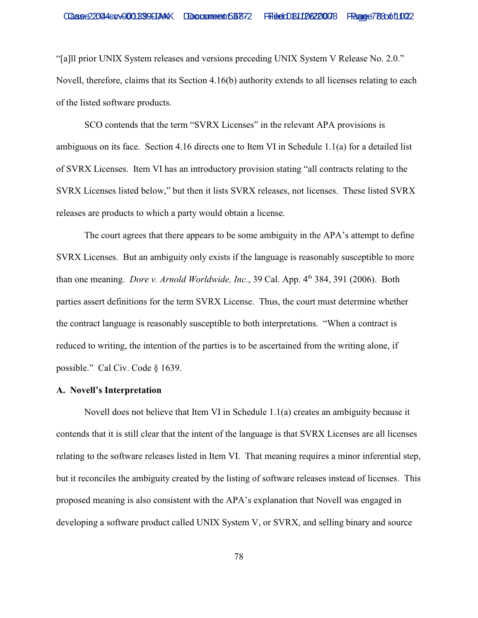"[a]ll prior UNIX System releases and versions preceding UNIX System V Release No. 2.0." Novell, therefore, claims that its Section 4.16(b) authority extends to all licenses relating to each of the listed software products.

SCO contends that the term "SVRX Licenses" in the relevant APA provisions is ambiguous on its face. Section 4.16 directs one to Item VI in Schedule 1.1(a) for a detailed list of SVRX Licenses. Item VI has an introductory provision stating "all contracts relating to the SVRX Licenses listed below," but then it lists SVRX releases, not licenses. These listed SVRX releases are products to which a party would obtain a license.

The court agrees that there appears to be some ambiguity in the APA's attempt to define SVRX Licenses. But an ambiguity only exists if the language is reasonably susceptible to more than one meaning. *Dore v. Arnold Worldwide, Inc.*, 39 Cal. App. 4<sup>th</sup> 384, 391 (2006). Both parties assert definitions for the term SVRX License. Thus, the court must determine whether the contract language is reasonably susceptible to both interpretations. "When a contract is reduced to writing, the intention of the parties is to be ascertained from the writing alone, if possible." Cal Civ. Code § 1639.

### **A. Novell's Interpretation**

Novell does not believe that Item VI in Schedule 1.1(a) creates an ambiguity because it contends that it is still clear that the intent of the language is that SVRX Licenses are all licenses relating to the software releases listed in Item VI. That meaning requires a minor inferential step, but it reconciles the ambiguity created by the listing of software releases instead of licenses. This proposed meaning is also consistent with the APA's explanation that Novell was engaged in developing a software product called UNIX System V, or SVRX, and selling binary and source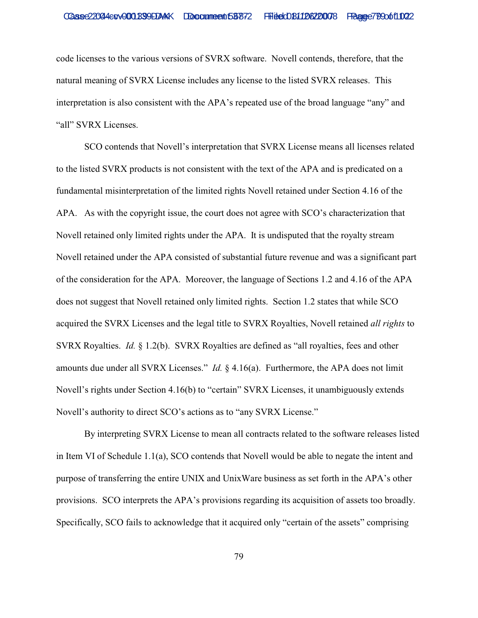code licenses to the various versions of SVRX software. Novell contends, therefore, that the natural meaning of SVRX License includes any license to the listed SVRX releases. This interpretation is also consistent with the APA's repeated use of the broad language "any" and "all" SVRX Licenses.

SCO contends that Novell's interpretation that SVRX License means all licenses related to the listed SVRX products is not consistent with the text of the APA and is predicated on a fundamental misinterpretation of the limited rights Novell retained under Section 4.16 of the APA. As with the copyright issue, the court does not agree with SCO's characterization that Novell retained only limited rights under the APA. It is undisputed that the royalty stream Novell retained under the APA consisted of substantial future revenue and was a significant part of the consideration for the APA. Moreover, the language of Sections 1.2 and 4.16 of the APA does not suggest that Novell retained only limited rights. Section 1.2 states that while SCO acquired the SVRX Licenses and the legal title to SVRX Royalties, Novell retained *all rights* to SVRX Royalties. *Id.* § 1.2(b). SVRX Royalties are defined as "all royalties, fees and other amounts due under all SVRX Licenses." *Id.* § 4.16(a). Furthermore, the APA does not limit Novell's rights under Section 4.16(b) to "certain" SVRX Licenses, it unambiguously extends Novell's authority to direct SCO's actions as to "any SVRX License."

By interpreting SVRX License to mean all contracts related to the software releases listed in Item VI of Schedule 1.1(a), SCO contends that Novell would be able to negate the intent and purpose of transferring the entire UNIX and UnixWare business as set forth in the APA's other provisions. SCO interprets the APA's provisions regarding its acquisition of assets too broadly. Specifically, SCO fails to acknowledge that it acquired only "certain of the assets" comprising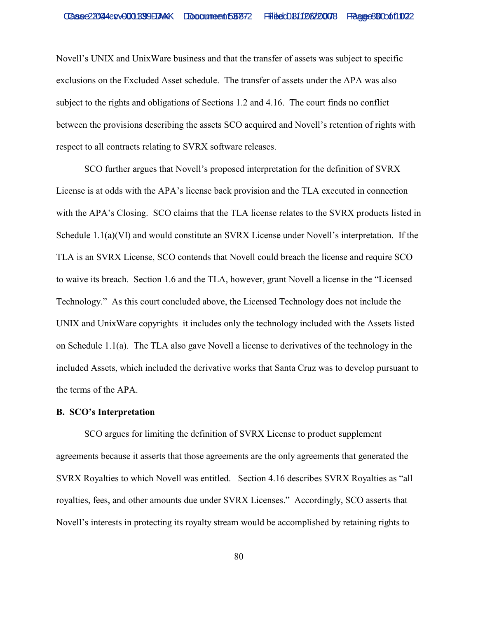Novell's UNIX and UnixWare business and that the transfer of assets was subject to specific exclusions on the Excluded Asset schedule. The transfer of assets under the APA was also subject to the rights and obligations of Sections 1.2 and 4.16. The court finds no conflict between the provisions describing the assets SCO acquired and Novell's retention of rights with respect to all contracts relating to SVRX software releases.

SCO further argues that Novell's proposed interpretation for the definition of SVRX License is at odds with the APA's license back provision and the TLA executed in connection with the APA's Closing. SCO claims that the TLA license relates to the SVRX products listed in Schedule 1.1(a)(VI) and would constitute an SVRX License under Novell's interpretation. If the TLA is an SVRX License, SCO contends that Novell could breach the license and require SCO to waive its breach. Section 1.6 and the TLA, however, grant Novell a license in the "Licensed Technology." As this court concluded above, the Licensed Technology does not include the UNIX and UnixWare copyrights–it includes only the technology included with the Assets listed on Schedule 1.1(a). The TLA also gave Novell a license to derivatives of the technology in the included Assets, which included the derivative works that Santa Cruz was to develop pursuant to the terms of the APA.

## **B. SCO's Interpretation**

SCO argues for limiting the definition of SVRX License to product supplement agreements because it asserts that those agreements are the only agreements that generated the SVRX Royalties to which Novell was entitled. Section 4.16 describes SVRX Royalties as "all royalties, fees, and other amounts due under SVRX Licenses." Accordingly, SCO asserts that Novell's interests in protecting its royalty stream would be accomplished by retaining rights to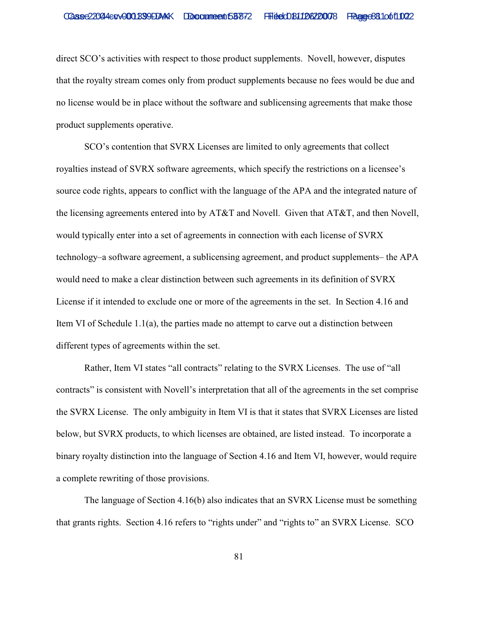direct SCO's activities with respect to those product supplements. Novell, however, disputes that the royalty stream comes only from product supplements because no fees would be due and no license would be in place without the software and sublicensing agreements that make those product supplements operative.

SCO's contention that SVRX Licenses are limited to only agreements that collect royalties instead of SVRX software agreements, which specify the restrictions on a licensee's source code rights, appears to conflict with the language of the APA and the integrated nature of the licensing agreements entered into by AT&T and Novell. Given that AT&T, and then Novell, would typically enter into a set of agreements in connection with each license of SVRX technology–a software agreement, a sublicensing agreement, and product supplements– the APA would need to make a clear distinction between such agreements in its definition of SVRX License if it intended to exclude one or more of the agreements in the set. In Section 4.16 and Item VI of Schedule  $1.1(a)$ , the parties made no attempt to carve out a distinction between different types of agreements within the set.

Rather, Item VI states "all contracts" relating to the SVRX Licenses. The use of "all contracts" is consistent with Novell's interpretation that all of the agreements in the set comprise the SVRX License. The only ambiguity in Item VI is that it states that SVRX Licenses are listed below, but SVRX products, to which licenses are obtained, are listed instead. To incorporate a binary royalty distinction into the language of Section 4.16 and Item VI, however, would require a complete rewriting of those provisions.

The language of Section 4.16(b) also indicates that an SVRX License must be something that grants rights. Section 4.16 refers to "rights under" and "rights to" an SVRX License. SCO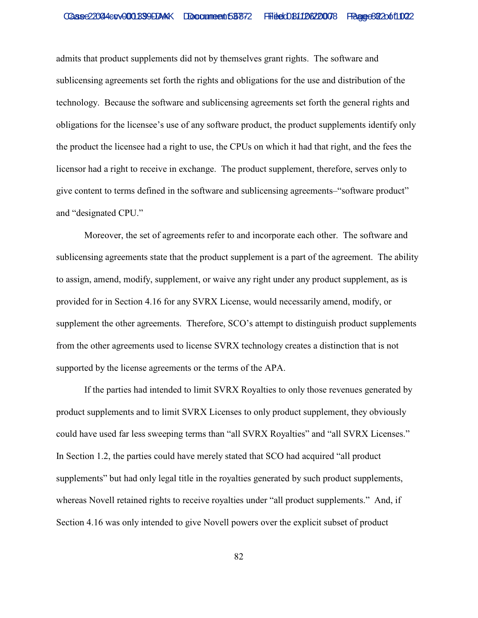admits that product supplements did not by themselves grant rights. The software and sublicensing agreements set forth the rights and obligations for the use and distribution of the technology. Because the software and sublicensing agreements set forth the general rights and obligations for the licensee's use of any software product, the product supplements identify only the product the licensee had a right to use, the CPUs on which it had that right, and the fees the licensor had a right to receive in exchange. The product supplement, therefore, serves only to give content to terms defined in the software and sublicensing agreements–"software product" and "designated CPU."

Moreover, the set of agreements refer to and incorporate each other. The software and sublicensing agreements state that the product supplement is a part of the agreement. The ability to assign, amend, modify, supplement, or waive any right under any product supplement, as is provided for in Section 4.16 for any SVRX License, would necessarily amend, modify, or supplement the other agreements. Therefore, SCO's attempt to distinguish product supplements from the other agreements used to license SVRX technology creates a distinction that is not supported by the license agreements or the terms of the APA.

If the parties had intended to limit SVRX Royalties to only those revenues generated by product supplements and to limit SVRX Licenses to only product supplement, they obviously could have used far less sweeping terms than "all SVRX Royalties" and "all SVRX Licenses." In Section 1.2, the parties could have merely stated that SCO had acquired "all product supplements" but had only legal title in the royalties generated by such product supplements, whereas Novell retained rights to receive royalties under "all product supplements." And, if Section 4.16 was only intended to give Novell powers over the explicit subset of product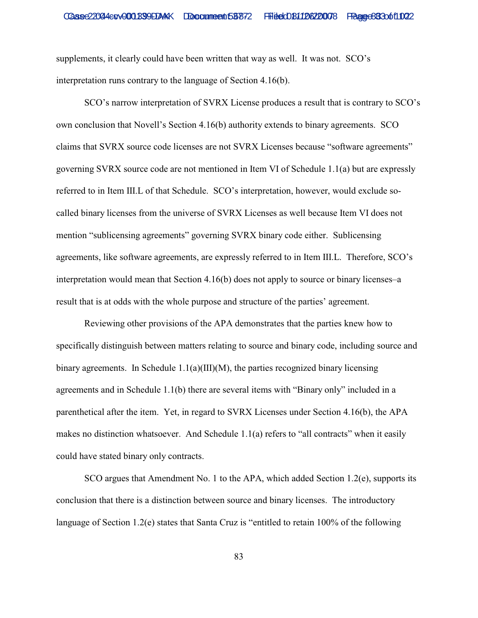supplements, it clearly could have been written that way as well. It was not. SCO's interpretation runs contrary to the language of Section 4.16(b).

SCO's narrow interpretation of SVRX License produces a result that is contrary to SCO's own conclusion that Novell's Section 4.16(b) authority extends to binary agreements. SCO claims that SVRX source code licenses are not SVRX Licenses because "software agreements" governing SVRX source code are not mentioned in Item VI of Schedule 1.1(a) but are expressly referred to in Item III.L of that Schedule. SCO's interpretation, however, would exclude socalled binary licenses from the universe of SVRX Licenses as well because Item VI does not mention "sublicensing agreements" governing SVRX binary code either. Sublicensing agreements, like software agreements, are expressly referred to in Item III.L. Therefore, SCO's interpretation would mean that Section 4.16(b) does not apply to source or binary licenses–a result that is at odds with the whole purpose and structure of the parties' agreement.

Reviewing other provisions of the APA demonstrates that the parties knew how to specifically distinguish between matters relating to source and binary code, including source and binary agreements. In Schedule  $1.1(a)(III)(M)$ , the parties recognized binary licensing agreements and in Schedule 1.1(b) there are several items with "Binary only" included in a parenthetical after the item. Yet, in regard to SVRX Licenses under Section 4.16(b), the APA makes no distinction whatsoever. And Schedule 1.1(a) refers to "all contracts" when it easily could have stated binary only contracts.

SCO argues that Amendment No. 1 to the APA, which added Section 1.2(e), supports its conclusion that there is a distinction between source and binary licenses. The introductory language of Section 1.2(e) states that Santa Cruz is "entitled to retain 100% of the following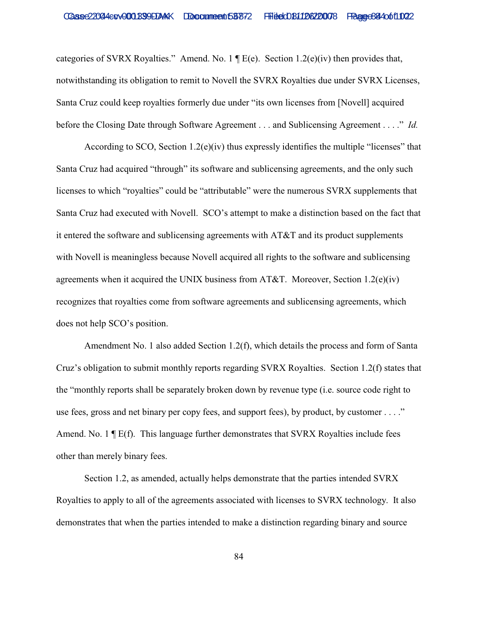categories of SVRX Royalties." Amend. No. 1  $\P E(e)$ . Section 1.2(e)(iv) then provides that, notwithstanding its obligation to remit to Novell the SVRX Royalties due under SVRX Licenses, Santa Cruz could keep royalties formerly due under "its own licenses from [Novell] acquired before the Closing Date through Software Agreement . . . and Sublicensing Agreement . . . ." *Id.*

According to SCO, Section 1.2(e)(iv) thus expressly identifies the multiple "licenses" that Santa Cruz had acquired "through" its software and sublicensing agreements, and the only such licenses to which "royalties" could be "attributable" were the numerous SVRX supplements that Santa Cruz had executed with Novell. SCO's attempt to make a distinction based on the fact that it entered the software and sublicensing agreements with AT&T and its product supplements with Novell is meaningless because Novell acquired all rights to the software and sublicensing agreements when it acquired the UNIX business from AT&T. Moreover, Section 1.2(e)(iv) recognizes that royalties come from software agreements and sublicensing agreements, which does not help SCO's position.

Amendment No. 1 also added Section 1.2(f), which details the process and form of Santa Cruz's obligation to submit monthly reports regarding SVRX Royalties. Section 1.2(f) states that the "monthly reports shall be separately broken down by revenue type (i.e. source code right to use fees, gross and net binary per copy fees, and support fees), by product, by customer . . . ." Amend. No. 1  $\mathbb{F}$  E(f). This language further demonstrates that SVRX Royalties include fees other than merely binary fees.

Section 1.2, as amended, actually helps demonstrate that the parties intended SVRX Royalties to apply to all of the agreements associated with licenses to SVRX technology. It also demonstrates that when the parties intended to make a distinction regarding binary and source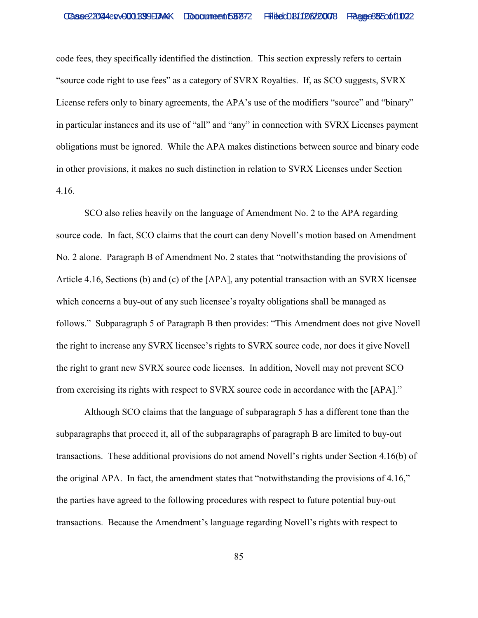code fees, they specifically identified the distinction. This section expressly refers to certain "source code right to use fees" as a category of SVRX Royalties. If, as SCO suggests, SVRX License refers only to binary agreements, the APA's use of the modifiers "source" and "binary" in particular instances and its use of "all" and "any" in connection with SVRX Licenses payment obligations must be ignored. While the APA makes distinctions between source and binary code in other provisions, it makes no such distinction in relation to SVRX Licenses under Section 4.16.

SCO also relies heavily on the language of Amendment No. 2 to the APA regarding source code. In fact, SCO claims that the court can deny Novell's motion based on Amendment No. 2 alone. Paragraph B of Amendment No. 2 states that "notwithstanding the provisions of Article 4.16, Sections (b) and (c) of the [APA], any potential transaction with an SVRX licensee which concerns a buy-out of any such licensee's royalty obligations shall be managed as follows." Subparagraph 5 of Paragraph B then provides: "This Amendment does not give Novell the right to increase any SVRX licensee's rights to SVRX source code, nor does it give Novell the right to grant new SVRX source code licenses. In addition, Novell may not prevent SCO from exercising its rights with respect to SVRX source code in accordance with the [APA]."

Although SCO claims that the language of subparagraph 5 has a different tone than the subparagraphs that proceed it, all of the subparagraphs of paragraph B are limited to buy-out transactions. These additional provisions do not amend Novell's rights under Section 4.16(b) of the original APA. In fact, the amendment states that "notwithstanding the provisions of 4.16," the parties have agreed to the following procedures with respect to future potential buy-out transactions. Because the Amendment's language regarding Novell's rights with respect to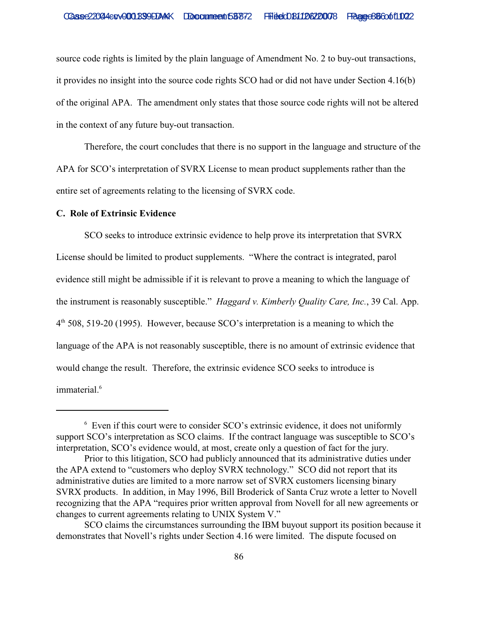source code rights is limited by the plain language of Amendment No. 2 to buy-out transactions, it provides no insight into the source code rights SCO had or did not have under Section 4.16(b) of the original APA. The amendment only states that those source code rights will not be altered in the context of any future buy-out transaction.

Therefore, the court concludes that there is no support in the language and structure of the APA for SCO's interpretation of SVRX License to mean product supplements rather than the entire set of agreements relating to the licensing of SVRX code.

#### **C. Role of Extrinsic Evidence**

SCO seeks to introduce extrinsic evidence to help prove its interpretation that SVRX License should be limited to product supplements. "Where the contract is integrated, parol evidence still might be admissible if it is relevant to prove a meaning to which the language of the instrument is reasonably susceptible." *Haggard v. Kimberly Quality Care, Inc.*, 39 Cal. App.  $4<sup>th</sup>$  508, 519-20 (1995). However, because SCO's interpretation is a meaning to which the language of the APA is not reasonably susceptible, there is no amount of extrinsic evidence that would change the result. Therefore, the extrinsic evidence SCO seeks to introduce is immaterial.<sup>6</sup>

 $6$  Even if this court were to consider SCO's extrinsic evidence, it does not uniformly support SCO's interpretation as SCO claims. If the contract language was susceptible to SCO's interpretation, SCO's evidence would, at most, create only a question of fact for the jury.

Prior to this litigation, SCO had publicly announced that its administrative duties under the APA extend to "customers who deploy SVRX technology." SCO did not report that its administrative duties are limited to a more narrow set of SVRX customers licensing binary SVRX products. In addition, in May 1996, Bill Broderick of Santa Cruz wrote a letter to Novell recognizing that the APA "requires prior written approval from Novell for all new agreements or changes to current agreements relating to UNIX System V."

SCO claims the circumstances surrounding the IBM buyout support its position because it demonstrates that Novell's rights under Section 4.16 were limited. The dispute focused on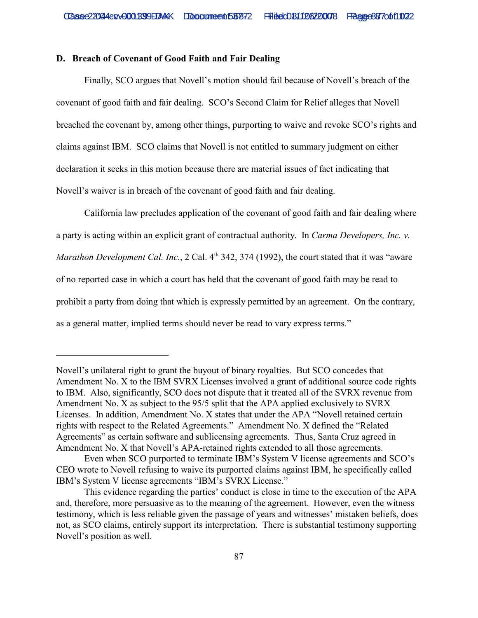## **D. Breach of Covenant of Good Faith and Fair Dealing**

Finally, SCO argues that Novell's motion should fail because of Novell's breach of the covenant of good faith and fair dealing. SCO's Second Claim for Relief alleges that Novell breached the covenant by, among other things, purporting to waive and revoke SCO's rights and claims against IBM. SCO claims that Novell is not entitled to summary judgment on either declaration it seeks in this motion because there are material issues of fact indicating that Novell's waiver is in breach of the covenant of good faith and fair dealing.

California law precludes application of the covenant of good faith and fair dealing where a party is acting within an explicit grant of contractual authority. In *Carma Developers, Inc. v. Marathon Development Cal. Inc., 2 Cal. 4<sup>th</sup> 342, 374 (1992), the court stated that it was "aware* of no reported case in which a court has held that the covenant of good faith may be read to prohibit a party from doing that which is expressly permitted by an agreement. On the contrary, as a general matter, implied terms should never be read to vary express terms."

Novell's unilateral right to grant the buyout of binary royalties. But SCO concedes that Amendment No. X to the IBM SVRX Licenses involved a grant of additional source code rights to IBM. Also, significantly, SCO does not dispute that it treated all of the SVRX revenue from Amendment No. X as subject to the 95/5 split that the APA applied exclusively to SVRX Licenses. In addition, Amendment No. X states that under the APA "Novell retained certain rights with respect to the Related Agreements." Amendment No. X defined the "Related Agreements" as certain software and sublicensing agreements. Thus, Santa Cruz agreed in Amendment No. X that Novell's APA-retained rights extended to all those agreements.

Even when SCO purported to terminate IBM's System V license agreements and SCO's CEO wrote to Novell refusing to waive its purported claims against IBM, he specifically called IBM's System V license agreements "IBM's SVRX License."

This evidence regarding the parties' conduct is close in time to the execution of the APA and, therefore, more persuasive as to the meaning of the agreement. However, even the witness testimony, which is less reliable given the passage of years and witnesses' mistaken beliefs, does not, as SCO claims, entirely support its interpretation. There is substantial testimony supporting Novell's position as well.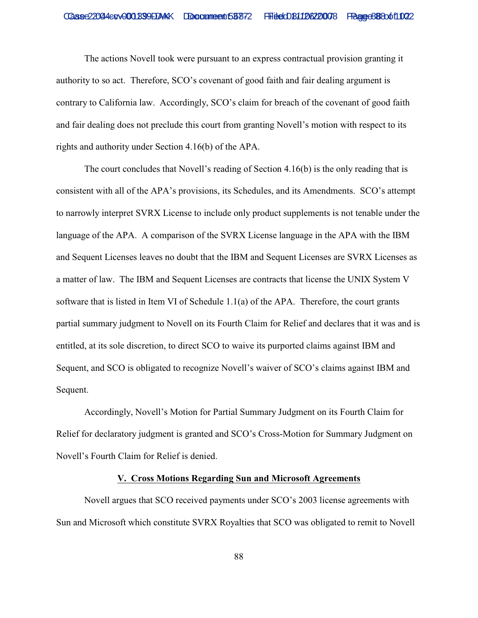The actions Novell took were pursuant to an express contractual provision granting it authority to so act. Therefore, SCO's covenant of good faith and fair dealing argument is contrary to California law. Accordingly, SCO's claim for breach of the covenant of good faith and fair dealing does not preclude this court from granting Novell's motion with respect to its rights and authority under Section 4.16(b) of the APA.

The court concludes that Novell's reading of Section 4.16(b) is the only reading that is consistent with all of the APA's provisions, its Schedules, and its Amendments. SCO's attempt to narrowly interpret SVRX License to include only product supplements is not tenable under the language of the APA. A comparison of the SVRX License language in the APA with the IBM and Sequent Licenses leaves no doubt that the IBM and Sequent Licenses are SVRX Licenses as a matter of law. The IBM and Sequent Licenses are contracts that license the UNIX System V software that is listed in Item VI of Schedule 1.1(a) of the APA. Therefore, the court grants partial summary judgment to Novell on its Fourth Claim for Relief and declares that it was and is entitled, at its sole discretion, to direct SCO to waive its purported claims against IBM and Sequent, and SCO is obligated to recognize Novell's waiver of SCO's claims against IBM and Sequent.

Accordingly, Novell's Motion for Partial Summary Judgment on its Fourth Claim for Relief for declaratory judgment is granted and SCO's Cross-Motion for Summary Judgment on Novell's Fourth Claim for Relief is denied.

## **V. Cross Motions Regarding Sun and Microsoft Agreements**

Novell argues that SCO received payments under SCO's 2003 license agreements with Sun and Microsoft which constitute SVRX Royalties that SCO was obligated to remit to Novell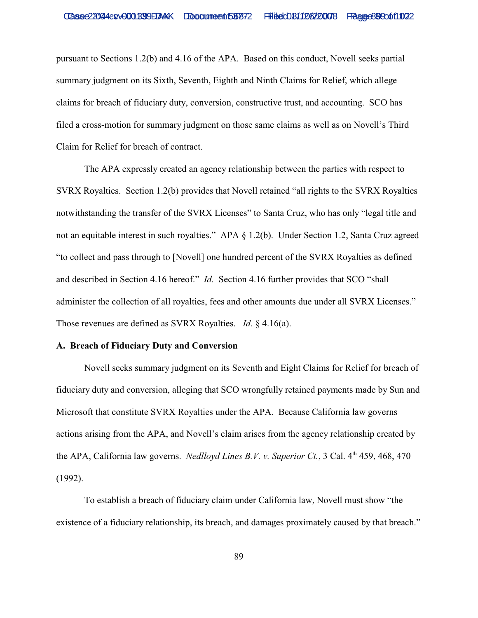pursuant to Sections 1.2(b) and 4.16 of the APA. Based on this conduct, Novell seeks partial summary judgment on its Sixth, Seventh, Eighth and Ninth Claims for Relief, which allege claims for breach of fiduciary duty, conversion, constructive trust, and accounting. SCO has filed a cross-motion for summary judgment on those same claims as well as on Novell's Third Claim for Relief for breach of contract.

 The APA expressly created an agency relationship between the parties with respect to SVRX Royalties. Section 1.2(b) provides that Novell retained "all rights to the SVRX Royalties notwithstanding the transfer of the SVRX Licenses" to Santa Cruz, who has only "legal title and not an equitable interest in such royalties." APA § 1.2(b). Under Section 1.2, Santa Cruz agreed "to collect and pass through to [Novell] one hundred percent of the SVRX Royalties as defined and described in Section 4.16 hereof." *Id.* Section 4.16 further provides that SCO "shall administer the collection of all royalties, fees and other amounts due under all SVRX Licenses." Those revenues are defined as SVRX Royalties. *Id.* § 4.16(a).

## **A. Breach of Fiduciary Duty and Conversion**

Novell seeks summary judgment on its Seventh and Eight Claims for Relief for breach of fiduciary duty and conversion, alleging that SCO wrongfully retained payments made by Sun and Microsoft that constitute SVRX Royalties under the APA. Because California law governs actions arising from the APA, and Novell's claim arises from the agency relationship created by the APA, California law governs. *Nedlloyd Lines B.V. v. Superior Ct.*, 3 Cal. 4<sup>th</sup> 459, 468, 470 (1992).

To establish a breach of fiduciary claim under California law, Novell must show "the existence of a fiduciary relationship, its breach, and damages proximately caused by that breach."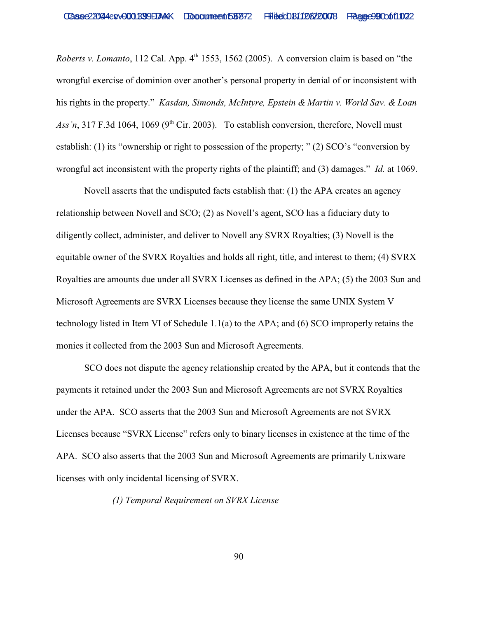*Roberts v. Lomanto*, 112 Cal. App. 4<sup>th</sup> 1553, 1562 (2005). A conversion claim is based on "the wrongful exercise of dominion over another's personal property in denial of or inconsistent with his rights in the property." *Kasdan, Simonds, McIntyre, Epstein & Martin v. World Sav. & Loan* Ass'n, 317 F.3d 1064, 1069 (9<sup>th</sup> Cir. 2003). To establish conversion, therefore, Novell must establish: (1) its "ownership or right to possession of the property; " (2) SCO's "conversion by wrongful act inconsistent with the property rights of the plaintiff; and (3) damages." *Id.* at 1069.

Novell asserts that the undisputed facts establish that: (1) the APA creates an agency relationship between Novell and SCO; (2) as Novell's agent, SCO has a fiduciary duty to diligently collect, administer, and deliver to Novell any SVRX Royalties; (3) Novell is the equitable owner of the SVRX Royalties and holds all right, title, and interest to them; (4) SVRX Royalties are amounts due under all SVRX Licenses as defined in the APA; (5) the 2003 Sun and Microsoft Agreements are SVRX Licenses because they license the same UNIX System V technology listed in Item VI of Schedule 1.1(a) to the APA; and (6) SCO improperly retains the monies it collected from the 2003 Sun and Microsoft Agreements.

SCO does not dispute the agency relationship created by the APA, but it contends that the payments it retained under the 2003 Sun and Microsoft Agreements are not SVRX Royalties under the APA. SCO asserts that the 2003 Sun and Microsoft Agreements are not SVRX Licenses because "SVRX License" refers only to binary licenses in existence at the time of the APA. SCO also asserts that the 2003 Sun and Microsoft Agreements are primarily Unixware licenses with only incidental licensing of SVRX.

*(1) Temporal Requirement on SVRX License*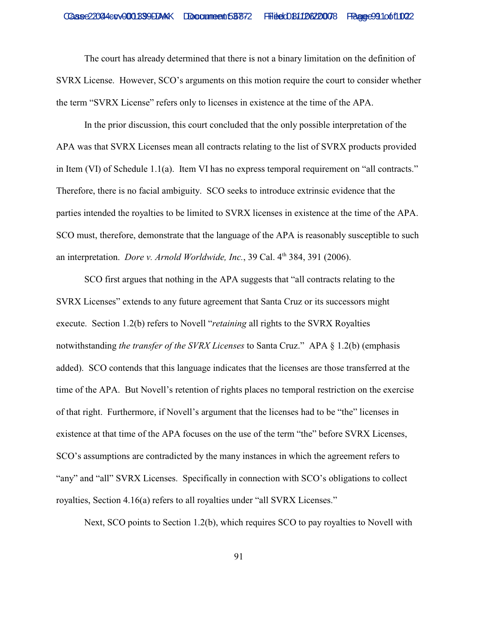The court has already determined that there is not a binary limitation on the definition of SVRX License. However, SCO's arguments on this motion require the court to consider whether the term "SVRX License" refers only to licenses in existence at the time of the APA.

In the prior discussion, this court concluded that the only possible interpretation of the APA was that SVRX Licenses mean all contracts relating to the list of SVRX products provided in Item (VI) of Schedule 1.1(a). Item VI has no express temporal requirement on "all contracts." Therefore, there is no facial ambiguity. SCO seeks to introduce extrinsic evidence that the parties intended the royalties to be limited to SVRX licenses in existence at the time of the APA. SCO must, therefore, demonstrate that the language of the APA is reasonably susceptible to such an interpretation. *Dore v. Arnold Worldwide, Inc.*, 39 Cal. 4<sup>th</sup> 384, 391 (2006).

SCO first argues that nothing in the APA suggests that "all contracts relating to the SVRX Licenses" extends to any future agreement that Santa Cruz or its successors might execute. Section 1.2(b) refers to Novell "*retaining* all rights to the SVRX Royalties notwithstanding *the transfer of the SVRX Licenses* to Santa Cruz." APA § 1.2(b) (emphasis added). SCO contends that this language indicates that the licenses are those transferred at the time of the APA. But Novell's retention of rights places no temporal restriction on the exercise of that right. Furthermore, if Novell's argument that the licenses had to be "the" licenses in existence at that time of the APA focuses on the use of the term "the" before SVRX Licenses, SCO's assumptions are contradicted by the many instances in which the agreement refers to "any" and "all" SVRX Licenses. Specifically in connection with SCO's obligations to collect royalties, Section 4.16(a) refers to all royalties under "all SVRX Licenses."

Next, SCO points to Section 1.2(b), which requires SCO to pay royalties to Novell with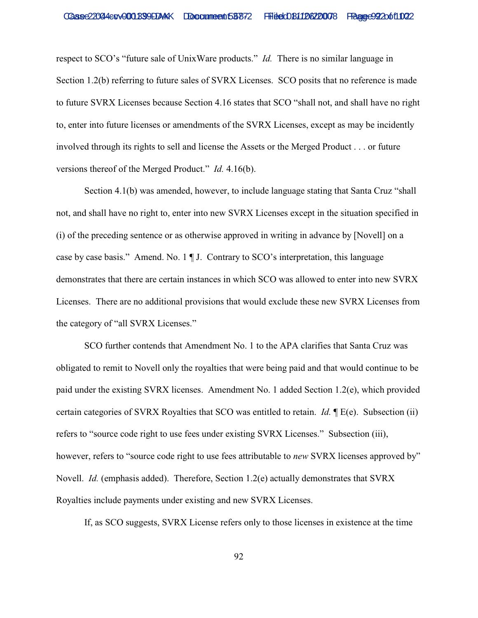respect to SCO's "future sale of UnixWare products." *Id.* There is no similar language in Section 1.2(b) referring to future sales of SVRX Licenses. SCO posits that no reference is made to future SVRX Licenses because Section 4.16 states that SCO "shall not, and shall have no right to, enter into future licenses or amendments of the SVRX Licenses, except as may be incidently involved through its rights to sell and license the Assets or the Merged Product . . . or future versions thereof of the Merged Product." *Id.* 4.16(b).

Section 4.1(b) was amended, however, to include language stating that Santa Cruz "shall not, and shall have no right to, enter into new SVRX Licenses except in the situation specified in (i) of the preceding sentence or as otherwise approved in writing in advance by [Novell] on a case by case basis." Amend. No. 1 ¶ J. Contrary to SCO's interpretation, this language demonstrates that there are certain instances in which SCO was allowed to enter into new SVRX Licenses. There are no additional provisions that would exclude these new SVRX Licenses from the category of "all SVRX Licenses."

SCO further contends that Amendment No. 1 to the APA clarifies that Santa Cruz was obligated to remit to Novell only the royalties that were being paid and that would continue to be paid under the existing SVRX licenses. Amendment No. 1 added Section 1.2(e), which provided certain categories of SVRX Royalties that SCO was entitled to retain. *Id.* ¶ E(e). Subsection (ii) refers to "source code right to use fees under existing SVRX Licenses." Subsection (iii), however, refers to "source code right to use fees attributable to *new* SVRX licenses approved by" Novell. *Id.* (emphasis added). Therefore, Section 1.2(e) actually demonstrates that SVRX Royalties include payments under existing and new SVRX Licenses.

If, as SCO suggests, SVRX License refers only to those licenses in existence at the time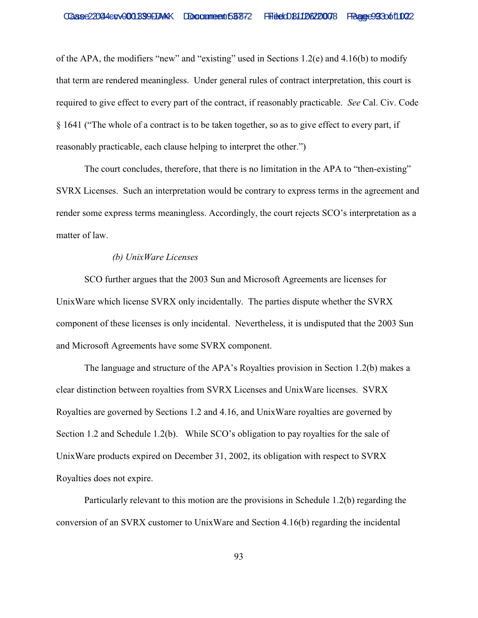of the APA, the modifiers "new" and "existing" used in Sections 1.2(e) and 4.16(b) to modify that term are rendered meaningless. Under general rules of contract interpretation, this court is required to give effect to every part of the contract, if reasonably practicable. *See* Cal. Civ. Code § 1641 ("The whole of a contract is to be taken together, so as to give effect to every part, if reasonably practicable, each clause helping to interpret the other.")

The court concludes, therefore, that there is no limitation in the APA to "then-existing" SVRX Licenses. Such an interpretation would be contrary to express terms in the agreement and render some express terms meaningless. Accordingly, the court rejects SCO's interpretation as a matter of law.

## *(b) UnixWare Licenses*

SCO further argues that the 2003 Sun and Microsoft Agreements are licenses for UnixWare which license SVRX only incidentally. The parties dispute whether the SVRX component of these licenses is only incidental. Nevertheless, it is undisputed that the 2003 Sun and Microsoft Agreements have some SVRX component.

The language and structure of the APA's Royalties provision in Section 1.2(b) makes a clear distinction between royalties from SVRX Licenses and UnixWare licenses. SVRX Royalties are governed by Sections 1.2 and 4.16, and UnixWare royalties are governed by Section 1.2 and Schedule 1.2(b). While SCO's obligation to pay royalties for the sale of UnixWare products expired on December 31, 2002, its obligation with respect to SVRX Royalties does not expire.

Particularly relevant to this motion are the provisions in Schedule 1.2(b) regarding the conversion of an SVRX customer to UnixWare and Section 4.16(b) regarding the incidental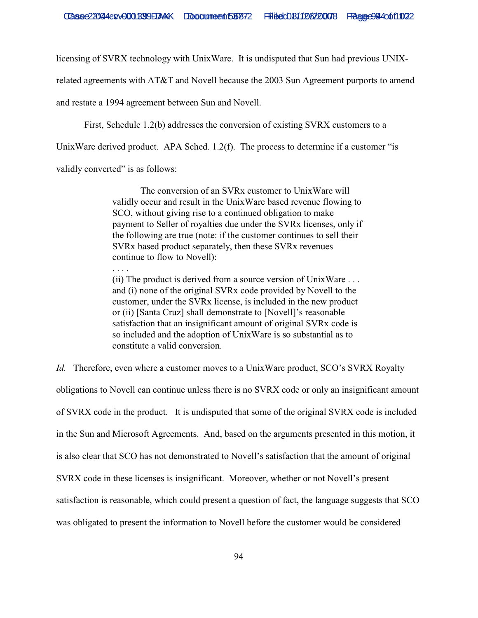licensing of SVRX technology with UnixWare. It is undisputed that Sun had previous UNIX-

related agreements with AT&T and Novell because the 2003 Sun Agreement purports to amend

and restate a 1994 agreement between Sun and Novell.

First, Schedule 1.2(b) addresses the conversion of existing SVRX customers to a

UnixWare derived product. APA Sched. 1.2(f). The process to determine if a customer "is

validly converted" is as follows:

. . . .

The conversion of an SVRx customer to UnixWare will validly occur and result in the UnixWare based revenue flowing to SCO, without giving rise to a continued obligation to make payment to Seller of royalties due under the SVRx licenses, only if the following are true (note: if the customer continues to sell their SVRx based product separately, then these SVRx revenues continue to flow to Novell):

(ii) The product is derived from a source version of UnixWare . . . and (i) none of the original SVRx code provided by Novell to the customer, under the SVRx license, is included in the new product or (ii) [Santa Cruz] shall demonstrate to [Novell]'s reasonable satisfaction that an insignificant amount of original SVRx code is so included and the adoption of UnixWare is so substantial as to constitute a valid conversion.

*Id.* Therefore, even where a customer moves to a UnixWare product, SCO's SVRX Royalty obligations to Novell can continue unless there is no SVRX code or only an insignificant amount of SVRX code in the product. It is undisputed that some of the original SVRX code is included in the Sun and Microsoft Agreements. And, based on the arguments presented in this motion, it is also clear that SCO has not demonstrated to Novell's satisfaction that the amount of original SVRX code in these licenses is insignificant. Moreover, whether or not Novell's present satisfaction is reasonable, which could present a question of fact, the language suggests that SCO was obligated to present the information to Novell before the customer would be considered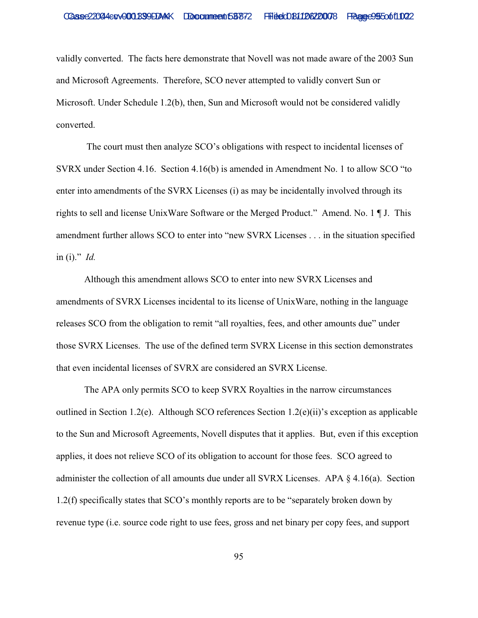validly converted. The facts here demonstrate that Novell was not made aware of the 2003 Sun and Microsoft Agreements. Therefore, SCO never attempted to validly convert Sun or Microsoft. Under Schedule 1.2(b), then, Sun and Microsoft would not be considered validly converted.

 The court must then analyze SCO's obligations with respect to incidental licenses of SVRX under Section 4.16. Section 4.16(b) is amended in Amendment No. 1 to allow SCO "to enter into amendments of the SVRX Licenses (i) as may be incidentally involved through its rights to sell and license UnixWare Software or the Merged Product." Amend. No. 1 ¶ J. This amendment further allows SCO to enter into "new SVRX Licenses . . . in the situation specified in (i)." *Id.* 

Although this amendment allows SCO to enter into new SVRX Licenses and amendments of SVRX Licenses incidental to its license of UnixWare, nothing in the language releases SCO from the obligation to remit "all royalties, fees, and other amounts due" under those SVRX Licenses. The use of the defined term SVRX License in this section demonstrates that even incidental licenses of SVRX are considered an SVRX License.

The APA only permits SCO to keep SVRX Royalties in the narrow circumstances outlined in Section 1.2(e). Although SCO references Section 1.2(e)(ii)'s exception as applicable to the Sun and Microsoft Agreements, Novell disputes that it applies. But, even if this exception applies, it does not relieve SCO of its obligation to account for those fees. SCO agreed to administer the collection of all amounts due under all SVRX Licenses. APA § 4.16(a). Section 1.2(f) specifically states that SCO's monthly reports are to be "separately broken down by revenue type (i.e. source code right to use fees, gross and net binary per copy fees, and support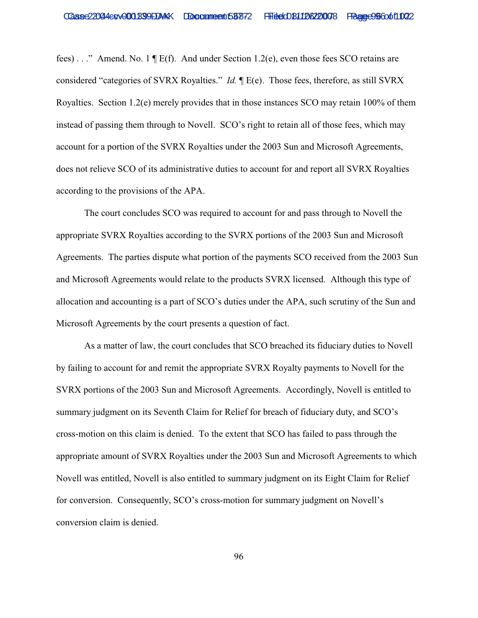fees) . . ." Amend. No. 1 ¶ E(f). And under Section 1.2(e), even those fees SCO retains are considered "categories of SVRX Royalties." *Id.* ¶ E(e). Those fees, therefore, as still SVRX Royalties. Section 1.2(e) merely provides that in those instances SCO may retain 100% of them instead of passing them through to Novell. SCO's right to retain all of those fees, which may account for a portion of the SVRX Royalties under the 2003 Sun and Microsoft Agreements, does not relieve SCO of its administrative duties to account for and report all SVRX Royalties according to the provisions of the APA.

The court concludes SCO was required to account for and pass through to Novell the appropriate SVRX Royalties according to the SVRX portions of the 2003 Sun and Microsoft Agreements. The parties dispute what portion of the payments SCO received from the 2003 Sun and Microsoft Agreements would relate to the products SVRX licensed. Although this type of allocation and accounting is a part of SCO's duties under the APA, such scrutiny of the Sun and Microsoft Agreements by the court presents a question of fact.

As a matter of law, the court concludes that SCO breached its fiduciary duties to Novell by failing to account for and remit the appropriate SVRX Royalty payments to Novell for the SVRX portions of the 2003 Sun and Microsoft Agreements. Accordingly, Novell is entitled to summary judgment on its Seventh Claim for Relief for breach of fiduciary duty, and SCO's cross-motion on this claim is denied. To the extent that SCO has failed to pass through the appropriate amount of SVRX Royalties under the 2003 Sun and Microsoft Agreements to which Novell was entitled, Novell is also entitled to summary judgment on its Eight Claim for Relief for conversion. Consequently, SCO's cross-motion for summary judgment on Novell's conversion claim is denied.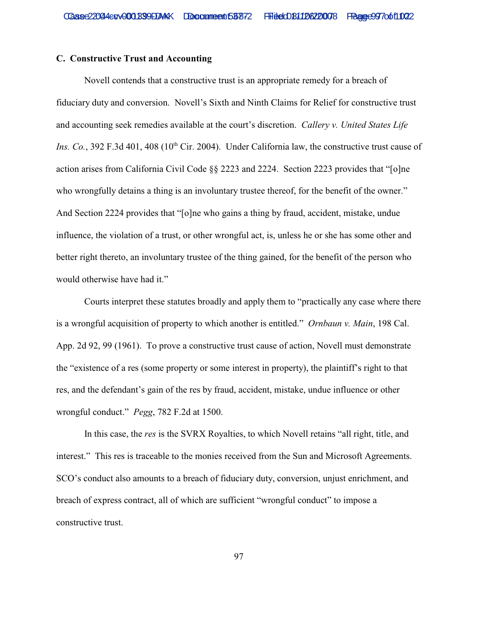## **C. Constructive Trust and Accounting**

Novell contends that a constructive trust is an appropriate remedy for a breach of fiduciary duty and conversion. Novell's Sixth and Ninth Claims for Relief for constructive trust and accounting seek remedies available at the court's discretion. *Callery v. United States Life Ins. Co.*, 392 F.3d 401, 408 ( $10<sup>th</sup>$  Cir. 2004). Under California law, the constructive trust cause of action arises from California Civil Code §§ 2223 and 2224. Section 2223 provides that "[o]ne who wrongfully detains a thing is an involuntary trustee thereof, for the benefit of the owner." And Section 2224 provides that "[o]ne who gains a thing by fraud, accident, mistake, undue influence, the violation of a trust, or other wrongful act, is, unless he or she has some other and better right thereto, an involuntary trustee of the thing gained, for the benefit of the person who would otherwise have had it."

Courts interpret these statutes broadly and apply them to "practically any case where there is a wrongful acquisition of property to which another is entitled." *Ornbaun v. Main*, 198 Cal. App. 2d 92, 99 (1961). To prove a constructive trust cause of action, Novell must demonstrate the "existence of a res (some property or some interest in property), the plaintiff's right to that res, and the defendant's gain of the res by fraud, accident, mistake, undue influence or other wrongful conduct." *Pegg*, 782 F.2d at 1500.

In this case, the *res* is the SVRX Royalties, to which Novell retains "all right, title, and interest." This res is traceable to the monies received from the Sun and Microsoft Agreements. SCO's conduct also amounts to a breach of fiduciary duty, conversion, unjust enrichment, and breach of express contract, all of which are sufficient "wrongful conduct" to impose a constructive trust.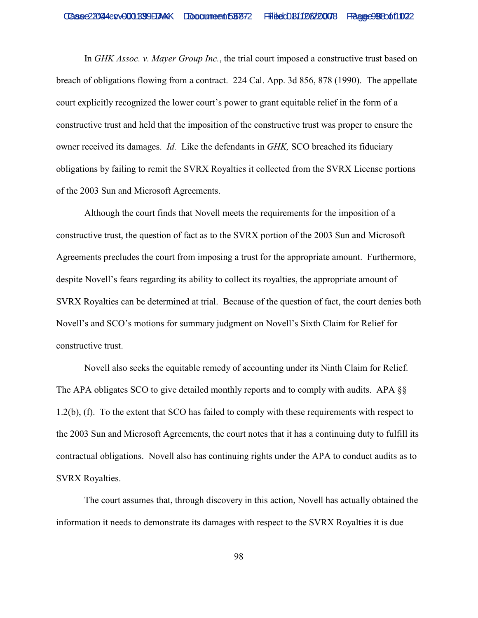In *GHK Assoc. v. Mayer Group Inc.*, the trial court imposed a constructive trust based on breach of obligations flowing from a contract. 224 Cal. App. 3d 856, 878 (1990). The appellate court explicitly recognized the lower court's power to grant equitable relief in the form of a constructive trust and held that the imposition of the constructive trust was proper to ensure the owner received its damages. *Id.* Like the defendants in *GHK,* SCO breached its fiduciary obligations by failing to remit the SVRX Royalties it collected from the SVRX License portions of the 2003 Sun and Microsoft Agreements.

Although the court finds that Novell meets the requirements for the imposition of a constructive trust, the question of fact as to the SVRX portion of the 2003 Sun and Microsoft Agreements precludes the court from imposing a trust for the appropriate amount. Furthermore, despite Novell's fears regarding its ability to collect its royalties, the appropriate amount of SVRX Royalties can be determined at trial. Because of the question of fact, the court denies both Novell's and SCO's motions for summary judgment on Novell's Sixth Claim for Relief for constructive trust.

Novell also seeks the equitable remedy of accounting under its Ninth Claim for Relief. The APA obligates SCO to give detailed monthly reports and to comply with audits. APA §§ 1.2(b), (f). To the extent that SCO has failed to comply with these requirements with respect to the 2003 Sun and Microsoft Agreements, the court notes that it has a continuing duty to fulfill its contractual obligations. Novell also has continuing rights under the APA to conduct audits as to SVRX Royalties.

The court assumes that, through discovery in this action, Novell has actually obtained the information it needs to demonstrate its damages with respect to the SVRX Royalties it is due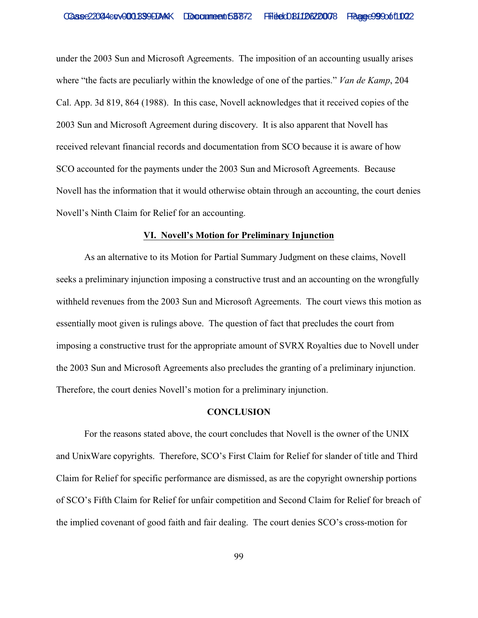under the 2003 Sun and Microsoft Agreements. The imposition of an accounting usually arises where "the facts are peculiarly within the knowledge of one of the parties." *Van de Kamp*, 204 Cal. App. 3d 819, 864 (1988). In this case, Novell acknowledges that it received copies of the 2003 Sun and Microsoft Agreement during discovery. It is also apparent that Novell has received relevant financial records and documentation from SCO because it is aware of how SCO accounted for the payments under the 2003 Sun and Microsoft Agreements. Because Novell has the information that it would otherwise obtain through an accounting, the court denies Novell's Ninth Claim for Relief for an accounting.

#### **VI. Novell's Motion for Preliminary Injunction**

As an alternative to its Motion for Partial Summary Judgment on these claims, Novell seeks a preliminary injunction imposing a constructive trust and an accounting on the wrongfully withheld revenues from the 2003 Sun and Microsoft Agreements. The court views this motion as essentially moot given is rulings above. The question of fact that precludes the court from imposing a constructive trust for the appropriate amount of SVRX Royalties due to Novell under the 2003 Sun and Microsoft Agreements also precludes the granting of a preliminary injunction. Therefore, the court denies Novell's motion for a preliminary injunction.

# **CONCLUSION**

For the reasons stated above, the court concludes that Novell is the owner of the UNIX and UnixWare copyrights. Therefore, SCO's First Claim for Relief for slander of title and Third Claim for Relief for specific performance are dismissed, as are the copyright ownership portions of SCO's Fifth Claim for Relief for unfair competition and Second Claim for Relief for breach of the implied covenant of good faith and fair dealing. The court denies SCO's cross-motion for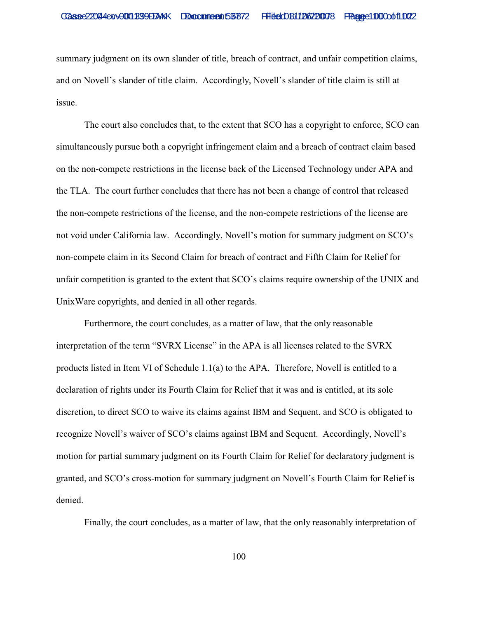summary judgment on its own slander of title, breach of contract, and unfair competition claims, and on Novell's slander of title claim. Accordingly, Novell's slander of title claim is still at issue.

The court also concludes that, to the extent that SCO has a copyright to enforce, SCO can simultaneously pursue both a copyright infringement claim and a breach of contract claim based on the non-compete restrictions in the license back of the Licensed Technology under APA and the TLA. The court further concludes that there has not been a change of control that released the non-compete restrictions of the license, and the non-compete restrictions of the license are not void under California law. Accordingly, Novell's motion for summary judgment on SCO's non-compete claim in its Second Claim for breach of contract and Fifth Claim for Relief for unfair competition is granted to the extent that SCO's claims require ownership of the UNIX and UnixWare copyrights, and denied in all other regards.

Furthermore, the court concludes, as a matter of law, that the only reasonable interpretation of the term "SVRX License" in the APA is all licenses related to the SVRX products listed in Item VI of Schedule 1.1(a) to the APA. Therefore, Novell is entitled to a declaration of rights under its Fourth Claim for Relief that it was and is entitled, at its sole discretion, to direct SCO to waive its claims against IBM and Sequent, and SCO is obligated to recognize Novell's waiver of SCO's claims against IBM and Sequent. Accordingly, Novell's motion for partial summary judgment on its Fourth Claim for Relief for declaratory judgment is granted, and SCO's cross-motion for summary judgment on Novell's Fourth Claim for Relief is denied.

Finally, the court concludes, as a matter of law, that the only reasonably interpretation of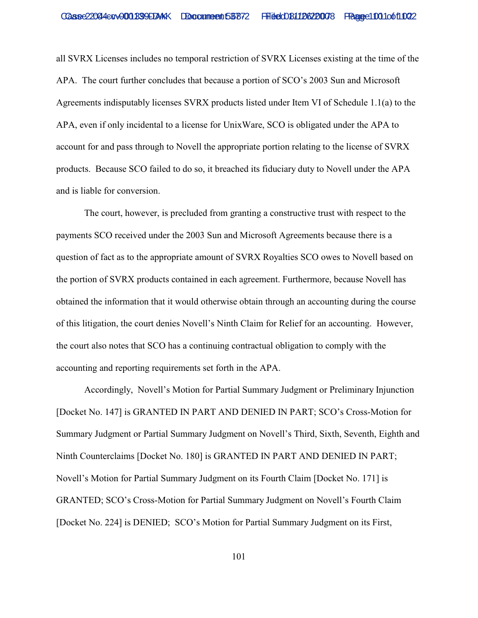all SVRX Licenses includes no temporal restriction of SVRX Licenses existing at the time of the APA. The court further concludes that because a portion of SCO's 2003 Sun and Microsoft Agreements indisputably licenses SVRX products listed under Item VI of Schedule 1.1(a) to the APA, even if only incidental to a license for UnixWare, SCO is obligated under the APA to account for and pass through to Novell the appropriate portion relating to the license of SVRX products. Because SCO failed to do so, it breached its fiduciary duty to Novell under the APA and is liable for conversion.

The court, however, is precluded from granting a constructive trust with respect to the payments SCO received under the 2003 Sun and Microsoft Agreements because there is a question of fact as to the appropriate amount of SVRX Royalties SCO owes to Novell based on the portion of SVRX products contained in each agreement. Furthermore, because Novell has obtained the information that it would otherwise obtain through an accounting during the course of this litigation, the court denies Novell's Ninth Claim for Relief for an accounting. However, the court also notes that SCO has a continuing contractual obligation to comply with the accounting and reporting requirements set forth in the APA.

Accordingly, Novell's Motion for Partial Summary Judgment or Preliminary Injunction [Docket No. 147] is GRANTED IN PART AND DENIED IN PART; SCO's Cross-Motion for Summary Judgment or Partial Summary Judgment on Novell's Third, Sixth, Seventh, Eighth and Ninth Counterclaims [Docket No. 180] is GRANTED IN PART AND DENIED IN PART; Novell's Motion for Partial Summary Judgment on its Fourth Claim [Docket No. 171] is GRANTED; SCO's Cross-Motion for Partial Summary Judgment on Novell's Fourth Claim [Docket No. 224] is DENIED; SCO's Motion for Partial Summary Judgment on its First,